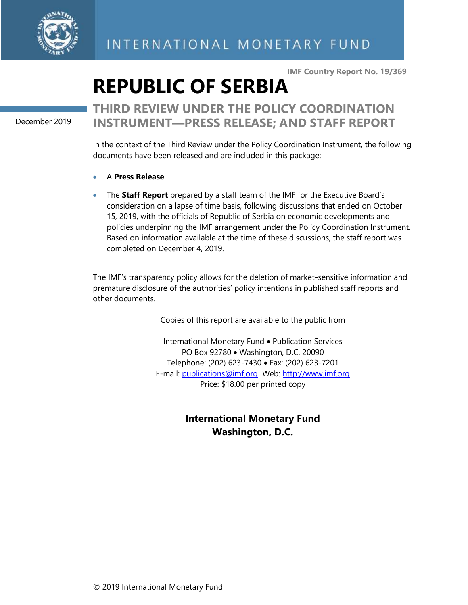

**IMF Country Report No. 19/369**

## **REPUBLIC OF SERBIA**

December 2019

**THIRD REVIEW UNDER THE POLICY COORDINATION INSTRUMENT—PRESS RELEASE; AND STAFF REPORT**

In the context of the Third Review under the Policy Coordination Instrument, the following documents have been released and are included in this package:

- A **Press Release**
- The **Staff Report** prepared by a staff team of the IMF for the Executive Board's consideration on a lapse of time basis, following discussions that ended on October 15, 2019, with the officials of Republic of Serbia on economic developments and policies underpinning the IMF arrangement under the Policy Coordination Instrument. Based on information available at the time of these discussions, the staff report was completed on December 4, 2019.

The IMF's transparency policy allows for the deletion of market-sensitive information and premature disclosure of the authorities' policy intentions in published staff reports and other documents.

Copies of this report are available to the public from

International Monetary Fund • Publication Services PO Box 92780 • Washington, D.C. 20090 Telephone: (202) 623-7430 • Fax: (202) 623-7201 E-mail: [publications@imf.org](mailto:publications@imf.org) Web: [http://www.imf.org](http://www.imf.org/) Price: \$18.00 per printed copy

### **International Monetary Fund Washington, D.C.**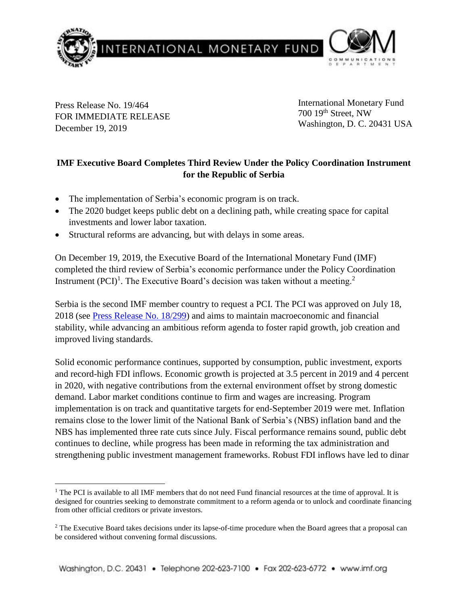

Press Release No. 19/464 FOR IMMEDIATE RELEASE December 19, 2019

 $\overline{a}$ 

International Monetary Fund 700 19th Street, NW Washington, D. C. 20431 USA

### **IMF Executive Board Completes Third Review Under the Policy Coordination Instrument for the Republic of Serbia**

- The implementation of Serbia's economic program is on track.
- The 2020 budget keeps public debt on a declining path, while creating space for capital investments and lower labor taxation.
- Structural reforms are advancing, but with delays in some areas.

On December 19, 2019, the Executive Board of the International Monetary Fund (IMF) completed the third review of Serbia's economic performance under the Policy Coordination Instrument (PCI)<sup>1</sup>. The Executive Board's decision was taken without a meeting.<sup>2</sup>

Serbia is the second IMF member country to request a PCI. The PCI was approved on July 18, 2018 (see [Press Release No. 18/299\)](https://www.imf.org/en/News/Articles/2018/07/18/pr18299-serbia-imf-executive-board-approves-30-month-policy-coordination-instrument) and aims to maintain macroeconomic and financial stability, while advancing an ambitious reform agenda to foster rapid growth, job creation and improved living standards.

Solid economic performance continues, supported by consumption, public investment, exports and record-high FDI inflows. Economic growth is projected at 3.5 percent in 2019 and 4 percent in 2020, with negative contributions from the external environment offset by strong domestic demand. Labor market conditions continue to firm and wages are increasing. Program implementation is on track and quantitative targets for end-September 2019 were met. Inflation remains close to the lower limit of the National Bank of Serbia's (NBS) inflation band and the NBS has implemented three rate cuts since July. Fiscal performance remains sound, public debt continues to decline, while progress has been made in reforming the tax administration and strengthening public investment management frameworks. Robust FDI inflows have led to dinar

<sup>&</sup>lt;sup>1</sup> The PCI is available to all IMF members that do not need Fund financial resources at the time of approval. It is designed for countries seeking to demonstrate commitment to a reform agenda or to unlock and coordinate financing from other official creditors or private investors.

<sup>&</sup>lt;sup>2</sup> The Executive Board takes decisions under its lapse-of-time procedure when the Board agrees that a proposal can be considered without convening formal discussions.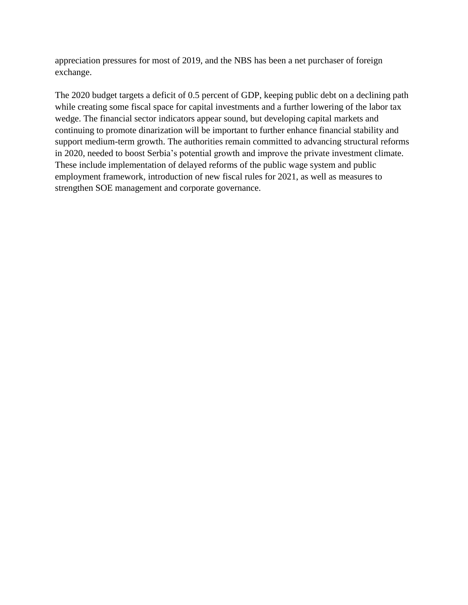appreciation pressures for most of 2019, and the NBS has been a net purchaser of foreign exchange.

The 2020 budget targets a deficit of 0.5 percent of GDP, keeping public debt on a declining path while creating some fiscal space for capital investments and a further lowering of the labor tax wedge. The financial sector indicators appear sound, but developing capital markets and continuing to promote dinarization will be important to further enhance financial stability and support medium-term growth. The authorities remain committed to advancing structural reforms in 2020, needed to boost Serbia's potential growth and improve the private investment climate. These include implementation of delayed reforms of the public wage system and public employment framework, introduction of new fiscal rules for 2021, as well as measures to strengthen SOE management and corporate governance.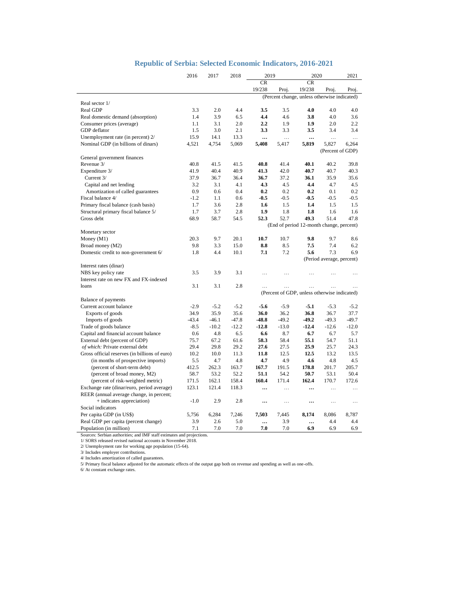|                                               | 2016    | 2017    | 2018    | 2019                |           | 2020                                                     |                           | 2021      |
|-----------------------------------------------|---------|---------|---------|---------------------|-----------|----------------------------------------------------------|---------------------------|-----------|
|                                               |         |         |         | <b>CR</b><br>19/238 |           | <b>CR</b><br>19/238                                      |                           |           |
|                                               |         |         |         |                     | Proj.     | (Percent change, unless otherwise indicated)             | Proj.                     | Proj.     |
| Real sector 1/                                |         |         |         |                     |           |                                                          |                           |           |
| Real GDP                                      | 3.3     | 2.0     | 4.4     | 3.5                 | 3.5       | 4.0                                                      | 4.0                       | 4.0       |
| Real domestic demand (absorption)             | 1.4     | 3.9     | 6.5     | 4.4                 | 4.6       | 3.8                                                      | 4.0                       | 3.6       |
| Consumer prices (average)                     | 1.1     | 3.1     | 2.0     | 2.2                 | 1.9       | 1.9                                                      | 2.0                       | 2.2       |
| GDP deflator                                  | 1.5     | 3.0     | 2.1     | 3.3                 | 3.3       | 3.5                                                      | 3.4                       | 3.4       |
| Unemployment rate (in percent) 2/             | 15.9    | 14.1    | 13.3    | $\cdots$            | $\ddotsc$ | $\cdots$                                                 | $\ddotsc$                 | $\ddotsc$ |
| Nominal GDP (in billions of dinars)           | 4,521   | 4,754   | 5,069   | 5,408               | 5,417     | 5,819                                                    | 5,827                     | 6,264     |
| General government finances                   |         |         |         |                     |           |                                                          | (Percent of GDP)          |           |
| Revenue 3/                                    | 40.8    | 41.5    | 41.5    | 40.8                | 41.4      | 40.1                                                     | 40.2                      | 39.8      |
| Expenditure 3/                                | 41.9    | 40.4    | 40.9    | 41.3                | 42.0      | 40.7                                                     | 40.7                      | 40.3      |
| Current 3/                                    | 37.9    | 36.7    | 36.4    | 36.7                | 37.2      | 36.1                                                     | 35.9                      | 35.6      |
|                                               | 3.2     | 3.1     | 4.1     | 4.3                 | 4.5       | 4.4                                                      | 4.7                       | 4.5       |
| Capital and net lending                       |         | 0.6     | 0.4     | 0.2                 | 0.2       | 0.2                                                      | 0.1                       | 0.2       |
| Amortization of called guarantees             | 0.9     |         |         |                     |           |                                                          |                           |           |
| Fiscal balance 4/                             | $-1.2$  | 1.1     | 0.6     | $-0.5$              | $-0.5$    | $-0.5$                                                   | $-0.5$                    | -0.5      |
| Primary fiscal balance (cash basis)           | 1.7     | 3.6     | 2.8     | 1.6                 | 1.5       | 1.4                                                      | 1.5                       | 1.5       |
| Structural primary fiscal balance 5/          | 1.7     | 3.7     | 2.8     | 1.9                 | 1.8       | 1.8                                                      | 1.6                       | 1.6       |
| Gross debt                                    | 68.9    | 58.7    | 54.5    | 52.3                | 52.7      | 49.3<br>(End of period 12-month change, percent)         | 51.4                      | 47.8      |
| Monetary sector                               |         |         |         |                     |           |                                                          |                           |           |
| Money $(M1)$                                  | 20.3    | 9.7     | 20.1    | 10.7                | 10.7      | 9.8                                                      | 9.7                       | 8.6       |
| Broad money (M2)                              | 9.8     | 3.3     | 15.0    | 8.8                 | 8.5       | 7.5                                                      | 7.4                       | 6.2       |
| Domestic credit to non-government 6/          | 1.8     | 4.4     | 10.1    | 7.1                 | 7.2       | 5.6                                                      | 7.3                       | 6.9       |
|                                               |         |         |         |                     |           |                                                          | (Period average, percent) |           |
| Interest rates (dinar)                        |         |         |         |                     |           |                                                          |                           |           |
| NBS key policy rate                           | 3.5     | 3.9     | 3.1     | .                   | .         |                                                          |                           |           |
| Interest rate on new FX and FX-indexed        |         |         |         |                     |           |                                                          |                           |           |
| loans                                         | 3.1     | 3.1     | 2.8     | $\cdots$            | .         | $\cdots$<br>(Percent of GDP, unless otherwise indicated) | $\ddotsc$                 | $\cdots$  |
| Balance of payments                           |         |         |         |                     |           |                                                          |                           |           |
| Current account balance                       | $-2.9$  | $-5.2$  | $-5.2$  | $-5.6$              | $-5.9$    | $-5.1$                                                   | $-5.3$                    | $-5.2$    |
| Exports of goods                              | 34.9    | 35.9    | 35.6    | 36.0                | 36.2      | 36.8                                                     | 36.7                      | 37.7      |
| Imports of goods                              | $-43.4$ | $-46.1$ | $-47.8$ | $-48.8$             | $-49.2$   | $-49.2$                                                  | $-49.3$                   | $-49.7$   |
| Trade of goods balance                        | $-8.5$  | $-10.2$ | $-12.2$ | $-12.8$             | $-13.0$   | $-12.4$                                                  | $-12.6$                   | $-12.0$   |
| Capital and financial account balance         | 0.6     | 4.8     | 6.5     | 6.6                 | 8.7       | 6.7                                                      | 6.7                       | 5.7       |
| External debt (percent of GDP)                | 75.7    | 67.2    | 61.6    | 58.3                | 58.4      | 55.1                                                     | 54.7                      | 51.1      |
| of which: Private external debt               | 29.4    | 29.8    | 29.2    | 27.6                | 27.5      | 25.9                                                     | 25.7                      | 24.3      |
| Gross official reserves (in billions of euro) | 10.2    | 10.0    | 11.3    | 11.8                | 12.5      | 12.5                                                     | 13.2                      | 13.5      |
| (in months of prospective imports)            | 5.5     | 4.7     | 4.8     | 4.7                 | 4.9       | 4.6                                                      | 4.8                       | 4.5       |
| (percent of short-term debt)                  | 412.5   | 262.3   | 163.7   | 167.7               | 191.5     | 178.8                                                    | 201.7                     | 205.7     |
| (percent of broad money, M2)                  | 58.7    | 53.2    | 52.2    | 51.1                | 54.2      | 50.7                                                     | 53.1                      | 50.4      |
| (percent of risk-weighted metric)             | 171.5   | 162.1   | 158.4   | 160.4               | 171.4     | 162.4                                                    | 170.7                     | 172.6     |
| Exchange rate (dinar/euro, period average)    | 123.1   | 121.4   | 118.3   |                     | .         | $\ddotsc$                                                | $\cdots$                  | $\cdots$  |
| REER (annual average change, in percent;      |         |         |         |                     |           |                                                          |                           |           |
| + indicates appreciation)                     | $-1.0$  | 2.9     | 2.8     |                     | $\cdots$  |                                                          | $\cdots$                  | $\cdots$  |
| Social indicators                             |         |         |         |                     |           |                                                          |                           |           |
| Per capita GDP (in US\$)                      | 5,756   | 6,284   | 7,246   | 7,503               | 7,445     | 8,174                                                    | 8,086                     | 8,787     |
| Real GDP per capita (percent change)          | 3.9     | 2.6     | 5.0     |                     | 3.9       |                                                          | 4.4                       | 4.4       |
| Population (in million)                       | 7.1     | 7.0     | 7.0     | 7.0                 | 7.0       | 6.9                                                      | 6.9                       | 6.9       |

#### **Republic of Serbia: Selected Economic Indicators, 2016-2021**

Sources: Serbian authorities; and IMF staff estimates and projections. 1/ SORS released revised national accounts in November 2018. 2/ Unemployment rate for working age population (15-64). 3/ Includes employer contributions.

4/ Includes amortization of called guarantees. 5/ Primary fiscal balance adjusted for the automatic effects of the output gap both on revenue and spending as well as one-offs.

6/ At constant exchange rates.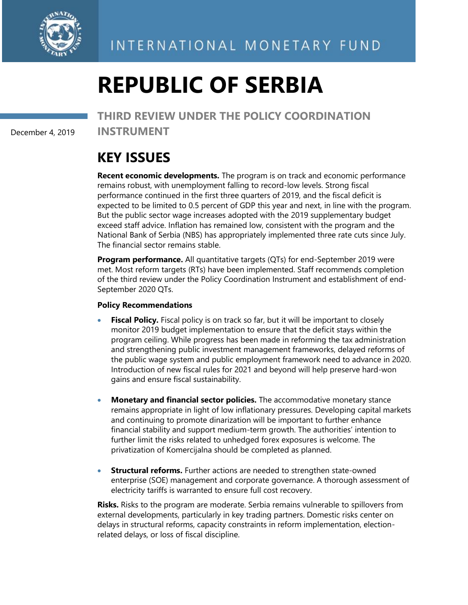

# **REPUBLIC OF SERBIA**

December 4, 2019

**THIRD REVIEW UNDER THE POLICY COORDINATION INSTRUMENT**

## **KEY ISSUES**

**Recent economic developments.** The program is on track and economic performance remains robust, with unemployment falling to record-low levels. Strong fiscal performance continued in the first three quarters of 2019, and the fiscal deficit is expected to be limited to 0.5 percent of GDP this year and next, in line with the program. But the public sector wage increases adopted with the 2019 supplementary budget exceed staff advice. Inflation has remained low, consistent with the program and the National Bank of Serbia (NBS) has appropriately implemented three rate cuts since July. The financial sector remains stable.

**Program performance.** All quantitative targets (QTs) for end-September 2019 were met. Most reform targets (RTs) have been implemented. Staff recommends completion of the third review under the Policy Coordination Instrument and establishment of end-September 2020 QTs.

### **Policy Recommendations**

- **Fiscal Policy.** Fiscal policy is on track so far, but it will be important to closely monitor 2019 budget implementation to ensure that the deficit stays within the program ceiling. While progress has been made in reforming the tax administration and strengthening public investment management frameworks, delayed reforms of the public wage system and public employment framework need to advance in 2020. Introduction of new fiscal rules for 2021 and beyond will help preserve hard-won gains and ensure fiscal sustainability.
- **Monetary and financial sector policies.** The accommodative monetary stance remains appropriate in light of low inflationary pressures. Developing capital markets and continuing to promote dinarization will be important to further enhance financial stability and support medium-term growth. The authorities' intention to further limit the risks related to unhedged forex exposures is welcome. The privatization of Komercijalna should be completed as planned.
- **Structural reforms.** Further actions are needed to strengthen state-owned enterprise (SOE) management and corporate governance. A thorough assessment of electricity tariffs is warranted to ensure full cost recovery.

**Risks.** Risks to the program are moderate. Serbia remains vulnerable to spillovers from external developments, particularly in key trading partners. Domestic risks center on delays in structural reforms, capacity constraints in reform implementation, electionrelated delays, or loss of fiscal discipline.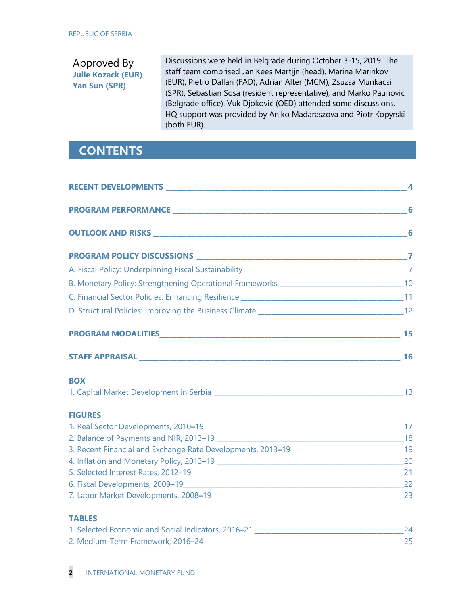### Approved By **Julie Kozack (EUR) Yan Sun (SPR)**

Discussions were held in Belgrade during October 3-15, 2019. The staff team comprised Jan Kees Martijn (head), Marina Marinkov (EUR), Pietro Dallari (FAD), Adrian Alter (MCM), Zsuzsa Munkacsi (SPR), Sebastian Sosa (resident representative), and Marko Paunović (Belgrade office). Vuk Djoković (OED) attended some discussions. HQ support was provided by Aniko Madaraszova and Piotr Kopyrski (both EUR).

### **CONTENTS**

| B. Monetary Policy: Strengthening Operational Frameworks___________________________________10 |  |
|-----------------------------------------------------------------------------------------------|--|
|                                                                                               |  |
|                                                                                               |  |
|                                                                                               |  |
|                                                                                               |  |
| <b>BOX</b>                                                                                    |  |
|                                                                                               |  |
| <b>FIGURES</b>                                                                                |  |
|                                                                                               |  |
|                                                                                               |  |
|                                                                                               |  |
|                                                                                               |  |
|                                                                                               |  |
|                                                                                               |  |
|                                                                                               |  |
| <b>TABLES</b>                                                                                 |  |

### 1. Selected Economic and Social Indicators, 2016**–**21 \_\_\_\_\_\_\_\_\_\_\_\_\_\_\_\_\_\_\_\_\_\_\_\_\_\_\_\_\_\_\_\_\_\_\_\_\_\_\_\_\_\_\_\_24 2. Medium-Term Framework, 2016**–**24\_\_\_\_\_\_\_\_\_\_\_\_\_\_\_\_\_\_\_\_\_\_\_\_\_\_\_\_\_\_\_\_\_\_\_\_\_\_\_\_\_\_\_\_\_\_\_\_\_\_\_\_\_\_\_\_\_\_\_25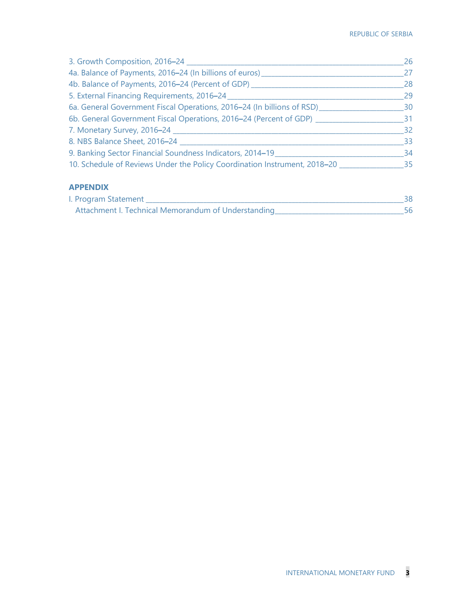| 3. Growth Composition, 2016-24 _______                                           | 26 |
|----------------------------------------------------------------------------------|----|
| 4a. Balance of Payments, 2016–24 (In billions of euros) ________________         | 27 |
| 4b. Balance of Payments, 2016–24 (Percent of GDP) __________                     | 28 |
| 5. External Financing Requirements, 2016-24                                      | 29 |
| 6a. General Government Fiscal Operations, 2016–24 (In billions of RSD)__________ | 30 |
| 6b. General Government Fiscal Operations, 2016–24 (Percent of GDP) _________     | 31 |
|                                                                                  | 32 |
| 8. NBS Balance Sheet, 2016-24                                                    | 33 |
| 9. Banking Sector Financial Soundness Indicators, 2014–19                        | 34 |
| 10. Schedule of Reviews Under the Policy Coordination Instrument, 2018-20        | 35 |
| <b>APPENDIX</b>                                                                  |    |
|                                                                                  |    |

| I. Program Statement                                |  |
|-----------------------------------------------------|--|
| Attachment I. Technical Memorandum of Understanding |  |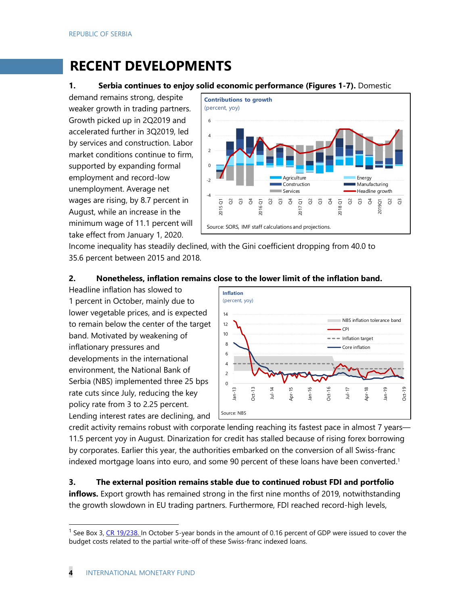### **RECENT DEVELOPMENTS**

### **1. Serbia continues to enjoy solid economic performance (Figures 1-7).** Domestic

demand remains strong, despite weaker growth in trading partners. Growth picked up in 2Q2019 and accelerated further in 3Q2019, led by services and construction. Labor market conditions continue to firm, supported by expanding formal employment and record-low unemployment. Average net wages are rising, by 8.7 percent in August, while an increase in the minimum wage of 11.1 percent will take effect from January 1, 2020.



Income inequality has steadily declined, with the Gini coefficient dropping from 40.0 to 35.6 percent between 2015 and 2018.

### **2. Nonetheless, inflation remains close to the lower limit of the inflation band.**

Headline inflation has slowed to 1 percent in October, mainly due to lower vegetable prices, and is expected to remain below the center of the target band. Motivated by weakening of inflationary pressures and developments in the international environment, the National Bank of Serbia (NBS) implemented three 25 bps rate cuts since July, reducing the key policy rate from 3 to 2.25 percent. Lending interest rates are declining, and



credit activity remains robust with corporate lending reaching its fastest pace in almost 7 years— 11.5 percent yoy in August. Dinarization for credit has stalled because of rising forex borrowing by corporates. Earlier this year, the authorities embarked on the conversion of all Swiss-franc indexed mortgage loans into euro, and some 90 percent of these loans have been converted.<sup>1</sup>

**3. The external position remains stable due to continued robust FDI and portfolio inflows.** Export growth has remained strong in the first nine months of 2019, notwithstanding the growth slowdown in EU trading partners. Furthermore, FDI reached record-high levels,

<sup>&</sup>lt;sup>1</sup> See Box 3, [CR 19/238.](https://www.imf.org/en/Publications/CR/Issues/2019/07/22/Republic-of-Serbia-Staff-Report-for-the-2019-Article-IV-Consultation-and-Second-Review-under-48511) In October 5-year bonds in the amount of 0.16 percent of GDP were issued to cover the budget costs related to the partial write-off of these Swiss-franc indexed loans.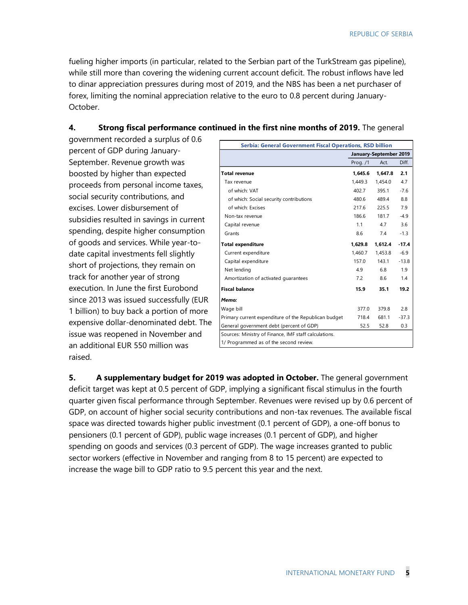fueling higher imports (in particular, related to the Serbian part of the TurkStream gas pipeline), while still more than covering the widening current account deficit. The robust inflows have led to dinar appreciation pressures during most of 2019, and the NBS has been a net purchaser of forex, limiting the nominal appreciation relative to the euro to 0.8 percent during January-October.

#### **4. Strong fiscal performance continued in the first nine months of 2019.** The general

government recorded a surplus of 0.6 percent of GDP during January-September. Revenue growth was boosted by higher than expected proceeds from personal income taxes, social security contributions, and excises. Lower disbursement of subsidies resulted in savings in current spending, despite higher consumption of goods and services. While year-todate capital investments fell slightly short of projections, they remain on track for another year of strong execution. In June the first Eurobond since 2013 was issued successfully (EUR 1 billion) to buy back a portion of more expensive dollar-denominated debt. The issue was reopened in November and an additional EUR 550 million was raised.

| <b>Serbia: General Government Fiscal Operations, RSD billion</b> |            |                        |         |
|------------------------------------------------------------------|------------|------------------------|---------|
|                                                                  |            | January-September 2019 |         |
|                                                                  | Prog. $/1$ | Act.                   | Diff.   |
| <b>Total revenue</b>                                             | 1.645.6    | 1.647.8                | 2.1     |
| Tax revenue                                                      | 1,449.3    | 1.454.0                | 4.7     |
| of which: VAT                                                    | 402.7      | 395.1                  | $-76$   |
| of which: Social security contributions                          | 480.6      | 489.4                  | 8.8     |
| of which: Excises                                                | 217.6      | 225.5                  | 7.9     |
| Non-tax revenue                                                  | 186.6      | 181.7                  | $-4.9$  |
| Capital revenue                                                  | 1.1        | 4.7                    | 3.6     |
| Grants                                                           | 8.6        | 7.4                    | $-1.3$  |
| <b>Total expenditure</b>                                         | 1,629.8    | 1,612.4                | $-17.4$ |
| Current expenditure                                              | 1.460.7    | 1.453.8                | $-6.9$  |
| Capital expenditure                                              | 157.0      | 143.1                  | $-13.8$ |
| Net lending                                                      | 4.9        | 6.8                    | 1.9     |
| Amortization of activated quarantees                             | 7.2        | 8.6                    | 1.4     |
| <b>Fiscal balance</b>                                            | 15.9       | 35.1                   | 19.2    |
| Memo:                                                            |            |                        |         |
| Wage bill                                                        | 377.0      | 379.8                  | 2.8     |
| Primary current expenditure of the Republican budget             | 718.4      | 681.1                  | $-37.3$ |
| General government debt (percent of GDP)                         | 52.5       | 52.8                   | 0.3     |
| Sources: Ministry of Finance, IMF staff calculations.            |            |                        |         |
| 1/ Programmed as of the second review.                           |            |                        |         |

**5. A supplementary budget for 2019 was adopted in October.** The general government deficit target was kept at 0.5 percent of GDP, implying a significant fiscal stimulus in the fourth quarter given fiscal performance through September. Revenues were revised up by 0.6 percent of GDP, on account of higher social security contributions and non-tax revenues. The available fiscal space was directed towards higher public investment (0.1 percent of GDP), a one-off bonus to pensioners (0.1 percent of GDP), public wage increases (0.1 percent of GDP), and higher spending on goods and services (0.3 percent of GDP). The wage increases granted to public sector workers (effective in November and ranging from 8 to 15 percent) are expected to increase the wage bill to GDP ratio to 9.5 percent this year and the next.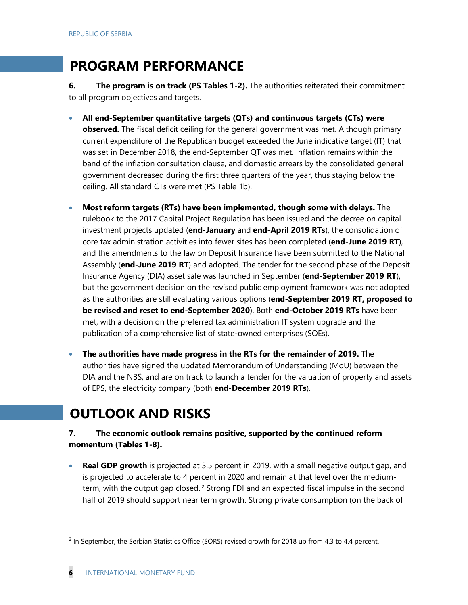### **PROGRAM PERFORMANCE**

**6. The program is on track (PS Tables 1-2).** The authorities reiterated their commitment to all program objectives and targets.

- **All end-September quantitative targets (QTs) and continuous targets (CTs) were observed.** The fiscal deficit ceiling for the general government was met. Although primary current expenditure of the Republican budget exceeded the June indicative target (IT) that was set in December 2018, the end-September QT was met. Inflation remains within the band of the inflation consultation clause, and domestic arrears by the consolidated general government decreased during the first three quarters of the year, thus staying below the ceiling. All standard CTs were met (PS Table 1b).
- **Most reform targets (RTs) have been implemented, though some with delays.** The rulebook to the 2017 Capital Project Regulation has been issued and the decree on capital investment projects updated (**end-January** and **end-April 2019 RTs**), the consolidation of core tax administration activities into fewer sites has been completed (**end-June 2019 RT**), and the amendments to the law on Deposit Insurance have been submitted to the National Assembly (**end-June 2019 RT**) and adopted. The tender for the second phase of the Deposit Insurance Agency (DIA) asset sale was launched in September (**end-September 2019 RT**), but the government decision on the revised public employment framework was not adopted as the authorities are still evaluating various options (**end-September 2019 RT, proposed to be revised and reset to end-September 2020**). Both **end-October 2019 RTs** have been met, with a decision on the preferred tax administration IT system upgrade and the publication of a comprehensive list of state-owned enterprises (SOEs).
- **The authorities have made progress in the RTs for the remainder of 2019.** The authorities have signed the updated Memorandum of Understanding (MoU) between the DIA and the NBS, and are on track to launch a tender for the valuation of property and assets of EPS, the electricity company (both **end-December 2019 RTs**).

### **OUTLOOK AND RISKS**

### **7. The economic outlook remains positive, supported by the continued reform momentum (Tables 1-8).**

**Real GDP growth** is projected at 3.5 percent in 2019, with a small negative output gap, and is projected to accelerate to 4 percent in 2020 and remain at that level over the mediumterm, with the output gap closed.<sup>2</sup> Strong FDI and an expected fiscal impulse in the second half of 2019 should support near term growth. Strong private consumption (on the back of

<sup>&</sup>lt;sup>2</sup> In September, the Serbian Statistics Office (SORS) revised growth for 2018 up from 4.3 to 4.4 percent.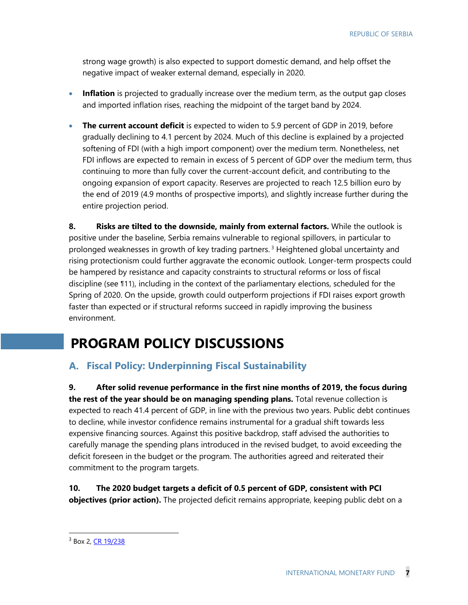strong wage growth) is also expected to support domestic demand, and help offset the negative impact of weaker external demand, especially in 2020.

- **Inflation** is projected to gradually increase over the medium term, as the output gap closes and imported inflation rises, reaching the midpoint of the target band by 2024.
- **The current account deficit** is expected to widen to 5.9 percent of GDP in 2019, before gradually declining to 4.1 percent by 2024. Much of this decline is explained by a projected softening of FDI (with a high import component) over the medium term. Nonetheless, net FDI inflows are expected to remain in excess of 5 percent of GDP over the medium term, thus continuing to more than fully cover the current-account deficit, and contributing to the ongoing expansion of export capacity. Reserves are projected to reach 12.5 billion euro by the end of 2019 (4.9 months of prospective imports), and slightly increase further during the entire projection period.

**8. Risks are tilted to the downside, mainly from external factors.** While the outlook is positive under the baseline, Serbia remains vulnerable to regional spillovers, in particular to prolonged weaknesses in growth of key trading partners.<sup>3</sup> Heightened global uncertainty and rising protectionism could further aggravate the economic outlook. Longer-term prospects could be hampered by resistance and capacity constraints to structural reforms or loss of fiscal discipline (see ¶11), including in the context of the parliamentary elections, scheduled for the Spring of 2020. On the upside, growth could outperform projections if FDI raises export growth faster than expected or if structural reforms succeed in rapidly improving the business environment.

### **PROGRAM POLICY DISCUSSIONS**

### **Fiscal Policy: Underpinning Fiscal Sustainability**

**9. After solid revenue performance in the first nine months of 2019, the focus during the rest of the year should be on managing spending plans.** Total revenue collection is expected to reach 41.4 percent of GDP, in line with the previous two years. Public debt continues to decline, while investor confidence remains instrumental for a gradual shift towards less expensive financing sources. Against this positive backdrop, staff advised the authorities to carefully manage the spending plans introduced in the revised budget, to avoid exceeding the deficit foreseen in the budget or the program. The authorities agreed and reiterated their commitment to the program targets.

### **10. The 2020 budget targets a deficit of 0.5 percent of GDP, consistent with PCI objectives (prior action).** The projected deficit remains appropriate, keeping public debt on a

<sup>&</sup>lt;sup>3</sup> Box 2, [CR 19/238](https://www.imf.org/en/Publications/CR/Issues/2019/07/22/Republic-of-Serbia-Staff-Report-for-the-2019-Article-IV-Consultation-and-Second-Review-under-48511)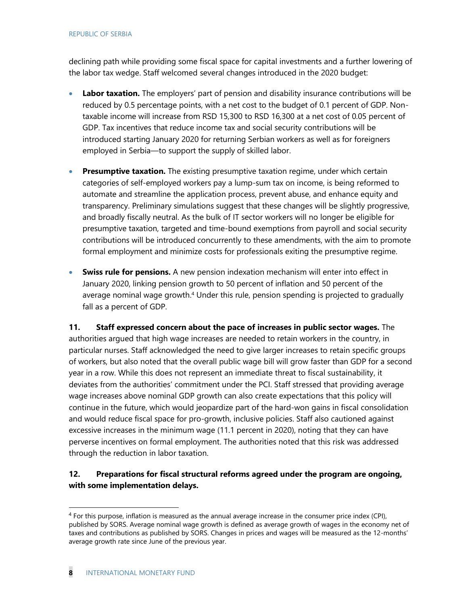declining path while providing some fiscal space for capital investments and a further lowering of the labor tax wedge. Staff welcomed several changes introduced in the 2020 budget:

- Labor taxation. The employers' part of pension and disability insurance contributions will be reduced by 0.5 percentage points, with a net cost to the budget of 0.1 percent of GDP. Nontaxable income will increase from RSD 15,300 to RSD 16,300 at a net cost of 0.05 percent of GDP. Tax incentives that reduce income tax and social security contributions will be introduced starting January 2020 for returning Serbian workers as well as for foreigners employed in Serbia—to support the supply of skilled labor.
- **Presumptive taxation.** The existing presumptive taxation regime, under which certain categories of self-employed workers pay a lump-sum tax on income, is being reformed to automate and streamline the application process, prevent abuse, and enhance equity and transparency. Preliminary simulations suggest that these changes will be slightly progressive, and broadly fiscally neutral. As the bulk of IT sector workers will no longer be eligible for presumptive taxation, targeted and time-bound exemptions from payroll and social security contributions will be introduced concurrently to these amendments, with the aim to promote formal employment and minimize costs for professionals exiting the presumptive regime.
- **Swiss rule for pensions.** A new pension indexation mechanism will enter into effect in January 2020, linking pension growth to 50 percent of inflation and 50 percent of the average nominal wage growth.<sup>4</sup> Under this rule, pension spending is projected to gradually fall as a percent of GDP.

**11. Staff expressed concern about the pace of increases in public sector wages.** The authorities argued that high wage increases are needed to retain workers in the country, in particular nurses. Staff acknowledged the need to give larger increases to retain specific groups of workers, but also noted that the overall public wage bill will grow faster than GDP for a second year in a row. While this does not represent an immediate threat to fiscal sustainability, it deviates from the authorities' commitment under the PCI. Staff stressed that providing average wage increases above nominal GDP growth can also create expectations that this policy will continue in the future, which would jeopardize part of the hard-won gains in fiscal consolidation and would reduce fiscal space for pro-growth, inclusive policies. Staff also cautioned against excessive increases in the minimum wage (11.1 percent in 2020), noting that they can have perverse incentives on formal employment. The authorities noted that this risk was addressed through the reduction in labor taxation.

### **12. Preparations for fiscal structural reforms agreed under the program are ongoing, with some implementation delays.**

<sup>&</sup>lt;sup>4</sup> For this purpose, inflation is measured as the annual average increase in the consumer price index (CPI), published by SORS. Average nominal wage growth is defined as average growth of wages in the economy net of taxes and contributions as published by SORS. Changes in prices and wages will be measured as the 12-months' average growth rate since June of the previous year.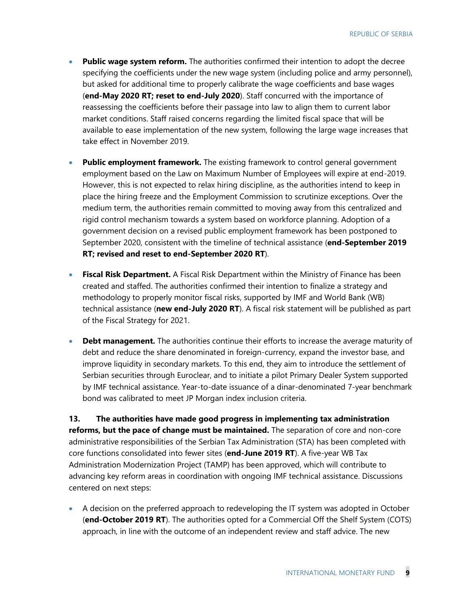- **Public wage system reform.** The authorities confirmed their intention to adopt the decree specifying the coefficients under the new wage system (including police and army personnel), but asked for additional time to properly calibrate the wage coefficients and base wages (**end-May 2020 RT; reset to end-July 2020**). Staff concurred with the importance of reassessing the coefficients before their passage into law to align them to current labor market conditions. Staff raised concerns regarding the limited fiscal space that will be available to ease implementation of the new system, following the large wage increases that take effect in November 2019.
- **Public employment framework.** The existing framework to control general government employment based on the Law on Maximum Number of Employees will expire at end-2019. However, this is not expected to relax hiring discipline, as the authorities intend to keep in place the hiring freeze and the Employment Commission to scrutinize exceptions. Over the medium term, the authorities remain committed to moving away from this centralized and rigid control mechanism towards a system based on workforce planning. Adoption of a government decision on a revised public employment framework has been postponed to September 2020, consistent with the timeline of technical assistance (**end-September 2019 RT; revised and reset to end-September 2020 RT**).
- **Fiscal Risk Department.** A Fiscal Risk Department within the Ministry of Finance has been created and staffed. The authorities confirmed their intention to finalize a strategy and methodology to properly monitor fiscal risks, supported by IMF and World Bank (WB) technical assistance (**new end-July 2020 RT**). A fiscal risk statement will be published as part of the Fiscal Strategy for 2021.
- **Debt management.** The authorities continue their efforts to increase the average maturity of debt and reduce the share denominated in foreign-currency, expand the investor base, and improve liquidity in secondary markets. To this end, they aim to introduce the settlement of Serbian securities through Euroclear, and to initiate a pilot Primary Dealer System supported by IMF technical assistance. Year-to-date issuance of a dinar-denominated 7-year benchmark bond was calibrated to meet JP Morgan index inclusion criteria.

**13. The authorities have made good progress in implementing tax administration reforms, but the pace of change must be maintained.** The separation of core and non-core administrative responsibilities of the Serbian Tax Administration (STA) has been completed with core functions consolidated into fewer sites (**end-June 2019 RT**). A five-year WB Tax Administration Modernization Project (TAMP) has been approved, which will contribute to advancing key reform areas in coordination with ongoing IMF technical assistance. Discussions centered on next steps:

• A decision on the preferred approach to redeveloping the IT system was adopted in October (**end-October 2019 RT**). The authorities opted for a Commercial Off the Shelf System (COTS) approach, in line with the outcome of an independent review and staff advice. The new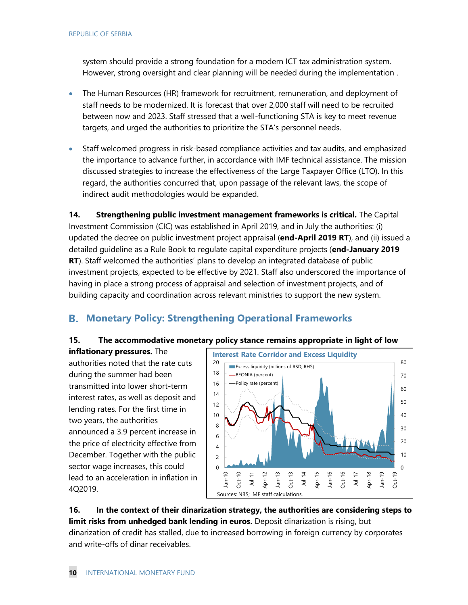system should provide a strong foundation for a modern ICT tax administration system. However, strong oversight and clear planning will be needed during the implementation .

- The Human Resources (HR) framework for recruitment, remuneration, and deployment of staff needs to be modernized. It is forecast that over 2,000 staff will need to be recruited between now and 2023. Staff stressed that a well-functioning STA is key to meet revenue targets, and urged the authorities to prioritize the STA's personnel needs.
- Staff welcomed progress in risk-based compliance activities and tax audits, and emphasized the importance to advance further, in accordance with IMF technical assistance. The mission discussed strategies to increase the effectiveness of the Large Taxpayer Office (LTO). In this regard, the authorities concurred that, upon passage of the relevant laws, the scope of indirect audit methodologies would be expanded.

**14. Strengthening public investment management frameworks is critical.** The Capital Investment Commission (CIC) was established in April 2019, and in July the authorities: (i) updated the decree on public investment project appraisal (**end-April 2019 RT**), and (ii) issued a detailed guideline as a Rule Book to regulate capital expenditure projects (**end-January 2019 RT**). Staff welcomed the authorities' plans to develop an integrated database of public investment projects, expected to be effective by 2021. Staff also underscored the importance of having in place a strong process of appraisal and selection of investment projects, and of building capacity and coordination across relevant ministries to support the new system.

### **Monetary Policy: Strengthening Operational Frameworks**

### **15. The accommodative monetary policy stance remains appropriate in light of low**

### **inflationary pressures.** The

authorities noted that the rate cuts during the summer had been transmitted into lower short-term interest rates, as well as deposit and lending rates. For the first time in two years, the authorities announced a 3.9 percent increase in the price of electricity effective from December. Together with the public sector wage increases, this could lead to an acceleration in inflation in 4Q2019.



**16. In the context of their dinarization strategy, the authorities are considering steps to limit risks from unhedged bank lending in euros.** Deposit dinarization is rising, but dinarization of credit has stalled, due to increased borrowing in foreign currency by corporates and write-offs of dinar receivables.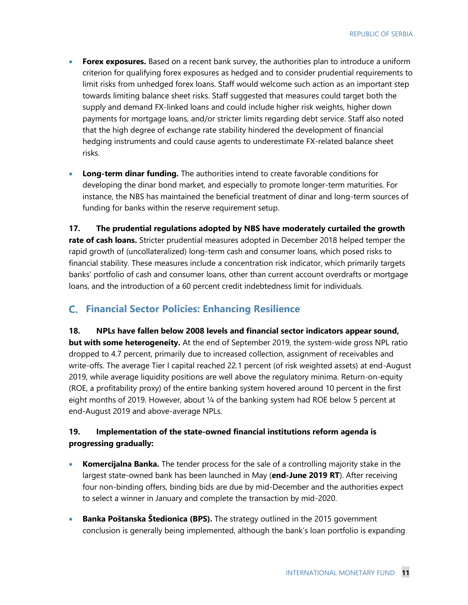- **Forex exposures.** Based on a recent bank survey, the authorities plan to introduce a uniform criterion for qualifying forex exposures as hedged and to consider prudential requirements to limit risks from unhedged forex loans. Staff would welcome such action as an important step towards limiting balance sheet risks. Staff suggested that measures could target both the supply and demand FX-linked loans and could include higher risk weights, higher down payments for mortgage loans, and/or stricter limits regarding debt service. Staff also noted that the high degree of exchange rate stability hindered the development of financial hedging instruments and could cause agents to underestimate FX-related balance sheet risks.
- **Long-term dinar funding.** The authorities intend to create favorable conditions for developing the dinar bond market, and especially to promote longer-term maturities. For instance, the NBS has maintained the beneficial treatment of dinar and long-term sources of funding for banks within the reserve requirement setup.

**17. The prudential regulations adopted by NBS have moderately curtailed the growth rate of cash loans.** Stricter prudential measures adopted in December 2018 helped temper the rapid growth of (uncollateralized) long-term cash and consumer loans, which posed risks to financial stability. These measures include a concentration risk indicator, which primarily targets banks' portfolio of cash and consumer loans, other than current account overdrafts or mortgage loans, and the introduction of a 60 percent credit indebtedness limit for individuals.

### **Financial Sector Policies: Enhancing Resilience**

**18. NPLs have fallen below 2008 levels and financial sector indicators appear sound, but with some heterogeneity.** At the end of September 2019, the system-wide gross NPL ratio dropped to 4.7 percent, primarily due to increased collection, assignment of receivables and write-offs. The average Tier I capital reached 22.1 percent (of risk weighted assets) at end-August 2019, while average liquidity positions are well above the regulatory minima. Return-on-equity (ROE, a profitability proxy) of the entire banking system hovered around 10 percent in the first eight months of 2019. However, about 1/4 of the banking system had ROE below 5 percent at end-August 2019 and above-average NPLs.

### **19. Implementation of the state-owned financial institutions reform agenda is progressing gradually:**

- **Komercijalna Banka.** The tender process for the sale of a controlling majority stake in the largest state-owned bank has been launched in May (**end-June 2019 RT**). After receiving four non-binding offers, binding bids are due by mid-December and the authorities expect to select a winner in January and complete the transaction by mid-2020.
- **Banka Poštanska Štedionica (BPS).** The strategy outlined in the 2015 government conclusion is generally being implemented, although the bank's loan portfolio is expanding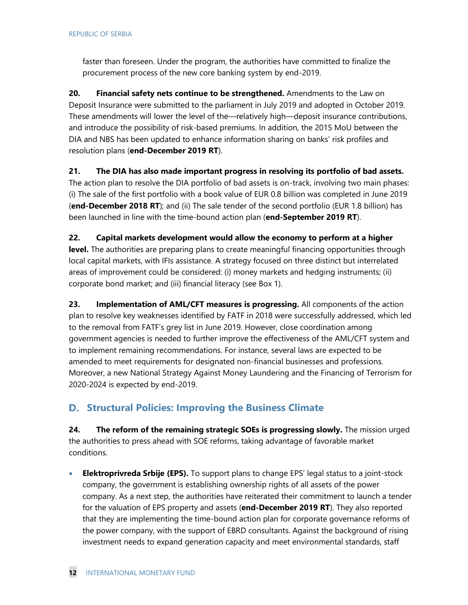faster than foreseen. Under the program, the authorities have committed to finalize the procurement process of the new core banking system by end-2019.

**20. Financial safety nets continue to be strengthened.** Amendments to the Law on Deposit Insurance were submitted to the parliament in July 2019 and adopted in October 2019. These amendments will lower the level of the—relatively high—deposit insurance contributions, and introduce the possibility of risk-based premiums. In addition, the 2015 MoU between the DIA and NBS has been updated to enhance information sharing on banks' risk profiles and resolution plans (**end-December 2019 RT**).

### **21. The DIA has also made important progress in resolving its portfolio of bad assets.**

The action plan to resolve the DIA portfolio of bad assets is on-track, involving two main phases: (i) The sale of the first portfolio with a book value of EUR 0.8 billion was completed in June 2019 (**end-December 2018 RT**); and (ii) The sale tender of the second portfolio (EUR 1.8 billion) has been launched in line with the time-bound action plan (**end-September 2019 RT**).

### **22. Capital markets development would allow the economy to perform at a higher**

**level.** The authorities are preparing plans to create meaningful financing opportunities through local capital markets, with IFIs assistance. A strategy focused on three distinct but interrelated areas of improvement could be considered: (i) money markets and hedging instruments; (ii) corporate bond market; and (iii) financial literacy (see Box 1).

**23. Implementation of AML/CFT measures is progressing.** All components of the action plan to resolve key weaknesses identified by FATF in 2018 were successfully addressed, which led to the removal from FATF's grey list in June 2019. However, close coordination among government agencies is needed to further improve the effectiveness of the AML/CFT system and to implement remaining recommendations. For instance, several laws are expected to be amended to meet requirements for designated non-financial businesses and professions. Moreover, a new National Strategy Against Money Laundering and the Financing of Terrorism for 2020-2024 is expected by end-2019.

### **Structural Policies: Improving the Business Climate**

**24. The reform of the remaining strategic SOEs is progressing slowly.** The mission urged the authorities to press ahead with SOE reforms, taking advantage of favorable market conditions.

• **Elektroprivreda Srbije (EPS).** To support plans to change EPS' legal status to a joint-stock company, the government is establishing ownership rights of all assets of the power company. As a next step, the authorities have reiterated their commitment to launch a tender for the valuation of EPS property and assets (**end-December 2019 RT**). They also reported that they are implementing the time-bound action plan for corporate governance reforms of the power company, with the support of EBRD consultants. Against the background of rising investment needs to expand generation capacity and meet environmental standards, staff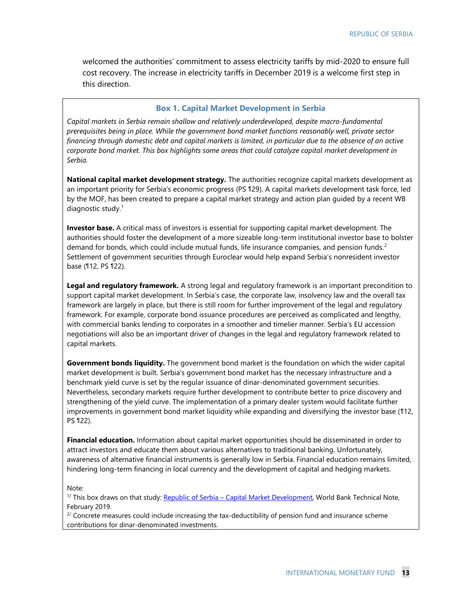welcomed the authorities' commitment to assess electricity tariffs by mid-2020 to ensure full cost recovery. The increase in electricity tariffs in December 2019 is a welcome first step in this direction.

#### **Box 1. Capital Market Development in Serbia**

*Capital markets in Serbia remain shallow and relatively underdeveloped, despite macro-fundamental prerequisites being in place. While the government bond market functions reasonably well, private sector financing through domestic debt and capital markets is limited, in particular due to the absence of an active corporate bond market. This box highlights some areas that could catalyze capital market development in Serbia.* 

**National capital market development strategy.** The authorities recognize capital markets development as an important priority for Serbia's economic progress (PS ¶29). A capital markets development task force, led by the MOF, has been created to prepare a capital market strategy and action plan guided by a recent WB diagnostic study.<sup>1</sup>

**Investor base.** A critical mass of investors is essential for supporting capital market development. The authorities should foster the development of a more sizeable long-term institutional investor base to bolster demand for bonds, which could include mutual funds, life insurance companies, and pension funds.<sup>2</sup> Settlement of government securities through Euroclear would help expand Serbia's nonresident investor base (¶12, PS ¶22).

**Legal and regulatory framework.** A strong legal and regulatory framework is an important precondition to support capital market development. In Serbia's case, the corporate law, insolvency law and the overall tax framework are largely in place, but there is still room for further improvement of the legal and regulatory framework. For example, corporate bond issuance procedures are perceived as complicated and lengthy, with commercial banks lending to corporates in a smoother and timelier manner. Serbia's EU accession negotiations will also be an important driver of changes in the legal and regulatory framework related to capital markets.

**Government bonds liquidity.** The government bond market is the foundation on which the wider capital market development is built. Serbia's government bond market has the necessary infrastructure and a benchmark yield curve is set by the regular issuance of dinar-denominated government securities. Nevertheless, secondary markets require further development to contribute better to price discovery and strengthening of the yield curve. The implementation of a primary dealer system would facilitate further improvements in government bond market liquidity while expanding and diversifying the investor base (¶12, PS ¶22).

**Financial education.** Information about capital market opportunities should be disseminated in order to attract investors and educate them about various alternatives to traditional banking. Unfortunately, awareness of alternative financial instruments is generally low in Serbia. Financial education remains limited, hindering long-term financing in local currency and the development of capital and hedging markets.

Note:

<sup>1/</sup> This box draws on that study: Republic of Serbia – [Capital Market Development,](https://openknowledge.worldbank.org/bitstream/handle/10986/32043/Serbia-Capital-Market-Development-Technical-Note.pdf?sequence=1&isAllowed=y) World Bank Technical Note, February 2019.

 $2/$  Concrete measures could include increasing the tax-deductibility of pension fund and insurance scheme contributions for dinar-denominated investments.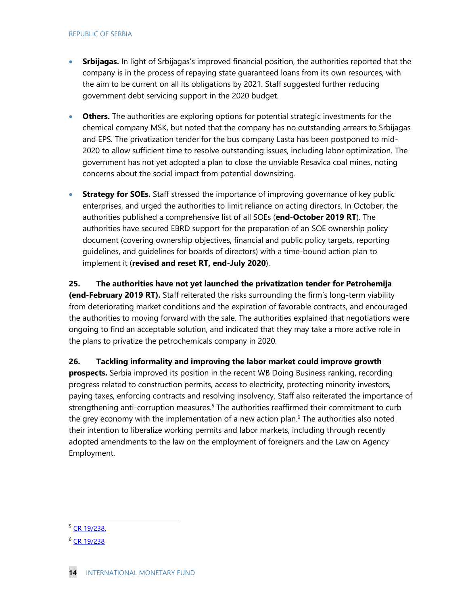#### REPUBLIC OF SERBIA

- **Srbijagas.** In light of Srbijagas's improved financial position, the authorities reported that the company is in the process of repaying state guaranteed loans from its own resources, with the aim to be current on all its obligations by 2021. Staff suggested further reducing government debt servicing support in the 2020 budget.
- **Others.** The authorities are exploring options for potential strategic investments for the chemical company MSK, but noted that the company has no outstanding arrears to Srbijagas and EPS. The privatization tender for the bus company Lasta has been postponed to mid-2020 to allow sufficient time to resolve outstanding issues, including labor optimization. The government has not yet adopted a plan to close the unviable Resavica coal mines, noting concerns about the social impact from potential downsizing.
- **Strategy for SOEs.** Staff stressed the importance of improving governance of key public enterprises, and urged the authorities to limit reliance on acting directors. In October, the authorities published a comprehensive list of all SOEs (**end-October 2019 RT**). The authorities have secured EBRD support for the preparation of an SOE ownership policy document (covering ownership objectives, financial and public policy targets, reporting guidelines, and guidelines for boards of directors) with a time-bound action plan to implement it (**revised and reset RT, end-July 2020**).

**25. The authorities have not yet launched the privatization tender for Petrohemija (end-February 2019 RT).** Staff reiterated the risks surrounding the firm's long-term viability from deteriorating market conditions and the expiration of favorable contracts, and encouraged the authorities to moving forward with the sale. The authorities explained that negotiations were ongoing to find an acceptable solution, and indicated that they may take a more active role in the plans to privatize the petrochemicals company in 2020.

**26. Tackling informality and improving the labor market could improve growth** 

**prospects.** Serbia improved its position in the recent WB Doing Business ranking, recording progress related to construction permits, access to electricity, protecting minority investors, paying taxes, enforcing contracts and resolving insolvency. Staff also reiterated the importance of strengthening anti-corruption measures.<sup>5</sup> The authorities reaffirmed their commitment to curb the grey economy with the implementation of a new action plan.<sup>6</sup> The authorities also noted their intention to liberalize working permits and labor markets, including through recently adopted amendments to the law on the employment of foreigners and the Law on Agency Employment.

<sup>5</sup> [CR 19/238.](https://www.imf.org/en/Publications/CR/Issues/2019/07/22/Republic-of-Serbia-Staff-Report-for-the-2019-Article-IV-Consultation-and-Second-Review-under-48511)

<sup>6</sup> [CR 19/238](https://www.imf.org/en/Publications/CR/Issues/2019/07/22/Republic-of-Serbia-Staff-Report-for-the-2019-Article-IV-Consultation-and-Second-Review-under-48511)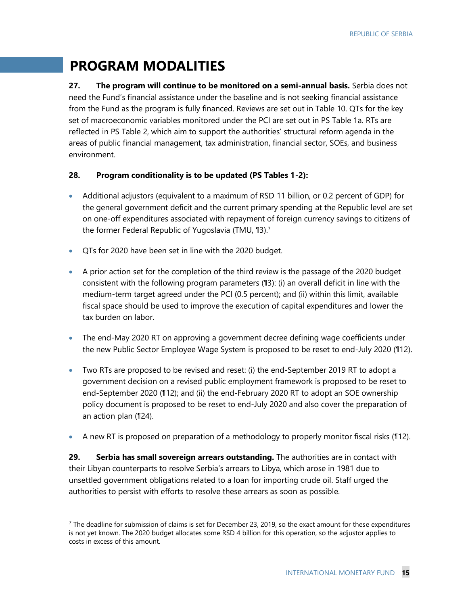### **PROGRAM MODALITIES**

**27. The program will continue to be monitored on a semi-annual basis.** Serbia does not need the Fund's financial assistance under the baseline and is not seeking financial assistance from the Fund as the program is fully financed. Reviews are set out in Table 10. QTs for the key set of macroeconomic variables monitored under the PCI are set out in PS Table 1a. RTs are reflected in PS Table 2, which aim to support the authorities' structural reform agenda in the areas of public financial management, tax administration, financial sector, SOEs, and business environment.

### **28. Program conditionality is to be updated (PS Tables 1-2):**

- Additional adjustors (equivalent to a maximum of RSD 11 billion, or 0.2 percent of GDP) for the general government deficit and the current primary spending at the Republic level are set on one-off expenditures associated with repayment of foreign currency savings to citizens of the former Federal Republic of Yugoslavia (TMU, ¶3). 7
- QTs for 2020 have been set in line with the 2020 budget.

 $\overline{\phantom{a}}$ 

- A prior action set for the completion of the third review is the passage of the 2020 budget consistent with the following program parameters (¶3): (i) an overall deficit in line with the medium-term target agreed under the PCI (0.5 percent); and (ii) within this limit, available fiscal space should be used to improve the execution of capital expenditures and lower the tax burden on labor.
- The end-May 2020 RT on approving a government decree defining wage coefficients under the new Public Sector Employee Wage System is proposed to be reset to end-July 2020 (¶12).
- Two RTs are proposed to be revised and reset: (i) the end-September 2019 RT to adopt a government decision on a revised public employment framework is proposed to be reset to end-September 2020 (¶12); and (ii) the end-February 2020 RT to adopt an SOE ownership policy document is proposed to be reset to end-July 2020 and also cover the preparation of an action plan (¶24).
- A new RT is proposed on preparation of a methodology to properly monitor fiscal risks (¶12).

**29. Serbia has small sovereign arrears outstanding.** The authorities are in contact with their Libyan counterparts to resolve Serbia's arrears to Libya, which arose in 1981 due to unsettled government obligations related to a loan for importing crude oil. Staff urged the authorities to persist with efforts to resolve these arrears as soon as possible.

 $7$  The deadline for submission of claims is set for December 23, 2019, so the exact amount for these expenditures is not yet known. The 2020 budget allocates some RSD 4 billion for this operation, so the adjustor applies to costs in excess of this amount.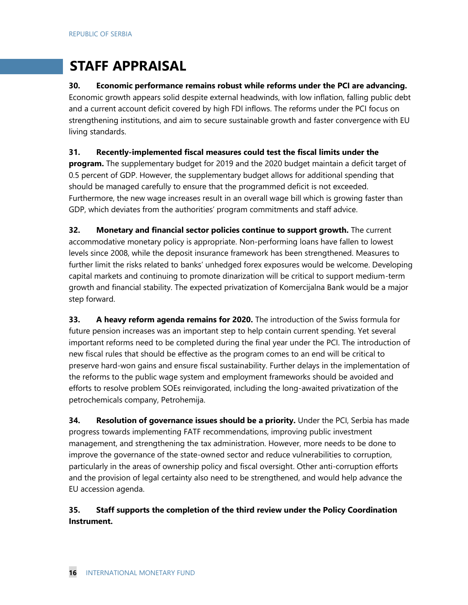### **STAFF APPRAISAL**

### **30. Economic performance remains robust while reforms under the PCI are advancing.**

Economic growth appears solid despite external headwinds, with low inflation, falling public debt and a current account deficit covered by high FDI inflows. The reforms under the PCI focus on strengthening institutions, and aim to secure sustainable growth and faster convergence with EU living standards.

### **31. Recently-implemented fiscal measures could test the fiscal limits under the**

**program.** The supplementary budget for 2019 and the 2020 budget maintain a deficit target of 0.5 percent of GDP. However, the supplementary budget allows for additional spending that should be managed carefully to ensure that the programmed deficit is not exceeded. Furthermore, the new wage increases result in an overall wage bill which is growing faster than GDP, which deviates from the authorities' program commitments and staff advice.

**32. Monetary and financial sector policies continue to support growth.** The current accommodative monetary policy is appropriate. Non-performing loans have fallen to lowest levels since 2008, while the deposit insurance framework has been strengthened. Measures to further limit the risks related to banks' unhedged forex exposures would be welcome. Developing capital markets and continuing to promote dinarization will be critical to support medium-term growth and financial stability. The expected privatization of Komercijalna Bank would be a major step forward.

**33. A heavy reform agenda remains for 2020.** The introduction of the Swiss formula for future pension increases was an important step to help contain current spending. Yet several important reforms need to be completed during the final year under the PCI. The introduction of new fiscal rules that should be effective as the program comes to an end will be critical to preserve hard-won gains and ensure fiscal sustainability. Further delays in the implementation of the reforms to the public wage system and employment frameworks should be avoided and efforts to resolve problem SOEs reinvigorated, including the long-awaited privatization of the petrochemicals company, Petrohemija.

**34. Resolution of governance issues should be a priority.** Under the PCI, Serbia has made progress towards implementing FATF recommendations, improving public investment management, and strengthening the tax administration. However, more needs to be done to improve the governance of the state-owned sector and reduce vulnerabilities to corruption, particularly in the areas of ownership policy and fiscal oversight. Other anti-corruption efforts and the provision of legal certainty also need to be strengthened, and would help advance the EU accession agenda.

### **35. Staff supports the completion of the third review under the Policy Coordination Instrument.**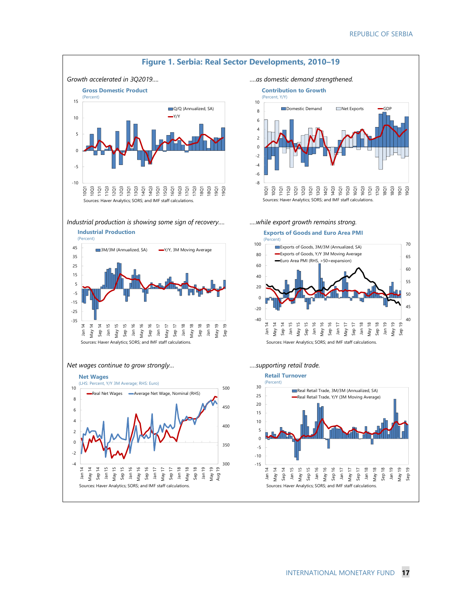

#### **Figure 1. Serbia: Real Sector Developments, 2010–19**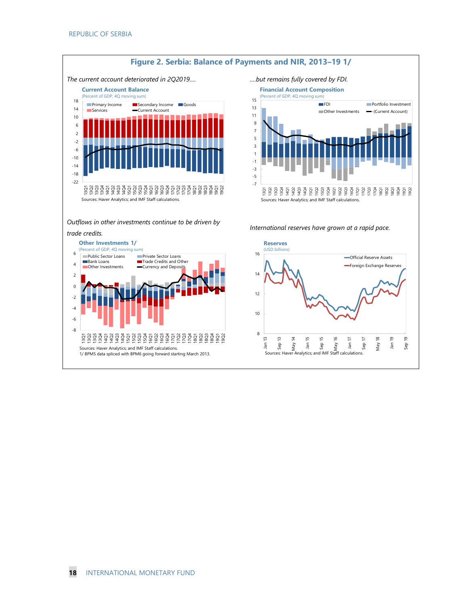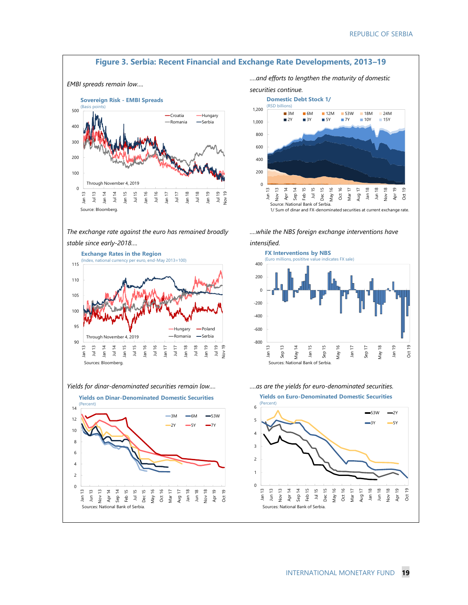

2 3

Jan 13 Jun 13 Jul 13 Nov 13 Apr 14 Tenness National Bank of Serbia.<br>The Interness National Bank of Serbia.<br>Sources: National Bank of Serbia.

 $\overline{0}$  $\overline{2}$ 4 6 8

Sources: National Bank of Serbia. Oct 19<sup>0</sup> 1 4 Jan 13 Jun 13 Nov 13 Apr 14 Sep 14 Feb 15 Jul 15 Dec 15 May 16 Oct 16 Mar 17 Aug 17 Jan 18 Jun 18 Nov 18 Apr 19 Sep 19 Sources: National Bank of Serbia. Oct 19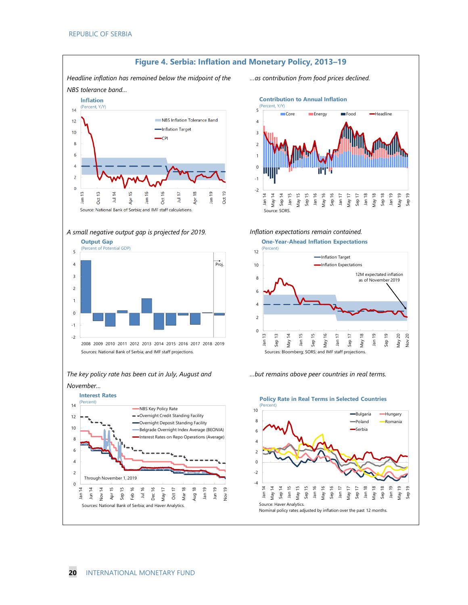

*A small negative output gap is projected for 2019. Inflation expectations remain contained.*



Sources: National Bank of Serbia; and IMF staff projections.

#### *The key policy rate has been cut in July, August and*

*November…*



*…as contribution from food prices declined.*

**Figure 4. Serbia: Inflation and Monetary Policy, 2013–19**



**One-Year-Ahead Inflation Expectations**  (Percent)



*…but remains above peer countries in real terms.*



### **Policy Rate in Real Terms in Selected Countries**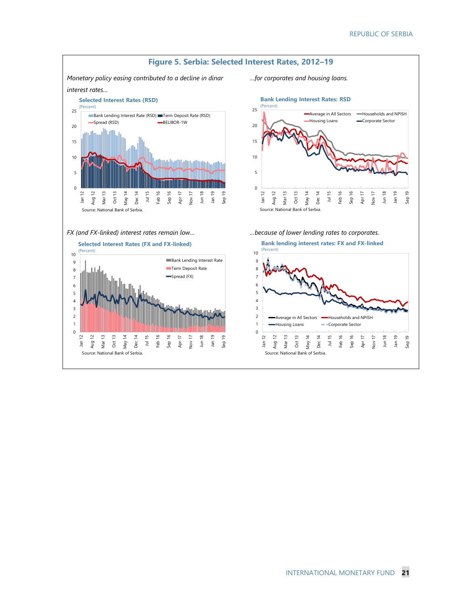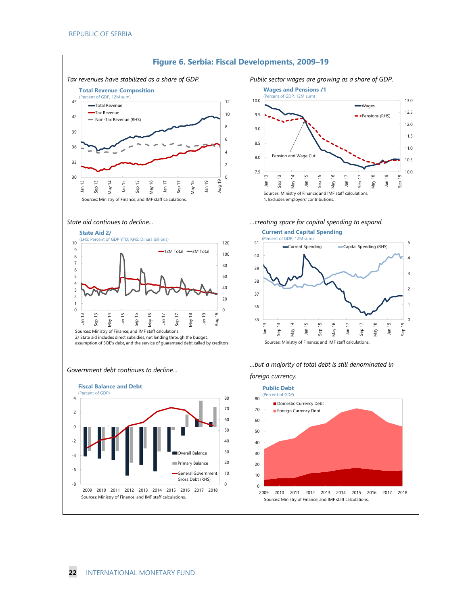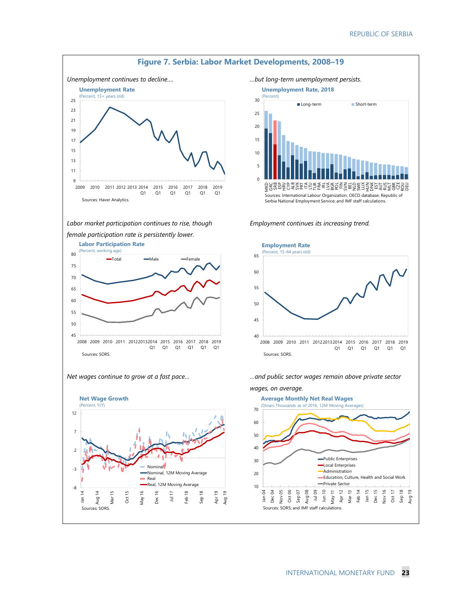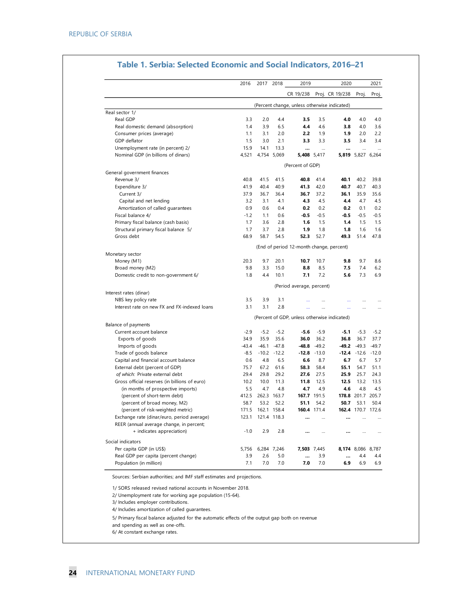| Real sector 1/<br>Real GDP<br>Real domestic demand (absorption)<br>Consumer prices (average)<br>GDP deflator | 3.3            |                    |                | CR 19/238                                    |           | Proj. CR 19/238                              | Proj.               | Proj.  |
|--------------------------------------------------------------------------------------------------------------|----------------|--------------------|----------------|----------------------------------------------|-----------|----------------------------------------------|---------------------|--------|
|                                                                                                              |                |                    |                |                                              |           |                                              |                     |        |
|                                                                                                              |                |                    |                |                                              |           | (Percent change, unless otherwise indicated) |                     |        |
|                                                                                                              |                |                    |                |                                              |           |                                              |                     |        |
|                                                                                                              |                | 2.0                | 4.4            | 3.5                                          | 3.5       | 4.0                                          | 4.0                 | 4.0    |
|                                                                                                              | 1.4            | 3.9                | 6.5            | 4.4                                          | 4.6       | 3.8                                          | 4.0                 | 3.6    |
|                                                                                                              | 1.1            | 3.1                | 2.0            | 2.2                                          | 1.9       | 1.9                                          | 2.0                 | 2.2    |
|                                                                                                              | 1.5            | 3.0                | 2.1            | 3.3                                          | 3.3       | 3.5                                          | 3.4                 | 3.4    |
| Unemployment rate (in percent) 2/                                                                            | 15.9           | 14.1               | 13.3           | $\ddotsc$                                    |           |                                              |                     |        |
| Nominal GDP (in billions of dinars)                                                                          | 4,521          |                    | 4,754 5,069    | 5,408 5,417                                  |           |                                              | 5,819 5,827 6,264   |        |
|                                                                                                              |                |                    |                | (Percent of GDP)                             |           |                                              |                     |        |
| General government finances                                                                                  |                |                    |                |                                              |           |                                              |                     |        |
| Revenue 3/                                                                                                   | 40.8           | 41.5               | 41.5           | 40.8                                         | 41.4      | 40.1                                         | 40.2                | 39.8   |
| Expenditure 3/                                                                                               | 41.9           | 40.4               | 40.9           | 41.3                                         | 42.0      | 40.7                                         | 40.7                | 40.3   |
| Current 3/                                                                                                   | 37.9           | 36.7               | 36.4           | 36.7                                         | 37.2      | 36.1                                         | 35.9                | 35.6   |
| Capital and net lending                                                                                      | 3.2            | 3.1                | 4.1            | 4.3                                          | 4.5       | 4.4                                          | 4.7                 | 4.5    |
| Amortization of called quarantees                                                                            | 0.9            | 0.6                | 0.4            | 0.2                                          | 0.2       | 0.2                                          | 0.1                 | 0.2    |
| Fiscal balance 4/                                                                                            | $-1.2$         | 1.1                | 0.6            | $-0.5$                                       | $-0.5$    | $-0.5$                                       | $-0.5$              | $-0.5$ |
| Primary fiscal balance (cash basis)                                                                          | 1.7            | 3.6                | 2.8            | 1.6                                          | 1.5       | 1.4                                          | 1.5                 | 1.5    |
| Structural primary fiscal balance 5/                                                                         | 1.7            | 3.7                | 2.8            | 1.9                                          | 1.8       | 1.8                                          | 1.6                 | 1.6    |
| Gross debt                                                                                                   | 68.9           | 58.7               | 54.5           | 52.3                                         | 52.7      | 49.3                                         | 51.4                | 47.8   |
|                                                                                                              |                |                    |                | (End of period 12-month change, percent)     |           |                                              |                     |        |
| Monetary sector                                                                                              |                |                    |                |                                              |           |                                              |                     |        |
| Money (M1)                                                                                                   | 20.3           | 9.7                | 20.1           | 10.7                                         | 10.7      | 9.8                                          | 9.7                 | 8.6    |
| Broad money (M2)                                                                                             | 9.8            | 3.3                | 15.0           | 8.8                                          | 8.5       | 7.5                                          | 7.4                 | 6.2    |
| Domestic credit to non-government 6/                                                                         | 1.8            | 4.4                | 10.1           | 7.1                                          | 7.2       | 5.6                                          | 7.3                 | 6.9    |
|                                                                                                              |                |                    |                | (Period average, percent)                    |           |                                              |                     |        |
| Interest rates (dinar)                                                                                       |                |                    |                |                                              |           |                                              |                     |        |
| NBS key policy rate                                                                                          | 3.5            | 3.9                | 3.1            | $\ddotsc$                                    | $\ddotsc$ | $\ddotsc$                                    | $\ddotsc$           |        |
| Interest rate on new FX and FX-indexed loans                                                                 | 3.1            | 3.1                | 2.8            | $\ddotsc$                                    | $\ddotsc$ | $\ddotsc$                                    | $\ddotsc$           |        |
|                                                                                                              |                |                    |                | (Percent of GDP, unless otherwise indicated) |           |                                              |                     |        |
| Balance of payments                                                                                          |                |                    |                |                                              |           |                                              |                     |        |
| Current account balance                                                                                      | $-2.9$<br>34.9 | $-5.2$<br>35.9     | $-5.2$<br>35.6 | $-5.6$<br>36.0                               | $-5.9$    | $-5.1$<br>36.8                               | $-5.3$<br>36.7      | $-5.2$ |
| Exports of goods                                                                                             |                |                    |                |                                              | 36.2      |                                              |                     | 37.7   |
| Imports of goods                                                                                             | $-43.4$        | $-46.1$            | $-47.8$        | $-48.8$                                      | $-49.2$   |                                              | $-49.2 -49.3 -49.7$ |        |
| Trade of goods balance                                                                                       | $-8.5$         | $-10.2$            | $-12.2$        | $-12.8$                                      | $-13.0$   | $-12.4$                                      | $-12.6 -12.0$       | 5.7    |
| Capital and financial account balance                                                                        | 0.6            | 4.8                | 6.5            | 6.6                                          | 8.7       | 6.7                                          | 6.7                 |        |
| External debt (percent of GDP)                                                                               | 75.7           | 67.2               | 61.6           | 58.3                                         | 58.4      | 55.1                                         | 54.7                | 51.1   |
| of which: Private external debt                                                                              | 29.4           | 29.8               | 29.2           | 27.6                                         | 27.5      | 25.9                                         | 25.7                | 24.3   |
| Gross official reserves (in billions of euro)                                                                | 10.2           | 10.0               | 11.3           | 11.8                                         | 12.5      | 12.5                                         | 13.2                | 13.5   |
| (in months of prospective imports)                                                                           | 5.5            | 4.7                | 4.8            | 4.7                                          | 4.9       | 4.6                                          | 4.8                 | 4.5    |
| (percent of short-term debt)                                                                                 | 412.5          |                    | 262.3 163.7    | 167.7 191.5                                  |           |                                              | 178.8 201.7 205.7   |        |
| (percent of broad money, M2)                                                                                 | 58.7           | 53.2               | 52.2           | 51.1                                         | 54.2      | 50.7                                         | 53.1                | 50.4   |
| (percent of risk-weighted metric)                                                                            | 171.5          |                    | 162.1 158.4    | 160.4 171.4                                  |           |                                              | 162.4 170.7 172.6   |        |
| Exchange rate (dinar/euro, period average)                                                                   | 123.1          |                    | 121.4 118.3    |                                              |           |                                              | $\ddotsc$           |        |
| REER (annual average change, in percent;<br>+ indicates appreciation)                                        | $-1.0$         | 2.9                | 2.8            |                                              |           |                                              |                     |        |
|                                                                                                              |                |                    |                |                                              |           |                                              |                     |        |
| Social indicators                                                                                            |                |                    |                |                                              |           |                                              |                     |        |
| Per capita GDP (in US\$)                                                                                     | 5,756          | 6,284 7,246<br>2.6 |                | 7,503 7,445                                  |           |                                              | 8,174 8,086 8,787   |        |
| Real GDP per capita (percent change)                                                                         | 3.9<br>7.1     | 7.0                | 5.0<br>7.0     | $\ddotsc$<br>7.0                             | 3.9       | $\ddotsc$                                    | 4.4                 | 4.4    |

### **Table 1. Serbia: Selected Economic and Social Indicators, 2016–21**

Sources: Serbian authorities; and IMF staff estimates and projections.

1/ SORS released revised national accounts in November 2018.

2/ Unemployment rate for working age population (15-64).

3/ Includes employer contributions.

4/ Includes amortization of called guarantees.

5/ Primary fiscal balance adjusted for the automatic effects of the output gap both on revenue

and spending as well as one-offs.

6/ At constant exchange rates.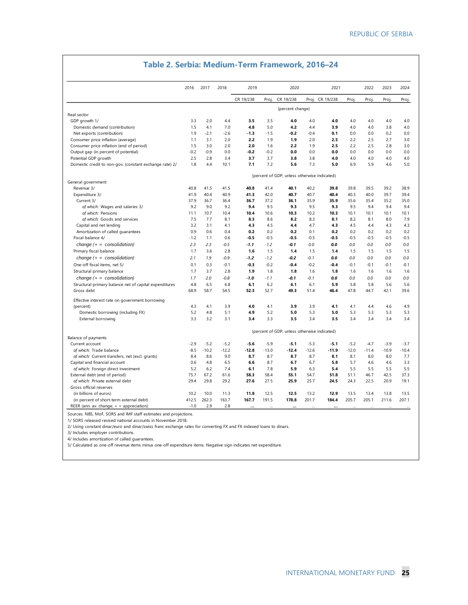|                                                         | 2016       | 2017       | 2018       | 2019       |            | 2020                                         |            | 2021            |            | 2022       | 2023       | 2024       |
|---------------------------------------------------------|------------|------------|------------|------------|------------|----------------------------------------------|------------|-----------------|------------|------------|------------|------------|
|                                                         |            |            |            | CR 19/238  | Proj.      | CR 19/238                                    |            | Proj. CR 19/238 | Proj.      | Proj.      | Proj.      | Proj.      |
|                                                         |            |            |            |            |            | (percent change)                             |            |                 |            |            |            |            |
| Real sector                                             |            |            |            |            |            |                                              |            |                 |            |            |            |            |
| GDP growth 1/                                           | 3.3        | 2.0        | 4.4        | 3.5        | 3.5        | 4.0                                          | 4.0        | 4.0             | 4.0        | 4.0        | 4.0        | 4.0        |
| Domestic demand (contribution)                          | 1.5        | 4.1        | 7.0        | 4.8        | 5.0        | 4.2                                          | 4.4        | 3.9             | 4.0        | 4.0        | 3.8        | 4.0        |
| Net exports (contribution)                              | 1.9        | $-2.1$     | $-2.6$     | $-1.3$     | $-1.5$     | $-0.2$                                       | $-0.4$     | 0.1             | 0.0        | 0.0        | 0.2        | 0.0        |
| Consumer price inflation (average)                      | 1.1        | 3.1        | 2.0        | 2.2        | 1.9        | 1.9                                          | 2.0        | 2.5             | 2.2        | 2.5        | 2.7        | 3.0        |
| Consumer price inflation (end of period)                | 1.5        | 3.0        | 2.0        | 2.0        | 1.6        | 2.2                                          | 1.9        | 2.5             | 2.2        | 2.5        | 2.8        | 3.0        |
| Output gap (in percent of potential)                    | $-0.2$     | $-0.9$     | 0.0        | $-0.2$     | $-0.2$     | 0.0                                          | 0.0        | 0.0             | 0.0        | 0.0        | 0.0        | 0.0        |
| Potential GDP growth                                    | 2.5        | 2.8        | 3.4        | 3.7        | 3.7        | 3.8                                          | 3.8        | 4.0             | 4.0        | 4.0        | 4.0        | 4.0        |
| Domestic credit to non-gov. (constant exchange rate) 2/ | 1.8        | 4.4        | 10.1       | 7.1        | 7.2        | 5.6                                          | 7.3        | 5.0             | 6.9        | 5.9        | 4.6        | 5.0        |
| General government                                      |            |            |            |            |            | (percent of GDP, unless otherwise indicated) |            |                 |            |            |            |            |
| Revenue 3/                                              | 40.8       | 41.5       | 41.5       | 40.8       | 41.4       | 40.1                                         | 40.2       | 39.8            | 39.8       | 39.5       | 39.2       | 38.9       |
| Expenditure 3/                                          | 41.9       | 40.4       | 40.9       | 41.3       | 42.0       | 40.7                                         | 40.7       | 40.4            | 40.3       | 40.0       | 39.7       | 39.4       |
| Current 3/                                              | 37.9       | 36.7       | 36.4       | 36.7       | 37.2       | 36.1                                         | 35.9       | 35.9            | 35.6       | 35.4       | 35.2       | 35.0       |
| of which: Wages and salaries 3/                         | 9.2        | 9.0        | 9.2        | 9.4        | 9.5        | 9.3                                          | 9.5        | 9.3             | 9.5        | 9.4        | 9.4        | 9.4        |
| of which: Pensions                                      | 11.1       | 10.7       | 10.4       | 10.4       | 10.6       | 10.3                                         | 10.2       | 10.3            | 10.1       | 10.1       | 10.1       | 10.1       |
| of which: Goods and services                            | 7.5        | 7.7        | 8.1        | 8.3        | 8.6        | 8.2                                          | 8.3        | 8.1             | 8.2        | 8.1        | 8.0        | 7.9        |
| Capital and net lending                                 | 3.2        | 3.1        | 4.1        | 4.3        | 4.5        | 4.4                                          | 4.7        | 4.3             | 4.5        | 4.4        | 4.3        | 4.3        |
| Amortization of called guarantees                       | 0.9        | 0.6        | 0.4        | 0.2        | 0.2        | 0.2                                          | 0.1        | 0.2             | 0.2        | 0.2        | 0.2        | 0.2        |
| Fiscal balance 4/                                       | $-1.2$     | 1.1        | 0.6        | $-0.5$     | $-0.5$     | $-0.5$                                       | $-0.5$     | $-0.5$          | $-0.5$     | $-0.5$     | $-0.5$     | $-0.5$     |
|                                                         | 2.3        | 2.3        |            |            |            |                                              |            |                 |            |            |            |            |
| change $(+)$ = consolidation)                           |            |            | $-0.5$     | $-1.1$     | $-1.2$     | -0.1                                         | 0.0        | 0.0             | 0.0        | 0.0        | 0.0        | 0.0        |
| Primary fiscal balance                                  | 1.7        | 3.6        | 2.8        | 1.6        | 1.5        | 1.4                                          | 1.5        | 1.4             | 1.5        | 1.5        | 1.5        | 1.5        |
| change $(+)$ = consolidation)                           | 2.1        | 1.9        | $-0.9$     | $-1.2$     | $-1.2$     | $-0.2$                                       | $-0.1$     | 0.0             | 0.0        | 0.0        | 0.0        | 0.0        |
| One-off fiscal items, net 5/                            | 0.1        | 0.3        | $-0.1$     | $-0.3$     | $-0.2$     | $-0.4$                                       | $-0.2$     | $-0.4$          | $-0.1$     | $-0.1$     | $-0.1$     | $-0.1$     |
| Structural primary balance                              | 1.7        | 3.7        | 2.8        | 1.9        | 1.8        | 1.8                                          | 1.6        | 1.8             | 1.6        | 1.6        | 1.6        | 1.6        |
| change $(+) =$ consolidation)                           | 1.7        | 2.0        | $-0.8$     | -1.0       | $-1.1$     | -0.1                                         | $-0.1$     | 0.0             | 0.0        | 0.0        | 0.0        | 0.0        |
| Structural primary balance net of capital expenditures  | 4.8        | 6.5        | 6.8        | 6.1        | 6.2        | 6.1                                          | 6.1        | 5.9             | 5.8        | 5.8        | 5.6        | 5.6        |
| Gross debt                                              | 68.9       | 58.7       | 54.5       | 52.3       | 52.7       | 49.3                                         | 51.4       | 46.4            | 47.8       | 44.7       | 42.1       | 39.6       |
| Effective interest rate on government borrowing         |            |            |            |            |            |                                              |            |                 |            |            |            |            |
| (percent)                                               | 4.3        | 4.1        | 3.9        | 4.0        | 4.1        | 3.9                                          | 3.9        | 4.1             | 4.1        | 4.4        | 4.6        | 4.9        |
| Domestic borrowing (including FX)<br>External borrowing | 5.2<br>3.3 | 4.8<br>3.2 | 5.1<br>3.1 | 4.9<br>3.4 | 5.2<br>3.3 | 5.0<br>3.5                                   | 5.3<br>3.4 | 5.0<br>3.5      | 5.3<br>3.4 | 5.3<br>3.4 | 5.3<br>3.4 | 5.3<br>3.4 |
|                                                         |            |            |            |            |            |                                              |            |                 |            |            |            |            |
| Balance of payments                                     |            |            |            |            |            | (percent of GDP, unless otherwise indicated) |            |                 |            |            |            |            |
| Current account                                         | $-2.9$     | $-5.2$     | $-5.2$     | $-5.6$     | $-5.9$     | $-5.1$                                       | $-5.3$     | $-5.1$          | $-5.2$     | $-4.7$     | $-3.9$     | $-3.7$     |
| of which: Trade balance                                 | $-8.5$     | $-10.2$    | $-12.2$    | $-12.8$    | $-13.0$    | $-12.4$                                      | $-12.6$    | -11.9           | $-12.0$    | $-11.4$    | $-10.9$    | $-10.4$    |
| of which: Current transfers, net (excl. grants)         | 8.4        | 8.6        | 9.0        | 8.7        | 8.7        | 8.7                                          | 8.7        | 8.1             | 8.1        | 8.0        | 8.0        | 7.7        |
| Capital and financial account                           | 0.6        | 4.8        | 6.5        | 6.6        | 8.7        | 6.7                                          | 6.7        | 5.8             | 5.7        | 4.6        | 4.6        | 3.3        |
| of which: Foreign direct investment                     | 5.2        | 6.2        | 7.4        | 6.1        | 7.8        | 5.9                                          | 6.3        | 5.4             | 5.5        | 5.5        | 5.5        | 5.5        |
| External debt (end of period)                           | 75.7       | 67.2       | 61.6       | 58.3       | 58.4       | 55.1                                         | 54.7       | 51.8            | 51.1       | 46.7       | 42.5       | 37.3       |
| of which: Private external debt                         | 29.4       | 29.8       | 29.2       | 27.6       | 27.5       | 25.9                                         | 25.7       | 24.5            | 24.3       | 22.5       | 20.9       | 19.1       |
| Gross official reserves                                 |            |            |            |            |            |                                              |            |                 |            |            |            |            |
| (in billions of euros)                                  | 10.2       | 10.0       | 11.3       | 11.8       | 12.5       | 12.5                                         | 13.2       | 12.9            | 13.5       | 13.4       | 13.8       | 13.5       |
| (in percent of short-term external debt)                | 412.5      | 262.3      | 163.7      | 167.7      | 191.5      | 178.8                                        | 201.7      | 184.4           | 205.7      | 205.1      | 211.6      | 207.1      |
| REER (ann. av. change; $+$ = appreciation)              | $-1.0$     | 2.9        | 2.8        |            |            |                                              |            |                 |            |            |            |            |

#### **Table 2. Serbia: Medium-Term Framework, 2016–24**

Sources: NBS, MoF, SORS and IMF staff estimates and projections. 1/ SORS released revised national accounts in November 2018.

2/ Using constant dinar/euro and dinar/swiss franc exchange rates for converting FX and FX-indexed loans to dinars.

3/ Includes employer contributions.

4/ Includes amortization of called guarantees.

5/ Calculated as one-off revenue items minus one-off expenditure items. Negative sign indicates net expenditure.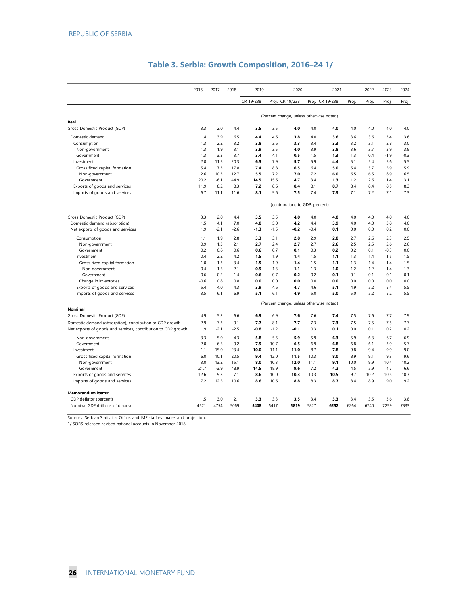|                                                               | 2016   | 2017   | 2018   | 2019      |        | 2020                                     |        | 2021            |       | 2022  | 2023   | 2024   |
|---------------------------------------------------------------|--------|--------|--------|-----------|--------|------------------------------------------|--------|-----------------|-------|-------|--------|--------|
|                                                               |        |        |        | CR 19/238 |        | Proj. CR 19/238                          |        | Proj. CR 19/238 | Proj. | Proj. | Proj.  | Proj.  |
|                                                               |        |        |        |           |        | (Percent change, unless otherwise noted) |        |                 |       |       |        |        |
| Real                                                          |        |        |        | 3.5       | 3.5    |                                          |        |                 |       |       |        |        |
| Gross Domestic Product (GDP)                                  | 3.3    | 2.0    | 4.4    |           |        | 4.0                                      | 4.0    | 4.0             | 4.0   | 4.0   | 4.0    | 4.0    |
| Domestic demand                                               | 1.4    | 3.9    | 6.5    | 4.4       | 4.6    | 3.8                                      | 4.0    | 3.6             | 3.6   | 3.6   | 3.4    | 3.6    |
| Consumption                                                   | 1.3    | 2.2    | 3.2    | 3.8       | 3.6    | 3.3                                      | 3.4    | 3.3             | 3.2   | 3.1   | 2.8    | 3.0    |
| Non-government                                                | 1.3    | 1.9    | 3.1    | 3.9       | 3.5    | 4.0                                      | 3.9    | 3.8             | 3.6   | 3.7   | 3.9    | 3.8    |
| Government                                                    | 1.3    | 3.3    | 3.7    | 3.4       | 4.1    | 0.5                                      | 1.5    | 1.3             | 1.3   | 0.4   | $-1.9$ | $-0.3$ |
| Investment                                                    | 2.0    | 11.5   | 20.3   | 6.5       | 7.9    | 5.7                                      | 5.9    | 4.4             | 5.1   | 5.4   | 5.6    | 5.5    |
| Gross fixed capital formation                                 | 5.4    | 7.3    | 17.8   | 7.4       | 8.8    | 6.5                                      | 6.4    | 5.0             | 5.4   | 5.7   | 5.9    | 5.9    |
| Non-government                                                | 2.6    | 10.3   | 12.7   | 5.5       | 7.2    | 7.0                                      | 7.2    | 6.0             | 6.5   | 6.5   | 6.9    | 6.5    |
| Government                                                    | 20.2   | $-6.1$ | 44.9   | 14.5      | 15.6   | 4.7                                      | 3.4    | 1.3             | 1.2   | 2.6   | 1.4    | 3.1    |
| Exports of goods and services                                 | 11.9   | 8.2    | 8.3    | 7.2       | 8.6    | 8.4                                      | 8.1    | 8.7             | 8.4   | 8.4   | 8.5    | 8.3    |
| Imports of goods and services                                 | 6.7    | 11.1   | 11.6   | 8.1       | 9.6    | 7.5                                      | 7.4    | 7.3             | 7.1   | 7.2   | 7.1    | 7.3    |
|                                                               |        |        |        |           |        | (contributions to GDP, percent)          |        |                 |       |       |        |        |
| Gross Domestic Product (GDP)                                  | 3.3    | 2.0    | 4.4    | 3.5       | 3.5    | 4.0                                      | 4.0    | 4.0             | 4.0   | 4.0   | 4.0    | 4.0    |
| Domestic demand (absorption)                                  | 1.5    | 4.1    | 7.0    | 4.8       | 5.0    | 4.2                                      | 4.4    | 3.9             | 4.0   | 4.0   | 3.8    | 4.0    |
| Net exports of goods and services                             | 1.9    | $-2.1$ | $-2.6$ | $-1.3$    | $-1.5$ | $-0.2$                                   | $-0.4$ | 0.1             | 0.0   | 0.0   | 0.2    | 0.0    |
| Consumption                                                   | 1.1    | 1.9    | 2.8    | 3.3       | 3.1    | 2.8                                      | 2.9    | 2.8             | 2.7   | 2.6   | 2.3    | 2.5    |
| Non-government                                                | 0.9    | 1.3    | 2.1    | 2.7       | 2.4    | 2.7                                      | 2.7    | 2.6             | 2.5   | 2.5   | 2.6    | 2.6    |
| Government                                                    | 0.2    | 0.6    | 0.6    | 0.6       | 0.7    | 0.1                                      | 0.3    | 0.2             | 0.2   | 0.1   | $-0.3$ | 0.0    |
| Investment                                                    | 0.4    | 2.2    | 4.2    | 1.5       | 1.9    | 1.4                                      | 1.5    | 1.1             | 1.3   | 1.4   | 1.5    | 1.5    |
| Gross fixed capital formation                                 | 1.0    | 1.3    | 3.4    | 1.5       | 1.9    | 1.4                                      | 1.5    | 1.1             | 1.3   | 1.4   | 1.4    | 1.5    |
| Non-government                                                | 0.4    | 1.5    | 2.1    | 0.9       | 1.3    | 1.1                                      | 1.3    | 1.0             | 1.2   | 1.2   | 1.4    | 1.3    |
| Government                                                    | 0.6    | $-0.2$ | 1.4    | 0.6       | 0.7    | 0.2                                      | 0.2    | 0.1             | 0.1   | 0.1   | 0.1    | 0.1    |
| Change in inventories                                         | $-0.6$ | 0.8    | 0.8    | 0.0       | 0.0    | 0.0                                      | 0.0    | 0.0             | 0.0   | 0.0   | 0.0    | 0.0    |
| Exports of goods and services                                 | 5.4    | 4.0    | 4.3    | 3.9       | 4.6    | 4.7                                      | 4.6    | 5.1             | 4.9   | 5.2   | 5.4    | 5.5    |
| Imports of goods and services                                 | 3.5    | 6.1    | 6.9    | 5.1       | 6.1    | 4.9                                      | 5.0    | 5.0             | 5.0   | 5.2   | 5.2    | 5.5    |
| <b>Nominal</b>                                                |        |        |        |           |        | (Percent change, unless otherwise noted) |        |                 |       |       |        |        |
| Gross Domestic Product (GDP)                                  | 4.9    | 5.2    | 6.6    | 6.9       | 6.9    | 7.6                                      | 7.6    | 7.4             | 7.5   | 7.6   | 7.7    | 7.9    |
| Domestic demand (absorption), contribution to GDP growth      | 2.9    | 7.3    | 9.1    | 7.7       | 8.1    | 7.7                                      | 7.3    | 7.3             | 7.5   | 7.5   | 7.5    | 7.7    |
| Net exports of goods and services, contribution to GDP growth | 1.9    | $-2.1$ | $-2.5$ | $-0.8$    | $-1.2$ | $-0.1$                                   | 0.3    | 0.1             | 0.0   | 0.1   | 0.2    | 0.2    |
| Non-government                                                | 3.3    | 5.0    | 4.3    | 5.8       | 5.5    | 5.9                                      | 5.9    | 6.3             | 5.9   | 6.3   | 6.7    | 6.9    |
| Government                                                    | 2.0    | 6.5    | 9.2    | 7.9       | 10.7   | 6.5                                      | 6.9    | 6.8             | 6.8   | 6.1   | 3.9    | 5.7    |
| Investment                                                    | 1.1    | 15.0   | 23.4   | 10.0      | 11.1   | 11.0                                     | 8.7    | 7.8             | 9.8   | 9.4   | 9.9    | 9.0    |
| Gross fixed capital formation                                 | 6.0    | 10.1   | 20.5   | 9.4       | 12.0   | 11.5                                     | 10.3   | 8.0             | 8.9   | 9.1   | 9.3    | 9.6    |
| Non-government                                                | 3.0    | 13.2   | 15.1   | 8.0       | 10.3   | 12.0                                     | 11.1   | 9.1             | 10.0  | 9.9   | 10.4   | 10.2   |
| Government                                                    | 21.7   | $-3.9$ | 48.9   | 14.5      | 18.9   | 9.6                                      | 7.2    | 4.2             | 4.5   | 5.9   | 4.7    | 6.6    |
| Exports of goods and services                                 | 12.6   | 9.3    | 7.1    | 8.6       | 10.0   | 10.3                                     | 10.3   | 10.5            | 9.7   | 10.2  | 10.5   | 10.7   |
| Imports of goods and services                                 | 7.2    | 12.5   | 10.6   | 8.6       | 10.6   | 8.8                                      | 8.3    | 8.7             | 8.4   | 8.9   | 9.0    | 9.2    |
| <b>Memorandum items:</b>                                      |        |        |        |           |        |                                          |        |                 |       |       |        |        |
| GDP deflator (percent)                                        | 1.5    | 3.0    | 2.1    | 3.3       | 3.3    | 3.5                                      | 3.4    | 3.3             | 3.4   | 3.5   | 3.6    | 3.8    |
| Nominal GDP (billions of dinars)                              | 4521   | 4754   | 5069   | 5408      | 5417   | 5819                                     | 5827   | 6252            | 6264  | 6740  | 7259   | 7833   |

### **Table 3. Serbia: Growth Composition, 2016–24 1/**

Sources: Serbian Statistical Office; and IMF staff estimates and projections. 1/ SORS released revised national accounts in November 2018.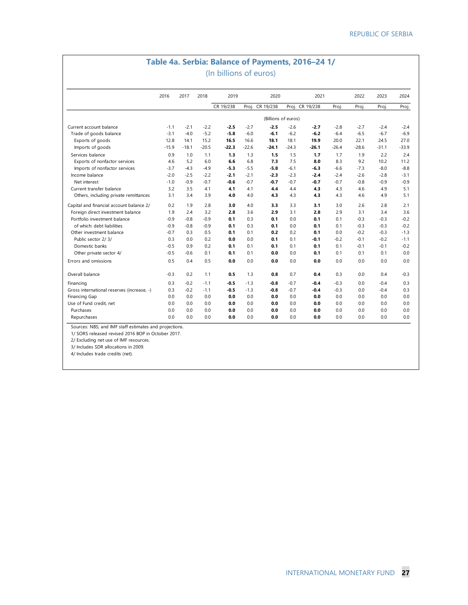### **Table 4a. Serbia: Balance of Payments, 2016–24 1/** (In billions of euros)

|                                            | 2016    | 2017    | 2018    | 2019      |         | 2020            |                     | 2021            |         | 2022    | 2023    | 2024    |
|--------------------------------------------|---------|---------|---------|-----------|---------|-----------------|---------------------|-----------------|---------|---------|---------|---------|
|                                            |         |         |         | CR 19/238 |         | Proj. CR 19/238 |                     | Proj. CR 19/238 | Proj.   | Proj.   | Proj.   | Proj.   |
|                                            |         |         |         |           |         |                 | (Billions of euros) |                 |         |         |         |         |
| Current account balance                    | $-1.1$  | $-2.1$  | $-2.2$  | $-2.5$    | $-2.7$  | $-2.5$          | $-2.6$              | $-2.7$          | $-2.8$  | $-2.7$  | $-2.4$  | $-2.4$  |
| Trade of goods balance                     | $-3.1$  | $-4.0$  | $-5.2$  | $-5.8$    | $-6.0$  | $-6.1$          | $-6.2$              | $-6.2$          | $-6.4$  | $-6.5$  | $-6.7$  | $-6.9$  |
| Exports of goods                           | 12.8    | 14.1    | 15.2    | 16.5      | 16.6    | 18.1            | 18.1                | 19.9            | 20.0    | 22.1    | 24.5    | 27.0    |
| Imports of goods                           | $-15.9$ | $-18.1$ | $-20.5$ | $-22.3$   | $-22.6$ | $-24.1$         | $-24.3$             | $-26.1$         | $-26.4$ | $-28.6$ | $-31.1$ | $-33.9$ |
| Services balance                           | 0.9     | 1.0     | 1.1     | 1.3       | 1.3     | 1.5             | 1.5                 | 1.7             | 1.7     | 1.9     | 2.2     | 2.4     |
| Exports of nonfactor services              | 4.6     | 5.2     | 6.0     | 6.6       | 6.8     | 7.3             | 7.5                 | 8.0             | 8.3     | 9.2     | 10.2    | 11.2    |
| Imports of nonfactor services              | $-3.7$  | $-4.3$  | $-4.9$  | $-5.3$    | $-5.5$  | $-5.8$          | $-6.1$              | $-6.3$          | $-6.6$  | $-7.3$  | $-8.0$  | $-8.8$  |
| Income balance                             | $-2.0$  | $-2.5$  | $-2.2$  | $-2.1$    | $-2.1$  | $-2.3$          | $-2.3$              | $-2.4$          | $-2.4$  | $-2.6$  | $-2.8$  | $-3.1$  |
| Net interest                               | $-1.0$  | $-0.9$  | $-0.7$  | $-0.6$    | $-0.7$  | $-0.7$          | $-0.7$              | $-0.7$          | $-0.7$  | $-0.8$  | $-0.9$  | $-0.9$  |
| Current transfer balance                   | 3.2     | 3.5     | 4.1     | 4.1       | 4.1     | 4.4             | 4.4                 | 4.3             | 4.3     | 4.6     | 4.9     | 5.1     |
| Others, including private remittances      | 3.1     | 3.4     | 3.9     | 4.0       | 4.0     | 4.3             | 4.3                 | 4.3             | 4.3     | 4.6     | 4.9     | 5.1     |
| Capital and financial account balance 2/   | 0.2     | 1.9     | 2.8     | 3.0       | 4.0     | 3.3             | 3.3                 | 3.1             | 3.0     | 2.6     | 2.8     | 2.1     |
| Foreign direct investment balance          | 1.9     | 2.4     | 3.2     | 2.8       | 3.6     | 2.9             | 3.1                 | 2.8             | 2.9     | 3.1     | 3.4     | 3.6     |
| Portfolio investment balance               | $-0.9$  | $-0.8$  | $-0.9$  | 0.1       | 0.3     | 0.1             | 0.0                 | 0.1             | 0.1     | $-0.3$  | $-0.3$  | $-0.2$  |
| of which: debt liabilities                 | $-0.9$  | $-0.8$  | $-0.9$  | 0.1       | 0.3     | 0.1             | 0.0                 | 0.1             | 0.1     | $-0.3$  | $-0.3$  | $-0.2$  |
| Other investment balance                   | $-0.7$  | 0.3     | 0.5     | 0.1       | 0.1     | 0.2             | 0.2                 | 0.1             | 0.0     | $-0.2$  | $-0.3$  | $-1.3$  |
| Public sector 2/3/                         | 0.3     | 0.0     | 0.2     | 0.0       | 0.0     | 0.1             | 0.1                 | $-0.1$          | $-0.2$  | $-0.1$  | $-0.2$  | $-1.1$  |
| Domestic banks                             | $-0.5$  | 0.9     | 0.2     | 0.1       | 0.1     | 0.1             | 0.1                 | 0.1             | 0.1     | $-0.1$  | $-0.1$  | $-0.2$  |
| Other private sector 4/                    | $-0.5$  | $-0.6$  | 0.1     | 0.1       | 0.1     | 0.0             | 0.0                 | 0.1             | 0.1     | 0.1     | 0.1     | 0.0     |
| Errors and omissions                       | 0.5     | 0.4     | 0.5     | 0.0       | 0.0     | 0.0             | 0.0                 | 0.0             | 0.0     | 0.0     | 0.0     | 0.0     |
| Overall balance                            | $-0.3$  | 0.2     | 1.1     | 0.5       | 1.3     | 0.8             | 0.7                 | 0.4             | 0.3     | 0.0     | 0.4     | $-0.3$  |
| Financing                                  | 0.3     | $-0.2$  | $-1.1$  | $-0.5$    | $-1.3$  | $-0.8$          | $-0.7$              | $-0.4$          | $-0.3$  | 0.0     | $-0.4$  | 0.3     |
| Gross international reserves (increase, -) | 0.3     | $-0.2$  | $-1.1$  | $-0.5$    | $-1.3$  | $-0.8$          | $-0.7$              | $-0.4$          | $-0.3$  | 0.0     | $-0.4$  | 0.3     |
| Financing Gap                              | 0.0     | 0.0     | 0.0     | 0.0       | 0.0     | 0.0             | 0.0                 | 0.0             | 0.0     | 0.0     | 0.0     | 0.0     |
| Use of Fund credit, net                    | 0.0     | 0.0     | 0.0     | 0.0       | 0.0     | 0.0             | 0.0                 | 0.0             | 0.0     | 0.0     | 0.0     | 0.0     |
| Purchases                                  | 0.0     | 0.0     | 0.0     | 0.0       | 0.0     | 0.0             | 0.0                 | 0.0             | 0.0     | 0.0     | 0.0     | 0.0     |
| Repurchases                                | 0.0     | 0.0     | 0.0     | 0.0       | 0.0     | 0.0             | 0.0                 | 0.0             | 0.0     | 0.0     | 0.0     | 0.0     |

Sources: NBS; and IMF staff estimates and projections. 1/ SORS released revised 2016 BOP in October 2017.

2/ Excluding net use of IMF resources.

3/ Includes SDR allocations in 2009.

4/ Includes trade credits (net).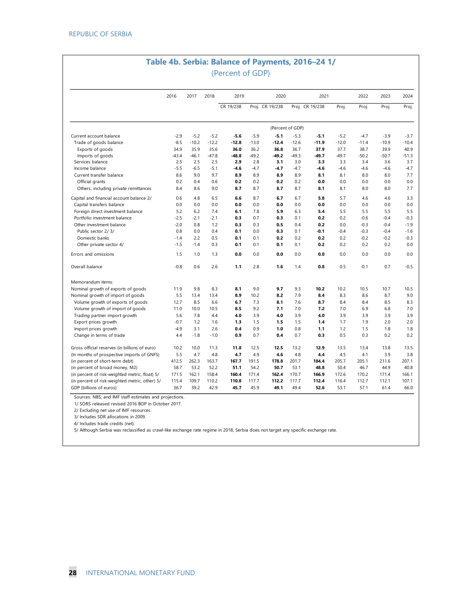### **Table 4b. Serbia: Balance of Payments, 2016–24 1/** (Percent of GDP)

|                                                | 2016    | 2017    | 2018    | 2019      |         | 2020            |                  | 2021            |         | 2022    | 2023    | 2024    |
|------------------------------------------------|---------|---------|---------|-----------|---------|-----------------|------------------|-----------------|---------|---------|---------|---------|
|                                                |         |         |         | CR 19/238 |         | Proj. CR 19/238 |                  | Proj. CR 19/238 | Proj.   | Proj.   | Proj.   | Proj.   |
|                                                |         |         |         |           |         |                 | (Percent of GDP) |                 |         |         |         |         |
| Current account balance                        | $-2.9$  | $-5.2$  | $-5.2$  | $-5.6$    | $-5.9$  | $-5.1$          | $-5.3$           | $-5.1$          | $-5.2$  | $-4.7$  | $-3.9$  | $-3.7$  |
| Trade of goods balance                         | $-8.5$  | $-10.2$ | $-12.2$ | $-12.8$   | $-13.0$ | $-12.4$         | $-12.6$          | $-11.9$         | $-12.0$ | $-11.4$ | $-10.9$ | $-10.4$ |
| Exports of goods                               | 34.9    | 35.9    | 35.6    | 36.0      | 36.2    | 36.8            | 36.7             | 37.9            | 37.7    | 38.7    | 39.9    | 40.9    |
| Imports of goods                               | $-43.4$ | $-46.1$ | $-47.8$ | $-48.8$   | $-49.2$ | $-49.2$         | $-49.3$          | $-49.7$         | $-49.7$ | $-50.2$ | $-50.7$ | $-51.3$ |
| Services balance                               | 2.5     | 2.5     | 2.5     | 2.9       | 2.8     | 3.1             | 3.0              | 3.3             | 3.3     | 3.4     | 3.6     | 3.7     |
| Income balance                                 | $-5.5$  | $-6.5$  | $-5.1$  | $-4.6$    | $-4.7$  | $-4.7$          | $-4.7$           | $-4.6$          | $-4.6$  | $-4.6$  | $-4.6$  | $-4.7$  |
| Current transfer balance                       | 8.6     | 9.0     | 9.7     | 8.9       | 8.9     | 8.9             | 8.9              | 8.1             | 8.1     | 8.0     | 8.0     | 7.7     |
| Official grants                                | 0.2     | 0.4     | 0.6     | 0.2       | 0.2     | 0.2             | 0.2              | 0.0             | 0.0     | 0.0     | 0.0     | 0.0     |
| Others, including private remittances          | 8.4     | 8.6     | 9.0     | 8.7       | 8.7     | 8.7             | 8.7              | 8.1             | 8.1     | 8.0     | 8.0     | 7.7     |
| Capital and financial account balance 2/       | 0.6     | 4.8     | 6.5     | 6.6       | 8.7     | 6.7             | 6.7              | 5.8             | 5.7     | 4.6     | 4.6     | 3.3     |
| Capital transfers balance                      | 0.0     | 0.0     | 0.0     | 0.0       | 0.0     | 0.0             | 0.0              | 0.0             | 0.0     | 0.0     | 0.0     | 0.0     |
| Foreign direct investment balance              | 5.2     | 6.2     | 7.4     | 6.1       | 7.8     | 5.9             | 6.3              | 5.4             | 5.5     | 5.5     | 5.5     | 5.5     |
| Portfolio investment balance                   | $-2.5$  | $-2.1$  | $-2.1$  | 0.3       | 0.7     | 0.3             | 0.1              | 0.2             | 0.2     | $-0.6$  | $-0.4$  | $-0.3$  |
| Other investment balance                       | $-2.0$  | 0.8     | 1.2     | 0.3       | 0.3     | 0.5             | 0.4              | 0.2             | 0.0     | $-0.3$  | $-0.4$  | $-1.9$  |
| Public sector 2/3/                             | 0.8     | 0.0     | 0.4     | 0.1       | 0.0     | 0.3             | 0.1              | -0.1            | $-0.4$  | $-0.3$  | $-0.4$  | $-1.6$  |
| Domestic banks                                 | $-1.4$  | 2.2     | 0.5     | 0.1       | 0.1     | 0.2             | 0.2              | 0.2             | 0.2     | $-0.2$  | $-0.2$  | $-0.3$  |
| Other private sector 4/                        | $-1.5$  | $-1.4$  | 0.3     | 0.1       | 0.1     | 0.1             | 0.1              | 0.2             | 0.2     | 0.2     | 0.2     | 0.0     |
| Errors and omissions                           | 1.5     | 1.0     | 1.3     | 0.0       | 0.0     | 0.0             | 0.0              | 0.0             | 0.0     | 0.0     | 0.0     | 0.0     |
| Overall balance                                | $-0.8$  | 0.6     | 2.6     | 1.1       | 2.8     | 1.6             | 1.4              | 0.8             | 0.5     | $-0.1$  | 0.7     | $-0.5$  |
| Memorandum items:                              |         |         |         |           |         |                 |                  |                 |         |         |         |         |
| Nominal growth of exports of goods             | 11.9    | 9.8     | 8.3     | 8.1       | 9.0     | 9.7             | 9.3              | 10.2            | 10.2    | 10.5    | 10.7    | 10.5    |
| Nominal growth of import of goods              | 5.5     | 13.4    | 13.4    | 8.9       | 10.2    | 8.2             | 7.9              | 8.4             | 8.3     | 8.6     | 8.7     | 9.0     |
| Volume growth of exports of goods              | 12.7    | 8.5     | 6.6     | 6.7       | 7.3     | 8.1             | 7.6              | 8.7             | 8.4     | 8.4     | 8.5     | 8.3     |
| Volume growth of import of goods               | 11.0    | 10.0    | 10.5    | 8.5       | 9.2     | 7.1             | 7.0              | 7.2             | 7.0     | 6.9     | 6.8     | 7.0     |
| Trading partner import growth                  | 5.6     | 7.8     | 4.4     | 4.0       | 3.9     | 4.0             | 3.9              | 4.0             | 3.9     | 3.9     | 3.9     | 3.9     |
| Export prices growth                           | $-0.7$  | 1.2     | 1.6     | 1.3       | 1.5     | 1.5             | 1.5              | 1.4             | 1.7     | 1.9     | 2.0     | 2.0     |
| Import prices growth                           | $-4.9$  | 3.1     | 2.6     | 0.4       | 0.9     | 1.0             | 0.8              | 1.1             | 1.2     | 1.5     | 1.8     | 1.8     |
| Change in terms of trade                       | 4.4     | $-1.8$  | $-1.0$  | 0.9       | 0.7     | 0.4             | 0.7              | 0.3             | 0.5     | 0.3     | 0.2     | 0.2     |
| Gross official reserves (in billions of euro)  | 10.2    | 10.0    | 11.3    | 11.8      | 12.5    | 12.5            | 13.2             | 12.9            | 13.5    | 13.4    | 13.8    | 13.5    |
| (In months of prospective imports of GNFS)     | 5.5     | 4.7     | 4.8     | 4.7       | 4.9     | 4.6             | 4.8              | 4.4             | 4.5     | 4.1     | 3.9     | 3.8     |
| (in percent of short-term debt)                | 412.5   | 262.3   | 163.7   | 167.7     | 191.5   | 178.8           | 201.7            | 184.4           | 205.7   | 205.1   | 211.6   | 207.1   |
| (in percent of broad money, M2)                | 58.7    | 53.2    | 52.2    | 51.1      | 54.2    | 50.7            | 53.1             | 48.8            | 50.4    | 46.7    | 44.9    | 40.8    |
| (in percent of risk-weighted metric, float) 5/ | 171.5   | 162.1   | 158.4   | 160.4     | 171.4   | 162.4           | 170.7            | 166.9           | 172.6   | 170.2   | 171.4   | 166.1   |
| (in percent of risk-weighted metric, other) 5/ | 115.4   | 109.7   | 110.2   | 110.8     | 117.7   | 112.2           | 117.7            | 112.4           | 116.4   | 112.7   | 112.1   | 107.1   |
|                                                |         | 39.2    | 42.9    | 45.7      | 45.9    | 49.1            |                  |                 | 53.1    | 57.1    | 61.4    | 66.0    |

Sources: NBS; and IMF staff estimates and projections.

1/ SORS released revised 2016 BOP in October 2017.

2/ Excluding net use of IMF resources.

3/ Includes SDR allocations in 2009.

4/ Includes trade credits (net).

5/ Although Serbia was reclassified as crawl-like exchange rate regime in 2018, Serbia does not target any specific exchange rate.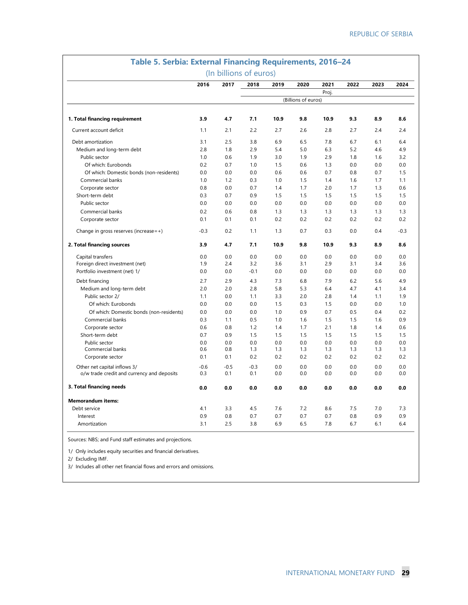|                                            | 2016   | 2017   | 2018   | 2019 | 2020                | 2021  | 2022 | 2023 | 2024   |
|--------------------------------------------|--------|--------|--------|------|---------------------|-------|------|------|--------|
|                                            |        |        |        |      | (Billions of euros) | Proj. |      |      |        |
|                                            |        |        |        |      |                     |       |      |      |        |
| 1. Total financing requirement             | 3.9    | 4.7    | 7.1    | 10.9 | 9.8                 | 10.9  | 9.3  | 8.9  | 8.6    |
| Current account deficit                    | 1.1    | 2.1    | 2.2    | 2.7  | 2.6                 | 2.8   | 2.7  | 2.4  | 2.4    |
| Debt amortization                          | 3.1    | 2.5    | 3.8    | 6.9  | 6.5                 | 7.8   | 6.7  | 6.1  | 6.4    |
| Medium and long-term debt                  | 2.8    | 1.8    | 2.9    | 5.4  | 5.0                 | 6.3   | 5.2  | 4.6  | 4.9    |
| Public sector                              | 1.0    | 0.6    | 1.9    | 3.0  | 1.9                 | 2.9   | 1.8  | 1.6  | 3.2    |
| Of which: Eurobonds                        | 0.2    | 0.7    | 1.0    | 1.5  | 0.6                 | 1.3   | 0.0  | 0.0  | 0.0    |
| Of which: Domestic bonds (non-residents)   | 0.0    | 0.0    | 0.0    | 0.6  | 0.6                 | 0.7   | 0.8  | 0.7  | 1.5    |
| Commercial banks                           | 1.0    | 1.2    | 0.3    | 1.0  | 1.5                 | 1.4   | 1.6  | 1.7  | 1.1    |
| Corporate sector                           | 0.8    | 0.0    | 0.7    | 1.4  | 1.7                 | 2.0   | 1.7  | 1.3  | 0.6    |
| Short-term debt                            | 0.3    | 0.7    | 0.9    | 1.5  | 1.5                 | 1.5   | 1.5  | 1.5  | 1.5    |
| Public sector                              | 0.0    | 0.0    | 0.0    | 0.0  | 0.0                 | 0.0   | 0.0  | 0.0  | 0.0    |
| Commercial banks                           | 0.2    | 0.6    | 0.8    | 1.3  | 1.3                 | 1.3   | 1.3  | 1.3  | 1.3    |
| Corporate sector                           | 0.1    | 0.1    | 0.1    | 0.2  | 0.2                 | 0.2   | 0.2  | 0.2  | 0.2    |
| Change in gross reserves (increase=+)      | $-0.3$ | 0.2    | 1.1    | 1.3  | 0.7                 | 0.3   | 0.0  | 0.4  | $-0.3$ |
| 2. Total financing sources                 | 3.9    | 4.7    | 7.1    | 10.9 | 9.8                 | 10.9  | 9.3  | 8.9  | 8.6    |
| Capital transfers                          | 0.0    | 0.0    | 0.0    | 0.0  | 0.0                 | 0.0   | 0.0  | 0.0  | 0.0    |
| Foreign direct investment (net)            | 1.9    | 2.4    | 3.2    | 3.6  | 3.1                 | 2.9   | 3.1  | 3.4  | 3.6    |
| Portfolio investment (net) 1/              | 0.0    | 0.0    | $-0.1$ | 0.0  | 0.0                 | 0.0   | 0.0  | 0.0  | 0.0    |
| Debt financing                             | 2.7    | 2.9    | 4.3    | 7.3  | 6.8                 | 7.9   | 6.2  | 5.6  | 4.9    |
| Medium and long-term debt                  | 2.0    | 2.0    | 2.8    | 5.8  | 5.3                 | 6.4   | 4.7  | 4.1  | 3.4    |
| Public sector 2/                           | 1.1    | 0.0    | 1.1    | 3.3  | 2.0                 | 2.8   | 1.4  | 1.1  | 1.9    |
| Of which: Eurobonds                        | 0.0    | 0.0    | 0.0    | 1.5  | 0.3                 | 1.5   | 0.0  | 0.0  | 1.0    |
| Of which: Domestic bonds (non-residents)   | 0.0    | 0.0    | 0.0    | 1.0  | 0.9                 | 0.7   | 0.5  | 0.4  | 0.2    |
| Commercial banks                           | 0.3    | 1.1    | 0.5    | 1.0  | 1.6                 | 1.5   | 1.5  | 1.6  | 0.9    |
| Corporate sector                           | 0.6    | 0.8    | 1.2    | 1.4  | 1.7                 | 2.1   | 1.8  | 1.4  | 0.6    |
| Short-term debt                            | 0.7    | 0.9    | 1.5    | 1.5  | 1.5                 | 1.5   | 1.5  | 1.5  | 1.5    |
| Public sector                              | 0.0    | 0.0    | 0.0    | 0.0  | 0.0                 | 0.0   | 0.0  | 0.0  | 0.0    |
| Commercial banks                           | 0.6    | 0.8    | 1.3    | 1.3  | 1.3                 | 1.3   | 1.3  | 1.3  | 1.3    |
| Corporate sector                           | 0.1    | 0.1    | 0.2    | 0.2  | 0.2                 | 0.2   | 0.2  | 0.2  | 0.2    |
| Other net capital inflows 3/               | $-0.6$ | $-0.5$ | $-0.3$ | 0.0  | 0.0                 | 0.0   | 0.0  | 0.0  | 0.0    |
| o/w trade credit and currency and deposits | 0.3    | 0.1    | 0.1    | 0.0  | 0.0                 | 0.0   | 0.0  | 0.0  | 0.0    |
| 3. Total financing needs                   | 0.0    | 0.0    | 0.0    | 0.0  | 0.0                 | 0.0   | 0.0  | 0.0  | 0.0    |
| <b>Memorandum items:</b>                   |        |        |        |      |                     |       |      |      |        |
| Debt service                               | 4.1    | 3.3    | 4.5    | 7.6  | 7.2                 | 8.6   | 7.5  | 7.0  | 7.3    |
| Interest                                   | 0.9    | 0.8    | 0.7    | 0.7  | 0.7                 | 0.7   | 0.8  | 0.9  | 0.9    |
| Amortization                               | 3.1    | 2.5    | 3.8    | 6.9  | 6.5                 | 7.8   | 6.7  | 6.1  | 6.4    |

### **Table 5. Serbia: External Financing Requirements, 2016–24**

Sources: NBS; and Fund staff estimates and projections.

1/ Only includes equity securities and financial derivatives.

2/ Excluding IMF.

Г

3/ Includes all other net financial flows and errors and omissions.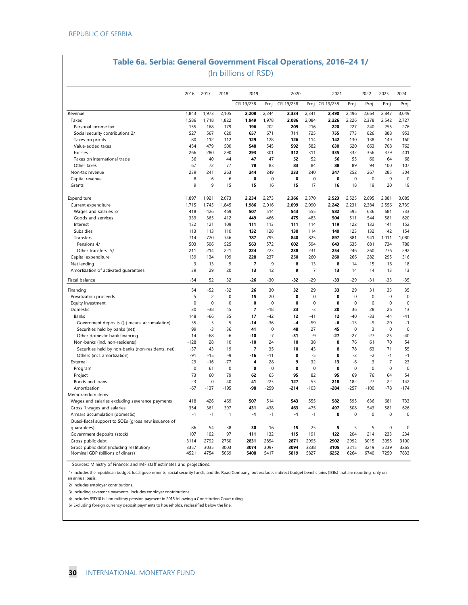### **Table 6a. Serbia: General Government Fiscal Operations, 2016–24 1/**

(In billions of RSD)

|                                                     | 2016        | 2017           | 2018        | 2019        |             | 2020        |                         | 2021            |             | 2022        | 2023           | 2024        |
|-----------------------------------------------------|-------------|----------------|-------------|-------------|-------------|-------------|-------------------------|-----------------|-------------|-------------|----------------|-------------|
|                                                     |             |                |             | CR 19/238   | Proj.       | CR 19/238   |                         | Proj. CR 19/238 | Proj.       | Proj.       | Proj.          | Proj.       |
| Revenue                                             | 1,843       | 1,973          | 2,105       | 2,208       | 2.244       | 2,334       | 2.341                   | 2,490           | 2,496       | 2,664       | 2,847          | 3,049       |
| Taxes                                               | 1,586       | 1,718          | 1,822       | 1,949       | 1,978       | 2,086       | 2.084                   | 2,226           | 2,226       | 2,378       | 2,542          | 2,727       |
| Personal income tax                                 | 155         | 168            | 179         | 196         | 202         | 209         | 216                     | 220             | 227         | 240         | 255            | 276         |
| Social security contributions 2/                    | 527         | 567            | 620         | 657         | 671         | 711         | 725                     | 755             | 773         | 826         | 888            | 953         |
| Taxes on profits                                    | 80          | 112            | 112         | 129         | 128         | 126         | 114                     | 142             | 130         | 138         | 149            | 160         |
| Value-added taxes                                   | 454         | 479            | 500         | 548         | 545         | 592         | 582                     | 630             | 620         | 663         | 708            | 762         |
| Excises                                             | 266         | 280            | 290         | 293         | 301         | 312         | 311                     | 335             | 332         | 356         | 379            | 401         |
| Taxes on international trade                        | 36          | 40             | 44          | 47          | 47          | 52          | 52                      | 56              | 55          | 60          | 64             | 68          |
| Other taxes                                         | 67          | 72             | 77          | 78          | 83          | 83          | 84                      | 88              | 89          | 94          | 100            | 107         |
| Non-tax revenue                                     | 239         | 241            | 263         | 244         | 249         | 233         | 240                     | 247             | 252         | 267         | 285            | 304         |
| Capital revenue                                     | 8           | 6              | 6           | $\mathbf 0$ | 0           | 0           | $\mathbf 0$             | 0               | $\mathbf 0$ | $\mathbf 0$ | $\mathbf 0$    | $\mathbf 0$ |
| Grants                                              | 9           | 9              | 15          | 15          | 16          | 15          | 17                      | 16              | 18          | 19          | 20             | 19          |
| Expenditure                                         | 1,897       | 1,921          | 2,073       | 2.234       | 2,273       | 2,366       | 2,370                   | 2,523           | 2,525       | 2,695       | 2,881          | 3,085       |
| Current expenditure                                 | 1,715       | 1,745          | 1,845       | 1,986       | 2,016       | 2,099       | 2,090                   | 2,242           | 2,231       | 2,384       | 2,556          | 2,739       |
| Wages and salaries 3/                               | 418         | 426            | 469         | 507         | 514         | 543         | 555                     | 582             | 595         | 636         | 681            | 733         |
| Goods and services                                  | 339         | 365            | 412         | 449         | 466         | 475         | 483                     | 504             | 511         | 544         | 581            | 620         |
| Interest                                            | 132         | 121            | 109         | 111         | 113         | 111         | 114                     | 119             | 122         | 132         | 141            | 152         |
| Subsidies                                           | 113         | 113            | 110         | 132         | 128         | 130         | 114                     | 140             | 123         | 132         | 142            | 154         |
| Transfers                                           | 714         | 720            | 746         | 787         | 795         | 840         | 825                     | 897             | 881         | 941         | 1,011          | 1,080       |
| Pensions 4/                                         | 503         | 506            | 525         | 563         | 572         | 602         | 594                     | 643             | 635         | 681         | 734            | 788         |
| Other transfers 5/                                  | 211         | 214            | 221         | 224         | 223         | 238         | 231                     | 254             | 246         | 260         | 276            | 292         |
|                                                     | 139         |                | 199         | 228         | 237         | 250         | 260                     |                 |             |             |                |             |
| Capital expenditure                                 |             | 134            |             |             |             |             |                         | 260             | 266         | 282         | 295            | 316         |
| Net lending                                         | 3           | 13             | 9           | 7           | 9           | 8           | 13                      | 8               | 14          | 15          | 16             | 18          |
| Amortization of activated guarantees                | 39<br>$-54$ | 29<br>52       | 20<br>32    | 13<br>-26   | 12<br>$-30$ | 9<br>-32    | $\overline{7}$<br>$-29$ | 13<br>-33       | 14<br>$-29$ | 14<br>$-31$ | 13<br>$-33$    | 13          |
| Fiscal balance                                      |             |                |             |             |             |             |                         |                 |             |             |                | $-35$       |
| Financing                                           | 54          | $-52$          | $-32$       | 26          | 30          | 32          | 29                      | 33              | 29          | 31          | 33             | 35          |
| Privatization proceeds                              | 5           | $\overline{c}$ | $\mathbf 0$ | 15          | 20          | $\mathbf 0$ | $\mathbf 0$             | 0               | 0           | $\mathbf 0$ | $\mathsf 0$    | $\pmb{0}$   |
| Equity investment                                   | $\mathbf 0$ | $\mathbf 0$    | $\pmb{0}$   | $\pmb{0}$   | $\mathbf 0$ | 0           | $\mathbf 0$             | $\pmb{0}$       | 0           | $\pmb{0}$   | $\pmb{0}$      | $\pmb{0}$   |
| Domestic                                            | 20          | $-38$          | 45          | 7           | $-18$       | 23          | -3                      | 20              | 36          | 28          | 26             | 13          |
| Banks                                               | 148         | -66            | 35          | 17          | $-42$       | 12          | $-41$                   | 12              | -40         | -33         | $-44$          | -41         |
| Government deposits ((-) means accumulation)        | 35          | 5              | 5           | $-14$       | $-36$       | $-4$        | -59                     | -6              | $-13$       | $-9$        | $-20$          | $-1$        |
| Securities held by banks (net)                      | 99          | $-3$           | 36          | 41          | $\pmb{0}$   | 48          | 27                      | 45              | $\pmb{0}$   | 3           | $\pmb{0}$      | $\pmb{0}$   |
| Other domestic bank financing                       | 14          | -68            | -6          | -10         | $-7$        | -31         | $-9$                    | -27             | -27         | $-27$       | -25            | $-40$       |
| Non-banks (incl. non-residents)                     | $-128$      | 28             | 10          | -10         | 24          | 10          | 38                      | 8               | 76          | 61          | 70             | 54          |
| Securities held by non-banks (non-residents, net)   | $-37$       | 43             | 19          | 7           | 35          | 10          | 43                      | 8               | 78          | 63          | 71             | 55          |
| Others (incl. amortization)                         | $-91$       | $-15$          | $-9$        | $-16$       | $-11$       | 0           | $-5$                    | 0               | $-2$        | $-2$        | $-1$           | $-1$        |
| External                                            | 29          | $-16$          | $-77$       | 4           | 28          | 9           | 32                      | 13              | $-6$        | 3           | $\overline{7}$ | 23          |
| Program                                             | $\mathbf 0$ | 61             | 0           | 0           | $\mathbf 0$ | 0           | $\mathbf 0$             | 0               | 0           | $\pmb{0}$   | $\pmb{0}$      | $\mathbf 0$ |
| Project                                             | 73          | 60             | 79          | 62          | 65          | 95          | 82                      | 95              | 69          | 76          | 64             | 54          |
| Bonds and loans                                     | 23          | $\mathbf 0$    | 40          | 41          | 223         | 127         | 53                      | 218             | 182         | 27          | 22             | 142         |
| Amortization                                        | $-67$       | $-137$         | $-195$      | -98         | $-259$      | $-214$      | $-103$                  | $-284$          | $-257$      | $-100$      | $-78$          | $-174$      |
| Memorandum items:                                   |             |                |             |             |             |             |                         |                 |             |             |                |             |
| Wages and salaries excluding severance payments     | 418         | 426            | 469         | 507         | 514         | 543         | 555                     | 582             | 595         | 636         | 681            | 733         |
| Gross 1 wages and salaries                          | 354         | 361            | 397         | 431         | 438         | 463         | 475                     | 497             | 508         | 543         | 581            | 626         |
| Arrears accumulation (domestic)                     | $-1$        | $-1$           | 1           | $-1$        | $-1$        | $-1$        | $-1$                    | 0               | 0           | $\pmb{0}$   | $\pmb{0}$      | $\mathbf 0$ |
| Quasi-fiscal support to SOEs (gross new issuance of |             |                |             |             |             |             |                         |                 |             |             |                |             |
| quarantees)                                         | 86          | 54             | 38          | 30          | 16          | 15          | 25                      | 5               | 5           | 5           | $\pmb{0}$      | $\mathbf 0$ |
| Government deposits (stock)                         | 107         | 102            | 97          | 111         | 132         | 115         | 191                     | 122             | 204         | 214         | 233            | 234         |
| Gross public debt                                   | 3114        | 2792           | 2760        | 2831        | 2854        | 2871        | 2995                    | 2902            | 2992        | 3015        | 3055           | 3100        |
| Gross public debt (including restitution)           | 3357        | 3035           | 3003        | 3074        | 3097        | 3094        | 3238                    | 3105            | 3215        | 3219        | 3239           | 3265        |
| Nominal GDP (billions of dinars)                    | 4521        | 4754           | 5069        | 5408        | 5417        | 5819        | 5827                    | 6252            | 6264        | 6740        | 7259           | 7833        |

Sources: Ministry of Finance; and IMF staff estimates and projections.

 1/ Includes the republican budget, local governments, social security funds, and the Road Company, but excludes indirect budget beneficiaries (IBBs) that are reporting only on an annual basis.

2/ Includes employer contributions.

3/ Including severence payments. Includes employer contributions.

4/ Includes RSD10 billion military pension payment in 2015 following a Constitution Court ruling.

5/ Excluding foreign currency deposit payments to households, reclassified below the line.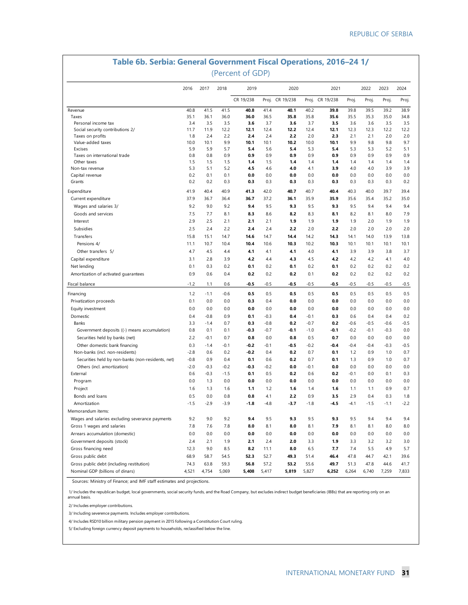|                                                        |             |             |            | (Percent of GDP) |             |                 |             |                 |            |            |            |            |
|--------------------------------------------------------|-------------|-------------|------------|------------------|-------------|-----------------|-------------|-----------------|------------|------------|------------|------------|
|                                                        | 2016        | 2017        | 2018       | 2019             |             | 2020            |             | 2021            |            | 2022       | 2023       | 2024       |
|                                                        |             |             |            | CR 19/238        |             | Proj. CR 19/238 |             | Proj. CR 19/238 | Proj.      | Proj.      | Proj.      | Proj.      |
| Revenue                                                | 40.8        | 41.5        | 41.5       | 40.8             | 41.4        | 40.1            | 40.2        | 39.8            | 39.8       | 39.5       | 39.2       | 38.9       |
| Taxes                                                  | 35.1        | 36.1        | 36.0       | 36.0             | 36.5        | 35.8            | 35.8        | 35.6            | 35.5       | 35.3       | 35.0       | 34.8       |
| Personal income tax                                    | 3.4         | 3.5         | 3.5        | 3.6              | 3.7         | 3.6             | 3.7         | 3.5             | 3.6        | 3.6        | 3.5        | 3.5        |
| Social security contributions 2/                       | 11.7        | 11.9        | 12.2       | 12.1             | 12.4        | 12.2            | 12.4        | 12.1            | 12.3       | 12.3       | 12.2       | 12.2       |
| Taxes on profits<br>Value-added taxes                  | 1.8<br>10.0 | 2.4<br>10.1 | 2.2<br>9.9 | 2.4<br>10.1      | 2.4<br>10.1 | 2.2<br>10.2     | 2.0<br>10.0 | 2.3<br>10.1     | 2.1<br>9.9 | 2.1<br>9.8 | 2.0<br>9.8 | 2.0<br>9.7 |
| Excises                                                | 5.9         | 5.9         | 5.7        | 5.4              | 5.6         | 5.4             | 5.3         | 5.4             | 5.3        | 5.3        | 5.2        | 5.1        |
| Taxes on international trade                           | 0.8         | 0.8         | 0.9        | 0.9              | 0.9         | 0.9             | 0.9         | 0.9             | 0.9        | 0.9        | 0.9        | 0.9        |
| Other taxes                                            | 1.5         | 1.5         | 1.5        | 1.4              | 1.5         | 1.4             | 1.4         | 1.4             | 1.4        | 1.4        | 1.4        | 1.4        |
| Non-tax revenue                                        | 5.3         | 5.1         | 5.2        | 4.5              | 4.6         | 4.0             | 4.1         | 3.9             | 4.0        | 4.0        | 3.9        | 3.9        |
| Capital revenue                                        | 0.2         | 0.1         | 0.1        | 0.0              | 0.0         | 0.0             | 0.0         | 0.0             | 0.0        | 0.0        | 0.0        | 0.0        |
| Grants                                                 | 0.2         | 0.2         | 0.3        | 0.3              | 0.3         | 0.3             | 0.3         | 0.3             | 0.3        | 0.3        | 0.3        | 0.2        |
| Expenditure                                            | 41.9        | 40.4        | 40.9       | 41.3             | 42.0        | 40.7            | 40.7        | 40.4            | 40.3       | 40.0       | 39.7       | 39.4       |
| Current expenditure                                    | 37.9        | 36.7        | 36.4       | 36.7             | 37.2        | 36.1            | 35.9        | 35.9            | 35.6       | 35.4       | 35.2       | 35.0       |
| Wages and salaries 3/                                  | 9.2         | 9.0         | 9.2        | 9.4              | 9.5         | 9.3             | 9.5         | 9.3             | 9.5        | 9.4        | 9.4        | 9.4        |
| Goods and services                                     | 7.5         | 7.7         | 8.1        | 8.3              | 8.6         | 8.2             | 8.3         | 8.1             | 8.2        | 8.1        | 8.0        | 7.9        |
| Interest                                               | 2.9         | 2.5         | 2.1        | 2.1              | 2.1         | 1.9             | 1.9         | 1.9             | 1.9        | 2.0        | 1.9        | 1.9        |
| Subsidies                                              | 2.5         | 2.4         | 2.2        | 2.4              | 2.4         | 2,2             | 2.0         | 2.2             | 2.0        | 2.0        | 2.0        | 2.0        |
| Transfers                                              | 15.8        | 15.1        | 14.7       | 14.6             | 14.7        | 14.4            | 14.2        | 14.3            | 14.1       | 14.0       | 13.9       | 13.8       |
| Pensions 4/                                            | 11.1        | 10.7        | 10.4       | 10.4             | 10.6        | 10.3            | 10.2        | 10.3            | 10.1       | 10.1       | 10.1       | 10.1       |
| Other transfers 5/                                     | 4.7         | 4.5         | 4.4        | 4.1              | 4.1         | 4.1             | 4.0         | 4.1             | 3.9        | 3.9        | 3.8        | 3.7        |
| Capital expenditure                                    | 3.1         | 2.8         | 3.9        | 4.2              | 4.4         | 4.3             | 4.5         | 4.2             | 4.2        | 4.2        | 4.1        | 4.0        |
| Net lending                                            | 0.1         | 0.3         | 0.2        | 0.1              | 0.2         | 0.1             | 0.2         | 0.1             | 0.2        | 0.2        | 0.2        | 0.2        |
|                                                        | 0.9         | 0.6         | 0.4        | 0.2              | 0.2         |                 | 0.1         | 0.2             | 0.2        | 0.2        | 0.2        | 0.2        |
| Amortization of activated guarantees<br>Fiscal balance | $-1.2$      | 1.1         | 0.6        | $-0.5$           | $-0.5$      | 0.2<br>-0.5     | $-0.5$      | $-0.5$          | $-0.5$     | $-0.5$     | $-0.5$     | -0.5       |
|                                                        |             |             |            |                  |             |                 |             |                 |            |            |            |            |
| Financing                                              | 1.2         | $-1.1$      | $-0.6$     | 0.5              | 0.5         | 0.5             | 0.5         | 0.5             | 0.5        | 0.5        | 0.5        | 0.5        |
| Privatization proceeds                                 | 0.1         | 0.0         | 0.0        | 0.3              | 0.4         | 0.0             | 0.0         | 0.0             | 0.0        | 0.0        | 0.0        | 0.0        |
| Equity investment                                      | 0.0         | 0.0         | 0.0        | 0.0              | 0.0         | 0.0             | 0.0         | 0.0             | 0.0        | 0.0        | 0.0        | 0.0        |
| Domestic                                               | 0.4         | -0.8        | 0.9        | 0.1              | $-0.3$      | 0.4             | $-0.1$      | 0.3             | 0.6        | 0.4        | 0.4        | 0.2        |
| Banks                                                  | 3.3         | $-1.4$      | 0.7        | 0.3              | $-0.8$      | 0.2             | $-0.7$      | 0.2             | $-0.6$     | $-0.5$     | $-0.6$     | $-0.5$     |
| Government deposits ((-) means accumulation)           | 0.8         | 0.1         | 0.1        | $-0.3$           | $-0.7$      | -0.1            | $-1.0$      | $-0.1$          | $-0.2$     | $-0.1$     | $-0.3$     | 0.0        |
| Securities held by banks (net)                         | 2.2         | $-0.1$      | 0.7        | 0.8              | 0.0         | 0.8             | 0.5         | 0.7             | 0.0        | 0.0        | 0.0        | 0.0        |
| Other domestic bank financing                          | 0.3         | $-1.4$      | $-0.1$     | $-0.2$           | $-0.1$      | -0.5            | $-0.2$      | $-0.4$          | $-0.4$     | $-0.4$     | $-0.3$     | $-0.5$     |
| Non-banks (incl. non-residents)                        | $-2.8$      | 0.6         | 0.2        | $-0.2$           | 0.4         | 0.2             | 0.7         | 0.1             | 1.2        | 0.9        | 1.0        | 0.7        |
| Securities held by non-banks (non-residents, net)      | $-0.8$      | 0.9         | 0.4        | 0.1              | 0.6         | 0.2             | 0.7         | 0.1             | 1.3        | 0.9        | 1.0        | 0.7        |
| Others (incl. amortization)                            | $-2.0$      | $-0.3$      | $-0.2$     | $-0.3$           | $-0.2$      | 0.0             | $-0.1$      | 0.0             | 0.0        | 0.0        | 0.0        | 0.0        |
| External                                               | 0.6         | $-0.3$      | $-1.5$     | 0.1              | 0.5         | 0.2             | 0.6         | 0.2             | $-0.1$     | 0.0        | 0.1        | 0.3        |
| Program                                                | 0.0         | 1.3         | 0.0        | 0.0              | 0.0         | 0.0             | 0.0         | 0.0             | 0.0        | 0.0        | 0.0        | 0.0        |
| Project                                                | 1.6         | 1.3         | 1.6        | 1.1              | 1.2         | 1.6             | 1.4         | 1.6             | 1.1        | 1.1        | 0.9        | 0.7        |
| Bonds and loans                                        | 0.5         | 0.0         | 0.8        | 0.8              | 4.1         | 2.2             | 0.9         | 3.5             | 2.9        | 0.4        | 0.3        | 1.8        |
| Amortization                                           | $-1.5$      | $-2.9$      | $-3.9$     | $-1.8$           | $-4.8$      | -3.7            | $-1.8$      | $-4.5$          | $-4.1$     | $-1.5$     | $-1.1$     | $-2.2$     |
| Memorandum items:                                      |             |             |            |                  |             |                 |             |                 |            |            |            |            |
| Wages and salaries excluding severance payments        | 9.2         | 9.0         | 9.2        | 9.4              | 9.5         | 9.3             | 9.5         | 9.3             | 9.5        | 9.4        | 9.4        | 9.4        |
| Gross 1 wages and salaries                             | 7.8         | 7.6         | 7.8        | 8.0              | 8.1         | 8.0             | 8.1         | 7.9             | 8.1        | 8.1        | 8.0        | 8.0        |
| Arrears accumulation (domestic)                        | 0.0         | 0.0         | 0.0        | 0.0              | 0.0         | 0.0             | 0.0         | 0.0             | 0.0        | 0.0        | 0.0        | 0.0        |
| Government deposits (stock)                            | 2.4         | 2.1         | 1.9        | 2.1              | 2.4         | 2.0             | 3.3         | 1.9             | 3.3        | 3.2        | 3.2        | 3.0        |
| Gross financing need                                   | 12.3        | 9.0         | 8.5        | 8.2              | 11.1        | 8.0             | 6.5         | 7.7             | 7.4        | 5.5        | 4.9        | 5.7        |
| Gross public debt                                      | 68.9        | 58.7        | 54.5       | 52.3             | 52.7        | 49.3            | 51.4        | 46.4            | 47.8       | 44.7       | 42.1       | 39.6       |
| Gross public debt (including restitution)              | 74.3        | 63.8        | 59.3       | 56.8             | 57.2        | 53.2            | 55.6        | 49.7            | 51.3       | 47.8       | 44.6       | 41.7       |
| Nominal GDP (billions of dinars)                       | 4,521       | 4,754       | 5,069      | 5,408            | 5,417       | 5,819           | 5,827       | 6,252           | 6,264      | 6,740      | 7,259      | 7,833      |

### **Table 6b. Serbia: General Government Fiscal Operations, 2016–24 1/**

Sources: Ministry of Finance; and IMF staff estimates and projections.

 1/ Includes the republican budget, local governments, social security funds, and the Road Company, but excludes indirect budget beneficiaries (IBBs) that are reporting only on an annual basis.

2/ Includes employer contributions.

3/ Including severence payments. Includes employer contributions.

4/ Includes RSD10 billion military pension payment in 2015 following a Constitution Court ruling.

5/ Excluding foreign currency deposit payments to households, reclassified below the line.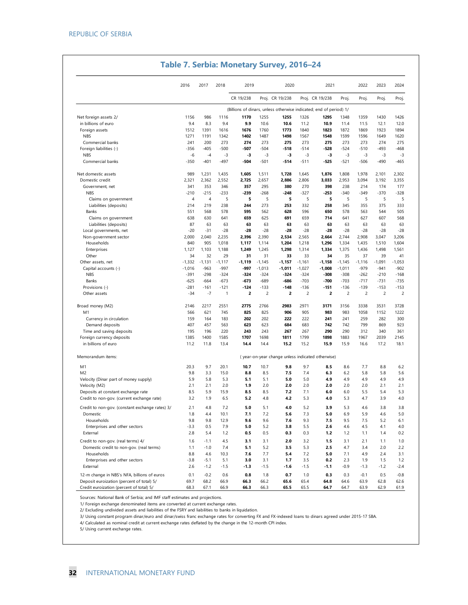| CR 19/238<br>Proj. CR 19/238<br>Proj. CR 19/238<br>Proj.<br>Proj.<br>Proj.<br>(Billions of dinars, unless otherwise indicated; end of period) 1/<br>1156<br>986<br>1116<br>1170<br>1255<br>1255<br>1326<br>1430<br>Net foreign assets 2/<br>1295<br>1348<br>1359<br>9.4<br>8.3<br>9.4<br>9.9<br>10.6<br>10.9<br>12.1<br>in billions of euro<br>10.6<br>11.2<br>11.4<br>11.5<br>1512<br>1391<br>1616<br>1676<br>1760<br>1773<br>1840<br>1823<br>1872<br>1869<br>1923<br>Foreign assets<br>1271<br>1402<br>1487<br>1498<br>1599<br>1596<br>1649<br><b>NBS</b><br>1191<br>1342<br>1567<br>1548<br>241<br>200<br>273<br>274<br>275<br>275<br>273<br>274<br>Commercial banks<br>273<br>273<br>273<br>$-356$<br>$-405$<br>$-500$<br>$-507$<br>$-504$<br>$-514$<br>$-528$<br>$-524$<br>$-510$<br>$-493$<br>Foreign liabilities (-)<br>-518<br><b>NBS</b><br>-6<br>$-3$<br>-3<br>$-3$<br>-3<br>$-3$<br>-3<br>$-3$<br>$-3$<br>$-3$<br>$-4$<br>$-401$<br>$-525$<br>$-350$<br>$-497$<br>$-504$<br>$-501$<br>-514<br>$-511$<br>$-521$<br>$-506$<br>$-490$<br>Commercial banks<br>989<br>1,231<br>1,605<br>1,876<br>1,808<br>1,978<br>Net domestic assets<br>1,435<br>1,511<br>1,728<br>1,645<br>2,101<br>2,321<br>2,362<br>2,552<br>2,725<br>2,657<br>2,886<br>2,806<br>3,033<br>2,953<br>3,094<br>3,192<br>Domestic credit<br>295<br>341<br>353<br>357<br>380<br>270<br>398<br>238<br>214<br>Government, net<br>346<br>174<br><b>NBS</b><br>$-210$<br>$-215$<br>$-233$<br>$-239$<br>$-268$<br>$-248$<br>$-327$<br>$-253$<br>$-340$<br>$-349$<br>$-370$<br>5<br>5<br>5<br>4<br>$\overline{4}$<br>5<br>5<br>5<br>5<br>5<br>5<br>Claims on government<br>219<br>238<br>244<br>273<br>253<br>332<br>258<br>345<br>355<br>375<br>Liabilities (deposits)<br>214<br>568<br>578<br>595<br>562<br>628<br>596<br>650<br>578<br>Banks<br>551<br>563<br>544<br>638<br>630<br>625<br>691<br>659<br>714<br>607<br>Claims on government<br>641<br>659<br>641<br>627<br>87<br>63<br>63<br>63<br>63<br>63<br>63<br>Liabilities (deposits)<br>63<br>63<br>63<br>63<br>$-20$<br>$-31$<br>$-28$<br>$-28$<br>$-28$<br>-28<br>$-28$<br>$-28$<br>$-28$<br>$-28$<br>$-28$<br>Local governments, net<br>2,000<br>2,040<br>2,235<br>2,396<br>2,390<br>2,534<br>2,565<br>2,664<br>2,744<br>2,908<br>3,047<br>Non-government sector<br>840<br>Households<br>905<br>1,018<br>1,117<br>1,114<br>1,204<br>1,218<br>1,296<br>1,334<br>1,435<br>1,510<br>1,127<br>1,103<br>1,188<br>1,249<br>1,245<br>1,298<br>1,314<br>1,334<br>1,375<br>1,436<br>1,498<br>Enterprises<br>34<br>32<br>29<br>31<br>39<br>Other<br>31<br>33<br>33<br>34<br>35<br>37<br>$-1,332$<br>$-1,131$<br>$-1,119$<br>$-1,145$<br>$-1,157$<br>$-1,161$<br>$-1,158$<br>$-1,145$<br>$-1,116$<br>$-1,091$<br>Other assets, net<br>$-1,117$<br>$-997$<br>Capital accounts (-)<br>$-1,016$<br>$-963$<br>-997<br>$-1,013$<br>$-1,011$<br>$-1,027$<br>$-1,008$<br>$-1,011$<br>-979<br>$-941$<br><b>NBS</b><br>$-391$<br>$-298$<br>$-324$<br>$-324$<br>$-324$<br>-324<br>$-324$<br>$-308$<br>$-308$<br>$-262$<br>$-210$<br>$-664$<br>-673<br>$-689$<br>$-703$<br>$-700$<br>$-703$<br>$-717$<br>Banks<br>-625<br>$-673$<br>-686<br>$-731$<br>$-281$<br>$-161$<br>$-121$<br>$-124$<br>$-133$<br>-148<br>$-136$<br>$-151$<br>$-136$<br>$-139$<br>$-153$<br>Provisions (-)<br>$-7$<br>2<br>$\overline{a}$<br>$\overline{c}$<br>$\overline{\mathbf{c}}$<br>$\overline{c}$<br>$\overline{c}$<br>$\overline{c}$<br>$-34$<br>2<br>Other assets<br>$\mathbf{1}$<br>Broad money (M2)<br>2146<br>2217<br>2551<br>2775<br>2766<br>2983<br>2971<br>3171<br>3156<br>3338<br>3531<br>M <sub>1</sub><br>566<br>621<br>745<br>825<br>825<br>906<br>905<br>983<br>983<br>1058<br>1152<br>202<br>202<br>222<br>222<br>Currency in circulation<br>159<br>164<br>183<br>241<br>241<br>259<br>282<br>407<br>457<br>563<br>623<br>623<br>684<br>683<br>742<br>742<br>799<br>869<br>Demand deposits<br>290<br>Time and saving deposits<br>195<br>196<br>220<br>243<br>243<br>267<br>267<br>290<br>312<br>340<br>1385<br>1400<br>1585<br>1707<br>1698<br>1811<br>1799<br>1898<br>1883<br>1967<br>2039<br>Foreign currency deposits<br>15.2<br>15.2<br>15.9<br>17.2<br>in billions of euro<br>11.2<br>11.8<br>13.4<br>14.4<br>14.4<br>15.9<br>16.6<br>Memorandum items:<br>(year-on-year change unless indicated otherwise)<br>7.7<br>M1<br>20.3<br>9.7<br>20.1<br>10.7<br>10.7<br>9.8<br>9.7<br>8.5<br>8.6<br>8.8<br>M <sub>2</sub><br>9.8<br>3.3<br>15.0<br>8.8<br>8.5<br>7.5<br>7.4<br>6.3<br>6.2<br>5.8<br>5.8<br>5.1<br>4.9<br>Velocity (Dinar part of money supply)<br>5.9<br>5.8<br>5.3<br>5.1<br>5.0<br>5.0<br>4.9<br>4.9<br>4.9<br>2.1<br>2.0<br>1.9<br>2.0<br>2.0<br>2.0<br>2.0<br>2.0<br>2.0<br>2.1<br>2.1<br>Velocity (M2)<br>15.9<br>7.2<br>5.5<br>5.4<br>Deposits at constant exchange rate<br>8.5<br>5.9<br>8.5<br>8.5<br>7.1<br>6.0<br>6.0<br>3.2<br>1.9<br>6.5<br>5.2<br>4.8<br>4.2<br>5.3<br>4.0<br>5.3<br>4.7<br>3.9<br>Credit to non-gov. (current exchange rate)<br>2.1<br>4.8<br>7.2<br>5.0<br>5.1<br>4.0<br>5.2<br>3.9<br>5.3<br>4.6<br>3.8<br>Credit to non-gov. (constant exchange rates) 3/<br>7.2<br>6.9<br>5.9<br>4.6<br>Domestic<br>1.8<br>4.4<br>10.1<br>7.1<br>5.6<br>7.3<br>5.0<br>9.8<br>12.9<br>9.6<br>9.5<br>7.5<br>5.2<br>Households<br>9.8<br>9.6<br>7.6<br>9.3<br>7.5<br>Enterprises and other sectors<br>$-3.3$<br>0.5<br>7.9<br>5.0<br>5.2<br>3.8<br>5.5<br>2.6<br>4.6<br>4.5<br>4.1<br>External<br>2.8<br>5.4<br>1.2<br>0.5<br>0.5<br>0.3<br>0.3<br>1.2<br>1.2<br>1.1<br>1.4<br>Credit to non-gov. (real terms) 4/<br>1.6<br>$-1.1$<br>4.5<br>3.1<br>3.1<br>2.0<br>3.2<br>1.5<br>3.1<br>2.1<br>1.1<br>$-1.0$<br>3.4<br>2.0<br>Domestic credit to non-gov. (real terms)<br>1.1<br>7.4<br>5.1<br>5.2<br>3.5<br>5.3<br>2.5<br>4.7<br>8.8<br>7.6<br>7.7<br>7.2<br>4.9<br>2.4<br>Households<br>4.6<br>10.3<br>5.4<br>5.0<br>7.1<br>Enterprises and other sectors<br>$-3.8$<br>$-5.1$<br>5.1<br>3.0<br>3.1<br>1.7<br>3.5<br>0.2<br>2.3<br>1.9<br>1.5<br>$-0.9$<br>External<br>2.6<br>$-1.2$<br>$-1.5$<br>$-1.5$<br>$-1.6$<br>$-1.5$<br>$-1.1$<br>$-1.3$<br>$-1.2$<br>$-1.3$<br>12-m change in NBS's NFA, billions of euros<br>0.1<br>$-0.2$<br>0.6<br>0.8<br>0.7<br>0.3<br>0.3<br>$-0.1$<br>0.5<br>1.8<br>1.0<br>69.7<br>68.2<br>66.3<br>65.6<br>64.8<br>63.9<br>Deposit euroization (percent of total) 5/<br>66.9<br>66.2<br>65.4<br>64.6<br>62.8 |                                          | 2016 | 2017 | 2018 | 2019 |      | 2020 |      | 2021 |      | 2022 | 2023 | 2024           |
|-----------------------------------------------------------------------------------------------------------------------------------------------------------------------------------------------------------------------------------------------------------------------------------------------------------------------------------------------------------------------------------------------------------------------------------------------------------------------------------------------------------------------------------------------------------------------------------------------------------------------------------------------------------------------------------------------------------------------------------------------------------------------------------------------------------------------------------------------------------------------------------------------------------------------------------------------------------------------------------------------------------------------------------------------------------------------------------------------------------------------------------------------------------------------------------------------------------------------------------------------------------------------------------------------------------------------------------------------------------------------------------------------------------------------------------------------------------------------------------------------------------------------------------------------------------------------------------------------------------------------------------------------------------------------------------------------------------------------------------------------------------------------------------------------------------------------------------------------------------------------------------------------------------------------------------------------------------------------------------------------------------------------------------------------------------------------------------------------------------------------------------------------------------------------------------------------------------------------------------------------------------------------------------------------------------------------------------------------------------------------------------------------------------------------------------------------------------------------------------------------------------------------------------------------------------------------------------------------------------------------------------------------------------------------------------------------------------------------------------------------------------------------------------------------------------------------------------------------------------------------------------------------------------------------------------------------------------------------------------------------------------------------------------------------------------------------------------------------------------------------------------------------------------------------------------------------------------------------------------------------------------------------------------------------------------------------------------------------------------------------------------------------------------------------------------------------------------------------------------------------------------------------------------------------------------------------------------------------------------------------------------------------------------------------------------------------------------------------------------------------------------------------------------------------------------------------------------------------------------------------------------------------------------------------------------------------------------------------------------------------------------------------------------------------------------------------------------------------------------------------------------------------------------------------------------------------------------------------------------------------------------------------------------------------------------------------------------------------------------------------------------------------------------------------------------------------------------------------------------------------------------------------------------------------------------------------------------------------------------------------------------------------------------------------------------------------------------------------------------------------------------------------------------------------------------------------------------------------------------------------------------------------------------------------------------------------------------------------------------------------------------------------------------------------------------------------------------------------------------------------------------------------------------------------------------------------------------------------------------------------------------------------------------------------------------------------------------------------------------------------------------------------------------------------------------------------------------------------------------------------------------------------------------------------------------------------------------------------------------------------------------------------------------------------------------------------------------------------------------------------------------------------------------------------------------------------------------------------------------------------------------------------------------------------------------------------------------------------------------------------------------------------------------------------------------------------------------------------------------------------------------------------------------------------------------------------------------------------------------------------------------------------------------------------------------------------------------------------------------------------------|------------------------------------------|------|------|------|------|------|------|------|------|------|------|------|----------------|
|                                                                                                                                                                                                                                                                                                                                                                                                                                                                                                                                                                                                                                                                                                                                                                                                                                                                                                                                                                                                                                                                                                                                                                                                                                                                                                                                                                                                                                                                                                                                                                                                                                                                                                                                                                                                                                                                                                                                                                                                                                                                                                                                                                                                                                                                                                                                                                                                                                                                                                                                                                                                                                                                                                                                                                                                                                                                                                                                                                                                                                                                                                                                                                                                                                                                                                                                                                                                                                                                                                                                                                                                                                                                                                                                                                                                                                                                                                                                                                                                                                                                                                                                                                                                                                                                                                                                                                                                                                                                                                                                                                                                                                                                                                                                                                                                                                                                                                                                                                                                                                                                                                                                                                                                                                                                                                                                                                                                                                                                                                                                                                                                                                                                                                                                                                                                                                                                                                                                                                                                                                                                                                                                                                                                                                                                                                                                                                             |                                          |      |      |      |      |      |      |      |      |      |      |      | Proj.          |
|                                                                                                                                                                                                                                                                                                                                                                                                                                                                                                                                                                                                                                                                                                                                                                                                                                                                                                                                                                                                                                                                                                                                                                                                                                                                                                                                                                                                                                                                                                                                                                                                                                                                                                                                                                                                                                                                                                                                                                                                                                                                                                                                                                                                                                                                                                                                                                                                                                                                                                                                                                                                                                                                                                                                                                                                                                                                                                                                                                                                                                                                                                                                                                                                                                                                                                                                                                                                                                                                                                                                                                                                                                                                                                                                                                                                                                                                                                                                                                                                                                                                                                                                                                                                                                                                                                                                                                                                                                                                                                                                                                                                                                                                                                                                                                                                                                                                                                                                                                                                                                                                                                                                                                                                                                                                                                                                                                                                                                                                                                                                                                                                                                                                                                                                                                                                                                                                                                                                                                                                                                                                                                                                                                                                                                                                                                                                                                             |                                          |      |      |      |      |      |      |      |      |      |      |      |                |
|                                                                                                                                                                                                                                                                                                                                                                                                                                                                                                                                                                                                                                                                                                                                                                                                                                                                                                                                                                                                                                                                                                                                                                                                                                                                                                                                                                                                                                                                                                                                                                                                                                                                                                                                                                                                                                                                                                                                                                                                                                                                                                                                                                                                                                                                                                                                                                                                                                                                                                                                                                                                                                                                                                                                                                                                                                                                                                                                                                                                                                                                                                                                                                                                                                                                                                                                                                                                                                                                                                                                                                                                                                                                                                                                                                                                                                                                                                                                                                                                                                                                                                                                                                                                                                                                                                                                                                                                                                                                                                                                                                                                                                                                                                                                                                                                                                                                                                                                                                                                                                                                                                                                                                                                                                                                                                                                                                                                                                                                                                                                                                                                                                                                                                                                                                                                                                                                                                                                                                                                                                                                                                                                                                                                                                                                                                                                                                             |                                          |      |      |      |      |      |      |      |      |      |      |      | 1426           |
|                                                                                                                                                                                                                                                                                                                                                                                                                                                                                                                                                                                                                                                                                                                                                                                                                                                                                                                                                                                                                                                                                                                                                                                                                                                                                                                                                                                                                                                                                                                                                                                                                                                                                                                                                                                                                                                                                                                                                                                                                                                                                                                                                                                                                                                                                                                                                                                                                                                                                                                                                                                                                                                                                                                                                                                                                                                                                                                                                                                                                                                                                                                                                                                                                                                                                                                                                                                                                                                                                                                                                                                                                                                                                                                                                                                                                                                                                                                                                                                                                                                                                                                                                                                                                                                                                                                                                                                                                                                                                                                                                                                                                                                                                                                                                                                                                                                                                                                                                                                                                                                                                                                                                                                                                                                                                                                                                                                                                                                                                                                                                                                                                                                                                                                                                                                                                                                                                                                                                                                                                                                                                                                                                                                                                                                                                                                                                                             |                                          |      |      |      |      |      |      |      |      |      |      |      | 12.0           |
|                                                                                                                                                                                                                                                                                                                                                                                                                                                                                                                                                                                                                                                                                                                                                                                                                                                                                                                                                                                                                                                                                                                                                                                                                                                                                                                                                                                                                                                                                                                                                                                                                                                                                                                                                                                                                                                                                                                                                                                                                                                                                                                                                                                                                                                                                                                                                                                                                                                                                                                                                                                                                                                                                                                                                                                                                                                                                                                                                                                                                                                                                                                                                                                                                                                                                                                                                                                                                                                                                                                                                                                                                                                                                                                                                                                                                                                                                                                                                                                                                                                                                                                                                                                                                                                                                                                                                                                                                                                                                                                                                                                                                                                                                                                                                                                                                                                                                                                                                                                                                                                                                                                                                                                                                                                                                                                                                                                                                                                                                                                                                                                                                                                                                                                                                                                                                                                                                                                                                                                                                                                                                                                                                                                                                                                                                                                                                                             |                                          |      |      |      |      |      |      |      |      |      |      |      | 1894           |
|                                                                                                                                                                                                                                                                                                                                                                                                                                                                                                                                                                                                                                                                                                                                                                                                                                                                                                                                                                                                                                                                                                                                                                                                                                                                                                                                                                                                                                                                                                                                                                                                                                                                                                                                                                                                                                                                                                                                                                                                                                                                                                                                                                                                                                                                                                                                                                                                                                                                                                                                                                                                                                                                                                                                                                                                                                                                                                                                                                                                                                                                                                                                                                                                                                                                                                                                                                                                                                                                                                                                                                                                                                                                                                                                                                                                                                                                                                                                                                                                                                                                                                                                                                                                                                                                                                                                                                                                                                                                                                                                                                                                                                                                                                                                                                                                                                                                                                                                                                                                                                                                                                                                                                                                                                                                                                                                                                                                                                                                                                                                                                                                                                                                                                                                                                                                                                                                                                                                                                                                                                                                                                                                                                                                                                                                                                                                                                             |                                          |      |      |      |      |      |      |      |      |      |      |      | 1620           |
|                                                                                                                                                                                                                                                                                                                                                                                                                                                                                                                                                                                                                                                                                                                                                                                                                                                                                                                                                                                                                                                                                                                                                                                                                                                                                                                                                                                                                                                                                                                                                                                                                                                                                                                                                                                                                                                                                                                                                                                                                                                                                                                                                                                                                                                                                                                                                                                                                                                                                                                                                                                                                                                                                                                                                                                                                                                                                                                                                                                                                                                                                                                                                                                                                                                                                                                                                                                                                                                                                                                                                                                                                                                                                                                                                                                                                                                                                                                                                                                                                                                                                                                                                                                                                                                                                                                                                                                                                                                                                                                                                                                                                                                                                                                                                                                                                                                                                                                                                                                                                                                                                                                                                                                                                                                                                                                                                                                                                                                                                                                                                                                                                                                                                                                                                                                                                                                                                                                                                                                                                                                                                                                                                                                                                                                                                                                                                                             |                                          |      |      |      |      |      |      |      |      |      |      |      | 275            |
|                                                                                                                                                                                                                                                                                                                                                                                                                                                                                                                                                                                                                                                                                                                                                                                                                                                                                                                                                                                                                                                                                                                                                                                                                                                                                                                                                                                                                                                                                                                                                                                                                                                                                                                                                                                                                                                                                                                                                                                                                                                                                                                                                                                                                                                                                                                                                                                                                                                                                                                                                                                                                                                                                                                                                                                                                                                                                                                                                                                                                                                                                                                                                                                                                                                                                                                                                                                                                                                                                                                                                                                                                                                                                                                                                                                                                                                                                                                                                                                                                                                                                                                                                                                                                                                                                                                                                                                                                                                                                                                                                                                                                                                                                                                                                                                                                                                                                                                                                                                                                                                                                                                                                                                                                                                                                                                                                                                                                                                                                                                                                                                                                                                                                                                                                                                                                                                                                                                                                                                                                                                                                                                                                                                                                                                                                                                                                                             |                                          |      |      |      |      |      |      |      |      |      |      |      | -468           |
|                                                                                                                                                                                                                                                                                                                                                                                                                                                                                                                                                                                                                                                                                                                                                                                                                                                                                                                                                                                                                                                                                                                                                                                                                                                                                                                                                                                                                                                                                                                                                                                                                                                                                                                                                                                                                                                                                                                                                                                                                                                                                                                                                                                                                                                                                                                                                                                                                                                                                                                                                                                                                                                                                                                                                                                                                                                                                                                                                                                                                                                                                                                                                                                                                                                                                                                                                                                                                                                                                                                                                                                                                                                                                                                                                                                                                                                                                                                                                                                                                                                                                                                                                                                                                                                                                                                                                                                                                                                                                                                                                                                                                                                                                                                                                                                                                                                                                                                                                                                                                                                                                                                                                                                                                                                                                                                                                                                                                                                                                                                                                                                                                                                                                                                                                                                                                                                                                                                                                                                                                                                                                                                                                                                                                                                                                                                                                                             |                                          |      |      |      |      |      |      |      |      |      |      |      | $-3$<br>$-465$ |
|                                                                                                                                                                                                                                                                                                                                                                                                                                                                                                                                                                                                                                                                                                                                                                                                                                                                                                                                                                                                                                                                                                                                                                                                                                                                                                                                                                                                                                                                                                                                                                                                                                                                                                                                                                                                                                                                                                                                                                                                                                                                                                                                                                                                                                                                                                                                                                                                                                                                                                                                                                                                                                                                                                                                                                                                                                                                                                                                                                                                                                                                                                                                                                                                                                                                                                                                                                                                                                                                                                                                                                                                                                                                                                                                                                                                                                                                                                                                                                                                                                                                                                                                                                                                                                                                                                                                                                                                                                                                                                                                                                                                                                                                                                                                                                                                                                                                                                                                                                                                                                                                                                                                                                                                                                                                                                                                                                                                                                                                                                                                                                                                                                                                                                                                                                                                                                                                                                                                                                                                                                                                                                                                                                                                                                                                                                                                                                             |                                          |      |      |      |      |      |      |      |      |      |      |      |                |
|                                                                                                                                                                                                                                                                                                                                                                                                                                                                                                                                                                                                                                                                                                                                                                                                                                                                                                                                                                                                                                                                                                                                                                                                                                                                                                                                                                                                                                                                                                                                                                                                                                                                                                                                                                                                                                                                                                                                                                                                                                                                                                                                                                                                                                                                                                                                                                                                                                                                                                                                                                                                                                                                                                                                                                                                                                                                                                                                                                                                                                                                                                                                                                                                                                                                                                                                                                                                                                                                                                                                                                                                                                                                                                                                                                                                                                                                                                                                                                                                                                                                                                                                                                                                                                                                                                                                                                                                                                                                                                                                                                                                                                                                                                                                                                                                                                                                                                                                                                                                                                                                                                                                                                                                                                                                                                                                                                                                                                                                                                                                                                                                                                                                                                                                                                                                                                                                                                                                                                                                                                                                                                                                                                                                                                                                                                                                                                             |                                          |      |      |      |      |      |      |      |      |      |      |      | 2,302          |
|                                                                                                                                                                                                                                                                                                                                                                                                                                                                                                                                                                                                                                                                                                                                                                                                                                                                                                                                                                                                                                                                                                                                                                                                                                                                                                                                                                                                                                                                                                                                                                                                                                                                                                                                                                                                                                                                                                                                                                                                                                                                                                                                                                                                                                                                                                                                                                                                                                                                                                                                                                                                                                                                                                                                                                                                                                                                                                                                                                                                                                                                                                                                                                                                                                                                                                                                                                                                                                                                                                                                                                                                                                                                                                                                                                                                                                                                                                                                                                                                                                                                                                                                                                                                                                                                                                                                                                                                                                                                                                                                                                                                                                                                                                                                                                                                                                                                                                                                                                                                                                                                                                                                                                                                                                                                                                                                                                                                                                                                                                                                                                                                                                                                                                                                                                                                                                                                                                                                                                                                                                                                                                                                                                                                                                                                                                                                                                             |                                          |      |      |      |      |      |      |      |      |      |      |      | 3,355          |
|                                                                                                                                                                                                                                                                                                                                                                                                                                                                                                                                                                                                                                                                                                                                                                                                                                                                                                                                                                                                                                                                                                                                                                                                                                                                                                                                                                                                                                                                                                                                                                                                                                                                                                                                                                                                                                                                                                                                                                                                                                                                                                                                                                                                                                                                                                                                                                                                                                                                                                                                                                                                                                                                                                                                                                                                                                                                                                                                                                                                                                                                                                                                                                                                                                                                                                                                                                                                                                                                                                                                                                                                                                                                                                                                                                                                                                                                                                                                                                                                                                                                                                                                                                                                                                                                                                                                                                                                                                                                                                                                                                                                                                                                                                                                                                                                                                                                                                                                                                                                                                                                                                                                                                                                                                                                                                                                                                                                                                                                                                                                                                                                                                                                                                                                                                                                                                                                                                                                                                                                                                                                                                                                                                                                                                                                                                                                                                             |                                          |      |      |      |      |      |      |      |      |      |      |      | 177            |
|                                                                                                                                                                                                                                                                                                                                                                                                                                                                                                                                                                                                                                                                                                                                                                                                                                                                                                                                                                                                                                                                                                                                                                                                                                                                                                                                                                                                                                                                                                                                                                                                                                                                                                                                                                                                                                                                                                                                                                                                                                                                                                                                                                                                                                                                                                                                                                                                                                                                                                                                                                                                                                                                                                                                                                                                                                                                                                                                                                                                                                                                                                                                                                                                                                                                                                                                                                                                                                                                                                                                                                                                                                                                                                                                                                                                                                                                                                                                                                                                                                                                                                                                                                                                                                                                                                                                                                                                                                                                                                                                                                                                                                                                                                                                                                                                                                                                                                                                                                                                                                                                                                                                                                                                                                                                                                                                                                                                                                                                                                                                                                                                                                                                                                                                                                                                                                                                                                                                                                                                                                                                                                                                                                                                                                                                                                                                                                             |                                          |      |      |      |      |      |      |      |      |      |      |      | $-328$         |
|                                                                                                                                                                                                                                                                                                                                                                                                                                                                                                                                                                                                                                                                                                                                                                                                                                                                                                                                                                                                                                                                                                                                                                                                                                                                                                                                                                                                                                                                                                                                                                                                                                                                                                                                                                                                                                                                                                                                                                                                                                                                                                                                                                                                                                                                                                                                                                                                                                                                                                                                                                                                                                                                                                                                                                                                                                                                                                                                                                                                                                                                                                                                                                                                                                                                                                                                                                                                                                                                                                                                                                                                                                                                                                                                                                                                                                                                                                                                                                                                                                                                                                                                                                                                                                                                                                                                                                                                                                                                                                                                                                                                                                                                                                                                                                                                                                                                                                                                                                                                                                                                                                                                                                                                                                                                                                                                                                                                                                                                                                                                                                                                                                                                                                                                                                                                                                                                                                                                                                                                                                                                                                                                                                                                                                                                                                                                                                             |                                          |      |      |      |      |      |      |      |      |      |      |      | 5              |
|                                                                                                                                                                                                                                                                                                                                                                                                                                                                                                                                                                                                                                                                                                                                                                                                                                                                                                                                                                                                                                                                                                                                                                                                                                                                                                                                                                                                                                                                                                                                                                                                                                                                                                                                                                                                                                                                                                                                                                                                                                                                                                                                                                                                                                                                                                                                                                                                                                                                                                                                                                                                                                                                                                                                                                                                                                                                                                                                                                                                                                                                                                                                                                                                                                                                                                                                                                                                                                                                                                                                                                                                                                                                                                                                                                                                                                                                                                                                                                                                                                                                                                                                                                                                                                                                                                                                                                                                                                                                                                                                                                                                                                                                                                                                                                                                                                                                                                                                                                                                                                                                                                                                                                                                                                                                                                                                                                                                                                                                                                                                                                                                                                                                                                                                                                                                                                                                                                                                                                                                                                                                                                                                                                                                                                                                                                                                                                             |                                          |      |      |      |      |      |      |      |      |      |      |      | 333            |
|                                                                                                                                                                                                                                                                                                                                                                                                                                                                                                                                                                                                                                                                                                                                                                                                                                                                                                                                                                                                                                                                                                                                                                                                                                                                                                                                                                                                                                                                                                                                                                                                                                                                                                                                                                                                                                                                                                                                                                                                                                                                                                                                                                                                                                                                                                                                                                                                                                                                                                                                                                                                                                                                                                                                                                                                                                                                                                                                                                                                                                                                                                                                                                                                                                                                                                                                                                                                                                                                                                                                                                                                                                                                                                                                                                                                                                                                                                                                                                                                                                                                                                                                                                                                                                                                                                                                                                                                                                                                                                                                                                                                                                                                                                                                                                                                                                                                                                                                                                                                                                                                                                                                                                                                                                                                                                                                                                                                                                                                                                                                                                                                                                                                                                                                                                                                                                                                                                                                                                                                                                                                                                                                                                                                                                                                                                                                                                             |                                          |      |      |      |      |      |      |      |      |      |      |      | 505<br>568     |
|                                                                                                                                                                                                                                                                                                                                                                                                                                                                                                                                                                                                                                                                                                                                                                                                                                                                                                                                                                                                                                                                                                                                                                                                                                                                                                                                                                                                                                                                                                                                                                                                                                                                                                                                                                                                                                                                                                                                                                                                                                                                                                                                                                                                                                                                                                                                                                                                                                                                                                                                                                                                                                                                                                                                                                                                                                                                                                                                                                                                                                                                                                                                                                                                                                                                                                                                                                                                                                                                                                                                                                                                                                                                                                                                                                                                                                                                                                                                                                                                                                                                                                                                                                                                                                                                                                                                                                                                                                                                                                                                                                                                                                                                                                                                                                                                                                                                                                                                                                                                                                                                                                                                                                                                                                                                                                                                                                                                                                                                                                                                                                                                                                                                                                                                                                                                                                                                                                                                                                                                                                                                                                                                                                                                                                                                                                                                                                             |                                          |      |      |      |      |      |      |      |      |      |      |      | 63             |
|                                                                                                                                                                                                                                                                                                                                                                                                                                                                                                                                                                                                                                                                                                                                                                                                                                                                                                                                                                                                                                                                                                                                                                                                                                                                                                                                                                                                                                                                                                                                                                                                                                                                                                                                                                                                                                                                                                                                                                                                                                                                                                                                                                                                                                                                                                                                                                                                                                                                                                                                                                                                                                                                                                                                                                                                                                                                                                                                                                                                                                                                                                                                                                                                                                                                                                                                                                                                                                                                                                                                                                                                                                                                                                                                                                                                                                                                                                                                                                                                                                                                                                                                                                                                                                                                                                                                                                                                                                                                                                                                                                                                                                                                                                                                                                                                                                                                                                                                                                                                                                                                                                                                                                                                                                                                                                                                                                                                                                                                                                                                                                                                                                                                                                                                                                                                                                                                                                                                                                                                                                                                                                                                                                                                                                                                                                                                                                             |                                          |      |      |      |      |      |      |      |      |      |      |      | $-28$          |
|                                                                                                                                                                                                                                                                                                                                                                                                                                                                                                                                                                                                                                                                                                                                                                                                                                                                                                                                                                                                                                                                                                                                                                                                                                                                                                                                                                                                                                                                                                                                                                                                                                                                                                                                                                                                                                                                                                                                                                                                                                                                                                                                                                                                                                                                                                                                                                                                                                                                                                                                                                                                                                                                                                                                                                                                                                                                                                                                                                                                                                                                                                                                                                                                                                                                                                                                                                                                                                                                                                                                                                                                                                                                                                                                                                                                                                                                                                                                                                                                                                                                                                                                                                                                                                                                                                                                                                                                                                                                                                                                                                                                                                                                                                                                                                                                                                                                                                                                                                                                                                                                                                                                                                                                                                                                                                                                                                                                                                                                                                                                                                                                                                                                                                                                                                                                                                                                                                                                                                                                                                                                                                                                                                                                                                                                                                                                                                             |                                          |      |      |      |      |      |      |      |      |      |      |      | 3,206          |
|                                                                                                                                                                                                                                                                                                                                                                                                                                                                                                                                                                                                                                                                                                                                                                                                                                                                                                                                                                                                                                                                                                                                                                                                                                                                                                                                                                                                                                                                                                                                                                                                                                                                                                                                                                                                                                                                                                                                                                                                                                                                                                                                                                                                                                                                                                                                                                                                                                                                                                                                                                                                                                                                                                                                                                                                                                                                                                                                                                                                                                                                                                                                                                                                                                                                                                                                                                                                                                                                                                                                                                                                                                                                                                                                                                                                                                                                                                                                                                                                                                                                                                                                                                                                                                                                                                                                                                                                                                                                                                                                                                                                                                                                                                                                                                                                                                                                                                                                                                                                                                                                                                                                                                                                                                                                                                                                                                                                                                                                                                                                                                                                                                                                                                                                                                                                                                                                                                                                                                                                                                                                                                                                                                                                                                                                                                                                                                             |                                          |      |      |      |      |      |      |      |      |      |      |      | 1,604          |
|                                                                                                                                                                                                                                                                                                                                                                                                                                                                                                                                                                                                                                                                                                                                                                                                                                                                                                                                                                                                                                                                                                                                                                                                                                                                                                                                                                                                                                                                                                                                                                                                                                                                                                                                                                                                                                                                                                                                                                                                                                                                                                                                                                                                                                                                                                                                                                                                                                                                                                                                                                                                                                                                                                                                                                                                                                                                                                                                                                                                                                                                                                                                                                                                                                                                                                                                                                                                                                                                                                                                                                                                                                                                                                                                                                                                                                                                                                                                                                                                                                                                                                                                                                                                                                                                                                                                                                                                                                                                                                                                                                                                                                                                                                                                                                                                                                                                                                                                                                                                                                                                                                                                                                                                                                                                                                                                                                                                                                                                                                                                                                                                                                                                                                                                                                                                                                                                                                                                                                                                                                                                                                                                                                                                                                                                                                                                                                             |                                          |      |      |      |      |      |      |      |      |      |      |      | 1,561          |
|                                                                                                                                                                                                                                                                                                                                                                                                                                                                                                                                                                                                                                                                                                                                                                                                                                                                                                                                                                                                                                                                                                                                                                                                                                                                                                                                                                                                                                                                                                                                                                                                                                                                                                                                                                                                                                                                                                                                                                                                                                                                                                                                                                                                                                                                                                                                                                                                                                                                                                                                                                                                                                                                                                                                                                                                                                                                                                                                                                                                                                                                                                                                                                                                                                                                                                                                                                                                                                                                                                                                                                                                                                                                                                                                                                                                                                                                                                                                                                                                                                                                                                                                                                                                                                                                                                                                                                                                                                                                                                                                                                                                                                                                                                                                                                                                                                                                                                                                                                                                                                                                                                                                                                                                                                                                                                                                                                                                                                                                                                                                                                                                                                                                                                                                                                                                                                                                                                                                                                                                                                                                                                                                                                                                                                                                                                                                                                             |                                          |      |      |      |      |      |      |      |      |      |      |      | 41             |
|                                                                                                                                                                                                                                                                                                                                                                                                                                                                                                                                                                                                                                                                                                                                                                                                                                                                                                                                                                                                                                                                                                                                                                                                                                                                                                                                                                                                                                                                                                                                                                                                                                                                                                                                                                                                                                                                                                                                                                                                                                                                                                                                                                                                                                                                                                                                                                                                                                                                                                                                                                                                                                                                                                                                                                                                                                                                                                                                                                                                                                                                                                                                                                                                                                                                                                                                                                                                                                                                                                                                                                                                                                                                                                                                                                                                                                                                                                                                                                                                                                                                                                                                                                                                                                                                                                                                                                                                                                                                                                                                                                                                                                                                                                                                                                                                                                                                                                                                                                                                                                                                                                                                                                                                                                                                                                                                                                                                                                                                                                                                                                                                                                                                                                                                                                                                                                                                                                                                                                                                                                                                                                                                                                                                                                                                                                                                                                             |                                          |      |      |      |      |      |      |      |      |      |      |      | $-1,053$       |
|                                                                                                                                                                                                                                                                                                                                                                                                                                                                                                                                                                                                                                                                                                                                                                                                                                                                                                                                                                                                                                                                                                                                                                                                                                                                                                                                                                                                                                                                                                                                                                                                                                                                                                                                                                                                                                                                                                                                                                                                                                                                                                                                                                                                                                                                                                                                                                                                                                                                                                                                                                                                                                                                                                                                                                                                                                                                                                                                                                                                                                                                                                                                                                                                                                                                                                                                                                                                                                                                                                                                                                                                                                                                                                                                                                                                                                                                                                                                                                                                                                                                                                                                                                                                                                                                                                                                                                                                                                                                                                                                                                                                                                                                                                                                                                                                                                                                                                                                                                                                                                                                                                                                                                                                                                                                                                                                                                                                                                                                                                                                                                                                                                                                                                                                                                                                                                                                                                                                                                                                                                                                                                                                                                                                                                                                                                                                                                             |                                          |      |      |      |      |      |      |      |      |      |      |      | $-902$         |
|                                                                                                                                                                                                                                                                                                                                                                                                                                                                                                                                                                                                                                                                                                                                                                                                                                                                                                                                                                                                                                                                                                                                                                                                                                                                                                                                                                                                                                                                                                                                                                                                                                                                                                                                                                                                                                                                                                                                                                                                                                                                                                                                                                                                                                                                                                                                                                                                                                                                                                                                                                                                                                                                                                                                                                                                                                                                                                                                                                                                                                                                                                                                                                                                                                                                                                                                                                                                                                                                                                                                                                                                                                                                                                                                                                                                                                                                                                                                                                                                                                                                                                                                                                                                                                                                                                                                                                                                                                                                                                                                                                                                                                                                                                                                                                                                                                                                                                                                                                                                                                                                                                                                                                                                                                                                                                                                                                                                                                                                                                                                                                                                                                                                                                                                                                                                                                                                                                                                                                                                                                                                                                                                                                                                                                                                                                                                                                             |                                          |      |      |      |      |      |      |      |      |      |      |      | $-168$         |
|                                                                                                                                                                                                                                                                                                                                                                                                                                                                                                                                                                                                                                                                                                                                                                                                                                                                                                                                                                                                                                                                                                                                                                                                                                                                                                                                                                                                                                                                                                                                                                                                                                                                                                                                                                                                                                                                                                                                                                                                                                                                                                                                                                                                                                                                                                                                                                                                                                                                                                                                                                                                                                                                                                                                                                                                                                                                                                                                                                                                                                                                                                                                                                                                                                                                                                                                                                                                                                                                                                                                                                                                                                                                                                                                                                                                                                                                                                                                                                                                                                                                                                                                                                                                                                                                                                                                                                                                                                                                                                                                                                                                                                                                                                                                                                                                                                                                                                                                                                                                                                                                                                                                                                                                                                                                                                                                                                                                                                                                                                                                                                                                                                                                                                                                                                                                                                                                                                                                                                                                                                                                                                                                                                                                                                                                                                                                                                             |                                          |      |      |      |      |      |      |      |      |      |      |      | $-735$         |
|                                                                                                                                                                                                                                                                                                                                                                                                                                                                                                                                                                                                                                                                                                                                                                                                                                                                                                                                                                                                                                                                                                                                                                                                                                                                                                                                                                                                                                                                                                                                                                                                                                                                                                                                                                                                                                                                                                                                                                                                                                                                                                                                                                                                                                                                                                                                                                                                                                                                                                                                                                                                                                                                                                                                                                                                                                                                                                                                                                                                                                                                                                                                                                                                                                                                                                                                                                                                                                                                                                                                                                                                                                                                                                                                                                                                                                                                                                                                                                                                                                                                                                                                                                                                                                                                                                                                                                                                                                                                                                                                                                                                                                                                                                                                                                                                                                                                                                                                                                                                                                                                                                                                                                                                                                                                                                                                                                                                                                                                                                                                                                                                                                                                                                                                                                                                                                                                                                                                                                                                                                                                                                                                                                                                                                                                                                                                                                             |                                          |      |      |      |      |      |      |      |      |      |      |      | $-153$         |
|                                                                                                                                                                                                                                                                                                                                                                                                                                                                                                                                                                                                                                                                                                                                                                                                                                                                                                                                                                                                                                                                                                                                                                                                                                                                                                                                                                                                                                                                                                                                                                                                                                                                                                                                                                                                                                                                                                                                                                                                                                                                                                                                                                                                                                                                                                                                                                                                                                                                                                                                                                                                                                                                                                                                                                                                                                                                                                                                                                                                                                                                                                                                                                                                                                                                                                                                                                                                                                                                                                                                                                                                                                                                                                                                                                                                                                                                                                                                                                                                                                                                                                                                                                                                                                                                                                                                                                                                                                                                                                                                                                                                                                                                                                                                                                                                                                                                                                                                                                                                                                                                                                                                                                                                                                                                                                                                                                                                                                                                                                                                                                                                                                                                                                                                                                                                                                                                                                                                                                                                                                                                                                                                                                                                                                                                                                                                                                             |                                          |      |      |      |      |      |      |      |      |      |      |      | $\overline{c}$ |
|                                                                                                                                                                                                                                                                                                                                                                                                                                                                                                                                                                                                                                                                                                                                                                                                                                                                                                                                                                                                                                                                                                                                                                                                                                                                                                                                                                                                                                                                                                                                                                                                                                                                                                                                                                                                                                                                                                                                                                                                                                                                                                                                                                                                                                                                                                                                                                                                                                                                                                                                                                                                                                                                                                                                                                                                                                                                                                                                                                                                                                                                                                                                                                                                                                                                                                                                                                                                                                                                                                                                                                                                                                                                                                                                                                                                                                                                                                                                                                                                                                                                                                                                                                                                                                                                                                                                                                                                                                                                                                                                                                                                                                                                                                                                                                                                                                                                                                                                                                                                                                                                                                                                                                                                                                                                                                                                                                                                                                                                                                                                                                                                                                                                                                                                                                                                                                                                                                                                                                                                                                                                                                                                                                                                                                                                                                                                                                             |                                          |      |      |      |      |      |      |      |      |      |      |      | 3728           |
|                                                                                                                                                                                                                                                                                                                                                                                                                                                                                                                                                                                                                                                                                                                                                                                                                                                                                                                                                                                                                                                                                                                                                                                                                                                                                                                                                                                                                                                                                                                                                                                                                                                                                                                                                                                                                                                                                                                                                                                                                                                                                                                                                                                                                                                                                                                                                                                                                                                                                                                                                                                                                                                                                                                                                                                                                                                                                                                                                                                                                                                                                                                                                                                                                                                                                                                                                                                                                                                                                                                                                                                                                                                                                                                                                                                                                                                                                                                                                                                                                                                                                                                                                                                                                                                                                                                                                                                                                                                                                                                                                                                                                                                                                                                                                                                                                                                                                                                                                                                                                                                                                                                                                                                                                                                                                                                                                                                                                                                                                                                                                                                                                                                                                                                                                                                                                                                                                                                                                                                                                                                                                                                                                                                                                                                                                                                                                                             |                                          |      |      |      |      |      |      |      |      |      |      |      | 1222           |
|                                                                                                                                                                                                                                                                                                                                                                                                                                                                                                                                                                                                                                                                                                                                                                                                                                                                                                                                                                                                                                                                                                                                                                                                                                                                                                                                                                                                                                                                                                                                                                                                                                                                                                                                                                                                                                                                                                                                                                                                                                                                                                                                                                                                                                                                                                                                                                                                                                                                                                                                                                                                                                                                                                                                                                                                                                                                                                                                                                                                                                                                                                                                                                                                                                                                                                                                                                                                                                                                                                                                                                                                                                                                                                                                                                                                                                                                                                                                                                                                                                                                                                                                                                                                                                                                                                                                                                                                                                                                                                                                                                                                                                                                                                                                                                                                                                                                                                                                                                                                                                                                                                                                                                                                                                                                                                                                                                                                                                                                                                                                                                                                                                                                                                                                                                                                                                                                                                                                                                                                                                                                                                                                                                                                                                                                                                                                                                             |                                          |      |      |      |      |      |      |      |      |      |      |      | 300            |
|                                                                                                                                                                                                                                                                                                                                                                                                                                                                                                                                                                                                                                                                                                                                                                                                                                                                                                                                                                                                                                                                                                                                                                                                                                                                                                                                                                                                                                                                                                                                                                                                                                                                                                                                                                                                                                                                                                                                                                                                                                                                                                                                                                                                                                                                                                                                                                                                                                                                                                                                                                                                                                                                                                                                                                                                                                                                                                                                                                                                                                                                                                                                                                                                                                                                                                                                                                                                                                                                                                                                                                                                                                                                                                                                                                                                                                                                                                                                                                                                                                                                                                                                                                                                                                                                                                                                                                                                                                                                                                                                                                                                                                                                                                                                                                                                                                                                                                                                                                                                                                                                                                                                                                                                                                                                                                                                                                                                                                                                                                                                                                                                                                                                                                                                                                                                                                                                                                                                                                                                                                                                                                                                                                                                                                                                                                                                                                             |                                          |      |      |      |      |      |      |      |      |      |      |      | 923            |
|                                                                                                                                                                                                                                                                                                                                                                                                                                                                                                                                                                                                                                                                                                                                                                                                                                                                                                                                                                                                                                                                                                                                                                                                                                                                                                                                                                                                                                                                                                                                                                                                                                                                                                                                                                                                                                                                                                                                                                                                                                                                                                                                                                                                                                                                                                                                                                                                                                                                                                                                                                                                                                                                                                                                                                                                                                                                                                                                                                                                                                                                                                                                                                                                                                                                                                                                                                                                                                                                                                                                                                                                                                                                                                                                                                                                                                                                                                                                                                                                                                                                                                                                                                                                                                                                                                                                                                                                                                                                                                                                                                                                                                                                                                                                                                                                                                                                                                                                                                                                                                                                                                                                                                                                                                                                                                                                                                                                                                                                                                                                                                                                                                                                                                                                                                                                                                                                                                                                                                                                                                                                                                                                                                                                                                                                                                                                                                             |                                          |      |      |      |      |      |      |      |      |      |      |      | 361            |
|                                                                                                                                                                                                                                                                                                                                                                                                                                                                                                                                                                                                                                                                                                                                                                                                                                                                                                                                                                                                                                                                                                                                                                                                                                                                                                                                                                                                                                                                                                                                                                                                                                                                                                                                                                                                                                                                                                                                                                                                                                                                                                                                                                                                                                                                                                                                                                                                                                                                                                                                                                                                                                                                                                                                                                                                                                                                                                                                                                                                                                                                                                                                                                                                                                                                                                                                                                                                                                                                                                                                                                                                                                                                                                                                                                                                                                                                                                                                                                                                                                                                                                                                                                                                                                                                                                                                                                                                                                                                                                                                                                                                                                                                                                                                                                                                                                                                                                                                                                                                                                                                                                                                                                                                                                                                                                                                                                                                                                                                                                                                                                                                                                                                                                                                                                                                                                                                                                                                                                                                                                                                                                                                                                                                                                                                                                                                                                             |                                          |      |      |      |      |      |      |      |      |      |      |      | 2145           |
|                                                                                                                                                                                                                                                                                                                                                                                                                                                                                                                                                                                                                                                                                                                                                                                                                                                                                                                                                                                                                                                                                                                                                                                                                                                                                                                                                                                                                                                                                                                                                                                                                                                                                                                                                                                                                                                                                                                                                                                                                                                                                                                                                                                                                                                                                                                                                                                                                                                                                                                                                                                                                                                                                                                                                                                                                                                                                                                                                                                                                                                                                                                                                                                                                                                                                                                                                                                                                                                                                                                                                                                                                                                                                                                                                                                                                                                                                                                                                                                                                                                                                                                                                                                                                                                                                                                                                                                                                                                                                                                                                                                                                                                                                                                                                                                                                                                                                                                                                                                                                                                                                                                                                                                                                                                                                                                                                                                                                                                                                                                                                                                                                                                                                                                                                                                                                                                                                                                                                                                                                                                                                                                                                                                                                                                                                                                                                                             |                                          |      |      |      |      |      |      |      |      |      |      |      | 18.1           |
|                                                                                                                                                                                                                                                                                                                                                                                                                                                                                                                                                                                                                                                                                                                                                                                                                                                                                                                                                                                                                                                                                                                                                                                                                                                                                                                                                                                                                                                                                                                                                                                                                                                                                                                                                                                                                                                                                                                                                                                                                                                                                                                                                                                                                                                                                                                                                                                                                                                                                                                                                                                                                                                                                                                                                                                                                                                                                                                                                                                                                                                                                                                                                                                                                                                                                                                                                                                                                                                                                                                                                                                                                                                                                                                                                                                                                                                                                                                                                                                                                                                                                                                                                                                                                                                                                                                                                                                                                                                                                                                                                                                                                                                                                                                                                                                                                                                                                                                                                                                                                                                                                                                                                                                                                                                                                                                                                                                                                                                                                                                                                                                                                                                                                                                                                                                                                                                                                                                                                                                                                                                                                                                                                                                                                                                                                                                                                                             |                                          |      |      |      |      |      |      |      |      |      |      |      |                |
|                                                                                                                                                                                                                                                                                                                                                                                                                                                                                                                                                                                                                                                                                                                                                                                                                                                                                                                                                                                                                                                                                                                                                                                                                                                                                                                                                                                                                                                                                                                                                                                                                                                                                                                                                                                                                                                                                                                                                                                                                                                                                                                                                                                                                                                                                                                                                                                                                                                                                                                                                                                                                                                                                                                                                                                                                                                                                                                                                                                                                                                                                                                                                                                                                                                                                                                                                                                                                                                                                                                                                                                                                                                                                                                                                                                                                                                                                                                                                                                                                                                                                                                                                                                                                                                                                                                                                                                                                                                                                                                                                                                                                                                                                                                                                                                                                                                                                                                                                                                                                                                                                                                                                                                                                                                                                                                                                                                                                                                                                                                                                                                                                                                                                                                                                                                                                                                                                                                                                                                                                                                                                                                                                                                                                                                                                                                                                                             |                                          |      |      |      |      |      |      |      |      |      |      |      | 6.2            |
|                                                                                                                                                                                                                                                                                                                                                                                                                                                                                                                                                                                                                                                                                                                                                                                                                                                                                                                                                                                                                                                                                                                                                                                                                                                                                                                                                                                                                                                                                                                                                                                                                                                                                                                                                                                                                                                                                                                                                                                                                                                                                                                                                                                                                                                                                                                                                                                                                                                                                                                                                                                                                                                                                                                                                                                                                                                                                                                                                                                                                                                                                                                                                                                                                                                                                                                                                                                                                                                                                                                                                                                                                                                                                                                                                                                                                                                                                                                                                                                                                                                                                                                                                                                                                                                                                                                                                                                                                                                                                                                                                                                                                                                                                                                                                                                                                                                                                                                                                                                                                                                                                                                                                                                                                                                                                                                                                                                                                                                                                                                                                                                                                                                                                                                                                                                                                                                                                                                                                                                                                                                                                                                                                                                                                                                                                                                                                                             |                                          |      |      |      |      |      |      |      |      |      |      |      | 5.6            |
|                                                                                                                                                                                                                                                                                                                                                                                                                                                                                                                                                                                                                                                                                                                                                                                                                                                                                                                                                                                                                                                                                                                                                                                                                                                                                                                                                                                                                                                                                                                                                                                                                                                                                                                                                                                                                                                                                                                                                                                                                                                                                                                                                                                                                                                                                                                                                                                                                                                                                                                                                                                                                                                                                                                                                                                                                                                                                                                                                                                                                                                                                                                                                                                                                                                                                                                                                                                                                                                                                                                                                                                                                                                                                                                                                                                                                                                                                                                                                                                                                                                                                                                                                                                                                                                                                                                                                                                                                                                                                                                                                                                                                                                                                                                                                                                                                                                                                                                                                                                                                                                                                                                                                                                                                                                                                                                                                                                                                                                                                                                                                                                                                                                                                                                                                                                                                                                                                                                                                                                                                                                                                                                                                                                                                                                                                                                                                                             |                                          |      |      |      |      |      |      |      |      |      |      |      | 4.9            |
|                                                                                                                                                                                                                                                                                                                                                                                                                                                                                                                                                                                                                                                                                                                                                                                                                                                                                                                                                                                                                                                                                                                                                                                                                                                                                                                                                                                                                                                                                                                                                                                                                                                                                                                                                                                                                                                                                                                                                                                                                                                                                                                                                                                                                                                                                                                                                                                                                                                                                                                                                                                                                                                                                                                                                                                                                                                                                                                                                                                                                                                                                                                                                                                                                                                                                                                                                                                                                                                                                                                                                                                                                                                                                                                                                                                                                                                                                                                                                                                                                                                                                                                                                                                                                                                                                                                                                                                                                                                                                                                                                                                                                                                                                                                                                                                                                                                                                                                                                                                                                                                                                                                                                                                                                                                                                                                                                                                                                                                                                                                                                                                                                                                                                                                                                                                                                                                                                                                                                                                                                                                                                                                                                                                                                                                                                                                                                                             |                                          |      |      |      |      |      |      |      |      |      |      |      | 2.1            |
|                                                                                                                                                                                                                                                                                                                                                                                                                                                                                                                                                                                                                                                                                                                                                                                                                                                                                                                                                                                                                                                                                                                                                                                                                                                                                                                                                                                                                                                                                                                                                                                                                                                                                                                                                                                                                                                                                                                                                                                                                                                                                                                                                                                                                                                                                                                                                                                                                                                                                                                                                                                                                                                                                                                                                                                                                                                                                                                                                                                                                                                                                                                                                                                                                                                                                                                                                                                                                                                                                                                                                                                                                                                                                                                                                                                                                                                                                                                                                                                                                                                                                                                                                                                                                                                                                                                                                                                                                                                                                                                                                                                                                                                                                                                                                                                                                                                                                                                                                                                                                                                                                                                                                                                                                                                                                                                                                                                                                                                                                                                                                                                                                                                                                                                                                                                                                                                                                                                                                                                                                                                                                                                                                                                                                                                                                                                                                                             |                                          |      |      |      |      |      |      |      |      |      |      |      | 5.3            |
|                                                                                                                                                                                                                                                                                                                                                                                                                                                                                                                                                                                                                                                                                                                                                                                                                                                                                                                                                                                                                                                                                                                                                                                                                                                                                                                                                                                                                                                                                                                                                                                                                                                                                                                                                                                                                                                                                                                                                                                                                                                                                                                                                                                                                                                                                                                                                                                                                                                                                                                                                                                                                                                                                                                                                                                                                                                                                                                                                                                                                                                                                                                                                                                                                                                                                                                                                                                                                                                                                                                                                                                                                                                                                                                                                                                                                                                                                                                                                                                                                                                                                                                                                                                                                                                                                                                                                                                                                                                                                                                                                                                                                                                                                                                                                                                                                                                                                                                                                                                                                                                                                                                                                                                                                                                                                                                                                                                                                                                                                                                                                                                                                                                                                                                                                                                                                                                                                                                                                                                                                                                                                                                                                                                                                                                                                                                                                                             |                                          |      |      |      |      |      |      |      |      |      |      |      | 4.0            |
|                                                                                                                                                                                                                                                                                                                                                                                                                                                                                                                                                                                                                                                                                                                                                                                                                                                                                                                                                                                                                                                                                                                                                                                                                                                                                                                                                                                                                                                                                                                                                                                                                                                                                                                                                                                                                                                                                                                                                                                                                                                                                                                                                                                                                                                                                                                                                                                                                                                                                                                                                                                                                                                                                                                                                                                                                                                                                                                                                                                                                                                                                                                                                                                                                                                                                                                                                                                                                                                                                                                                                                                                                                                                                                                                                                                                                                                                                                                                                                                                                                                                                                                                                                                                                                                                                                                                                                                                                                                                                                                                                                                                                                                                                                                                                                                                                                                                                                                                                                                                                                                                                                                                                                                                                                                                                                                                                                                                                                                                                                                                                                                                                                                                                                                                                                                                                                                                                                                                                                                                                                                                                                                                                                                                                                                                                                                                                                             |                                          |      |      |      |      |      |      |      |      |      |      |      | 3.8            |
|                                                                                                                                                                                                                                                                                                                                                                                                                                                                                                                                                                                                                                                                                                                                                                                                                                                                                                                                                                                                                                                                                                                                                                                                                                                                                                                                                                                                                                                                                                                                                                                                                                                                                                                                                                                                                                                                                                                                                                                                                                                                                                                                                                                                                                                                                                                                                                                                                                                                                                                                                                                                                                                                                                                                                                                                                                                                                                                                                                                                                                                                                                                                                                                                                                                                                                                                                                                                                                                                                                                                                                                                                                                                                                                                                                                                                                                                                                                                                                                                                                                                                                                                                                                                                                                                                                                                                                                                                                                                                                                                                                                                                                                                                                                                                                                                                                                                                                                                                                                                                                                                                                                                                                                                                                                                                                                                                                                                                                                                                                                                                                                                                                                                                                                                                                                                                                                                                                                                                                                                                                                                                                                                                                                                                                                                                                                                                                             |                                          |      |      |      |      |      |      |      |      |      |      |      | 5.0            |
|                                                                                                                                                                                                                                                                                                                                                                                                                                                                                                                                                                                                                                                                                                                                                                                                                                                                                                                                                                                                                                                                                                                                                                                                                                                                                                                                                                                                                                                                                                                                                                                                                                                                                                                                                                                                                                                                                                                                                                                                                                                                                                                                                                                                                                                                                                                                                                                                                                                                                                                                                                                                                                                                                                                                                                                                                                                                                                                                                                                                                                                                                                                                                                                                                                                                                                                                                                                                                                                                                                                                                                                                                                                                                                                                                                                                                                                                                                                                                                                                                                                                                                                                                                                                                                                                                                                                                                                                                                                                                                                                                                                                                                                                                                                                                                                                                                                                                                                                                                                                                                                                                                                                                                                                                                                                                                                                                                                                                                                                                                                                                                                                                                                                                                                                                                                                                                                                                                                                                                                                                                                                                                                                                                                                                                                                                                                                                                             |                                          |      |      |      |      |      |      |      |      |      |      |      | 6.1            |
|                                                                                                                                                                                                                                                                                                                                                                                                                                                                                                                                                                                                                                                                                                                                                                                                                                                                                                                                                                                                                                                                                                                                                                                                                                                                                                                                                                                                                                                                                                                                                                                                                                                                                                                                                                                                                                                                                                                                                                                                                                                                                                                                                                                                                                                                                                                                                                                                                                                                                                                                                                                                                                                                                                                                                                                                                                                                                                                                                                                                                                                                                                                                                                                                                                                                                                                                                                                                                                                                                                                                                                                                                                                                                                                                                                                                                                                                                                                                                                                                                                                                                                                                                                                                                                                                                                                                                                                                                                                                                                                                                                                                                                                                                                                                                                                                                                                                                                                                                                                                                                                                                                                                                                                                                                                                                                                                                                                                                                                                                                                                                                                                                                                                                                                                                                                                                                                                                                                                                                                                                                                                                                                                                                                                                                                                                                                                                                             |                                          |      |      |      |      |      |      |      |      |      |      |      | 4.0            |
|                                                                                                                                                                                                                                                                                                                                                                                                                                                                                                                                                                                                                                                                                                                                                                                                                                                                                                                                                                                                                                                                                                                                                                                                                                                                                                                                                                                                                                                                                                                                                                                                                                                                                                                                                                                                                                                                                                                                                                                                                                                                                                                                                                                                                                                                                                                                                                                                                                                                                                                                                                                                                                                                                                                                                                                                                                                                                                                                                                                                                                                                                                                                                                                                                                                                                                                                                                                                                                                                                                                                                                                                                                                                                                                                                                                                                                                                                                                                                                                                                                                                                                                                                                                                                                                                                                                                                                                                                                                                                                                                                                                                                                                                                                                                                                                                                                                                                                                                                                                                                                                                                                                                                                                                                                                                                                                                                                                                                                                                                                                                                                                                                                                                                                                                                                                                                                                                                                                                                                                                                                                                                                                                                                                                                                                                                                                                                                             |                                          |      |      |      |      |      |      |      |      |      |      |      | 0.2            |
|                                                                                                                                                                                                                                                                                                                                                                                                                                                                                                                                                                                                                                                                                                                                                                                                                                                                                                                                                                                                                                                                                                                                                                                                                                                                                                                                                                                                                                                                                                                                                                                                                                                                                                                                                                                                                                                                                                                                                                                                                                                                                                                                                                                                                                                                                                                                                                                                                                                                                                                                                                                                                                                                                                                                                                                                                                                                                                                                                                                                                                                                                                                                                                                                                                                                                                                                                                                                                                                                                                                                                                                                                                                                                                                                                                                                                                                                                                                                                                                                                                                                                                                                                                                                                                                                                                                                                                                                                                                                                                                                                                                                                                                                                                                                                                                                                                                                                                                                                                                                                                                                                                                                                                                                                                                                                                                                                                                                                                                                                                                                                                                                                                                                                                                                                                                                                                                                                                                                                                                                                                                                                                                                                                                                                                                                                                                                                                             |                                          |      |      |      |      |      |      |      |      |      |      |      | 1.0            |
|                                                                                                                                                                                                                                                                                                                                                                                                                                                                                                                                                                                                                                                                                                                                                                                                                                                                                                                                                                                                                                                                                                                                                                                                                                                                                                                                                                                                                                                                                                                                                                                                                                                                                                                                                                                                                                                                                                                                                                                                                                                                                                                                                                                                                                                                                                                                                                                                                                                                                                                                                                                                                                                                                                                                                                                                                                                                                                                                                                                                                                                                                                                                                                                                                                                                                                                                                                                                                                                                                                                                                                                                                                                                                                                                                                                                                                                                                                                                                                                                                                                                                                                                                                                                                                                                                                                                                                                                                                                                                                                                                                                                                                                                                                                                                                                                                                                                                                                                                                                                                                                                                                                                                                                                                                                                                                                                                                                                                                                                                                                                                                                                                                                                                                                                                                                                                                                                                                                                                                                                                                                                                                                                                                                                                                                                                                                                                                             |                                          |      |      |      |      |      |      |      |      |      |      |      | 2.2            |
|                                                                                                                                                                                                                                                                                                                                                                                                                                                                                                                                                                                                                                                                                                                                                                                                                                                                                                                                                                                                                                                                                                                                                                                                                                                                                                                                                                                                                                                                                                                                                                                                                                                                                                                                                                                                                                                                                                                                                                                                                                                                                                                                                                                                                                                                                                                                                                                                                                                                                                                                                                                                                                                                                                                                                                                                                                                                                                                                                                                                                                                                                                                                                                                                                                                                                                                                                                                                                                                                                                                                                                                                                                                                                                                                                                                                                                                                                                                                                                                                                                                                                                                                                                                                                                                                                                                                                                                                                                                                                                                                                                                                                                                                                                                                                                                                                                                                                                                                                                                                                                                                                                                                                                                                                                                                                                                                                                                                                                                                                                                                                                                                                                                                                                                                                                                                                                                                                                                                                                                                                                                                                                                                                                                                                                                                                                                                                                             |                                          |      |      |      |      |      |      |      |      |      |      |      | 3.1            |
|                                                                                                                                                                                                                                                                                                                                                                                                                                                                                                                                                                                                                                                                                                                                                                                                                                                                                                                                                                                                                                                                                                                                                                                                                                                                                                                                                                                                                                                                                                                                                                                                                                                                                                                                                                                                                                                                                                                                                                                                                                                                                                                                                                                                                                                                                                                                                                                                                                                                                                                                                                                                                                                                                                                                                                                                                                                                                                                                                                                                                                                                                                                                                                                                                                                                                                                                                                                                                                                                                                                                                                                                                                                                                                                                                                                                                                                                                                                                                                                                                                                                                                                                                                                                                                                                                                                                                                                                                                                                                                                                                                                                                                                                                                                                                                                                                                                                                                                                                                                                                                                                                                                                                                                                                                                                                                                                                                                                                                                                                                                                                                                                                                                                                                                                                                                                                                                                                                                                                                                                                                                                                                                                                                                                                                                                                                                                                                             |                                          |      |      |      |      |      |      |      |      |      |      |      | 1.2            |
|                                                                                                                                                                                                                                                                                                                                                                                                                                                                                                                                                                                                                                                                                                                                                                                                                                                                                                                                                                                                                                                                                                                                                                                                                                                                                                                                                                                                                                                                                                                                                                                                                                                                                                                                                                                                                                                                                                                                                                                                                                                                                                                                                                                                                                                                                                                                                                                                                                                                                                                                                                                                                                                                                                                                                                                                                                                                                                                                                                                                                                                                                                                                                                                                                                                                                                                                                                                                                                                                                                                                                                                                                                                                                                                                                                                                                                                                                                                                                                                                                                                                                                                                                                                                                                                                                                                                                                                                                                                                                                                                                                                                                                                                                                                                                                                                                                                                                                                                                                                                                                                                                                                                                                                                                                                                                                                                                                                                                                                                                                                                                                                                                                                                                                                                                                                                                                                                                                                                                                                                                                                                                                                                                                                                                                                                                                                                                                             |                                          |      |      |      |      |      |      |      |      |      |      |      | $-2.4$         |
|                                                                                                                                                                                                                                                                                                                                                                                                                                                                                                                                                                                                                                                                                                                                                                                                                                                                                                                                                                                                                                                                                                                                                                                                                                                                                                                                                                                                                                                                                                                                                                                                                                                                                                                                                                                                                                                                                                                                                                                                                                                                                                                                                                                                                                                                                                                                                                                                                                                                                                                                                                                                                                                                                                                                                                                                                                                                                                                                                                                                                                                                                                                                                                                                                                                                                                                                                                                                                                                                                                                                                                                                                                                                                                                                                                                                                                                                                                                                                                                                                                                                                                                                                                                                                                                                                                                                                                                                                                                                                                                                                                                                                                                                                                                                                                                                                                                                                                                                                                                                                                                                                                                                                                                                                                                                                                                                                                                                                                                                                                                                                                                                                                                                                                                                                                                                                                                                                                                                                                                                                                                                                                                                                                                                                                                                                                                                                                             |                                          |      |      |      |      |      |      |      |      |      |      |      | $-0.8$         |
|                                                                                                                                                                                                                                                                                                                                                                                                                                                                                                                                                                                                                                                                                                                                                                                                                                                                                                                                                                                                                                                                                                                                                                                                                                                                                                                                                                                                                                                                                                                                                                                                                                                                                                                                                                                                                                                                                                                                                                                                                                                                                                                                                                                                                                                                                                                                                                                                                                                                                                                                                                                                                                                                                                                                                                                                                                                                                                                                                                                                                                                                                                                                                                                                                                                                                                                                                                                                                                                                                                                                                                                                                                                                                                                                                                                                                                                                                                                                                                                                                                                                                                                                                                                                                                                                                                                                                                                                                                                                                                                                                                                                                                                                                                                                                                                                                                                                                                                                                                                                                                                                                                                                                                                                                                                                                                                                                                                                                                                                                                                                                                                                                                                                                                                                                                                                                                                                                                                                                                                                                                                                                                                                                                                                                                                                                                                                                                             |                                          |      |      |      |      |      |      |      |      |      |      |      | 62.6           |
|                                                                                                                                                                                                                                                                                                                                                                                                                                                                                                                                                                                                                                                                                                                                                                                                                                                                                                                                                                                                                                                                                                                                                                                                                                                                                                                                                                                                                                                                                                                                                                                                                                                                                                                                                                                                                                                                                                                                                                                                                                                                                                                                                                                                                                                                                                                                                                                                                                                                                                                                                                                                                                                                                                                                                                                                                                                                                                                                                                                                                                                                                                                                                                                                                                                                                                                                                                                                                                                                                                                                                                                                                                                                                                                                                                                                                                                                                                                                                                                                                                                                                                                                                                                                                                                                                                                                                                                                                                                                                                                                                                                                                                                                                                                                                                                                                                                                                                                                                                                                                                                                                                                                                                                                                                                                                                                                                                                                                                                                                                                                                                                                                                                                                                                                                                                                                                                                                                                                                                                                                                                                                                                                                                                                                                                                                                                                                                             | Credit euroization (percent of total) 5/ | 68.3 | 67.1 | 66.9 | 66.3 | 66.3 | 65.5 | 65.5 | 64.7 | 64.7 | 63.9 | 62.9 | 61.9           |

Sources: National Bank of Serbia; and IMF staff estimates and projections.

1/ Foreign exchange denominated items are converted at current exchange rates.

2/ Excluding undivided assets and liabilities of the FSRY and liabilities to banks in liquidation.

3/ Using constant program dinar/euro and dinar/swiss franc exchange rates for converting FX and FX-indexed loans to dinars agreed under 2015-17 SBA.

4/ Calculated as nominal credit at current exchange rates deflated by the change in the 12-month CPI index. 5/ Using current exchange rates.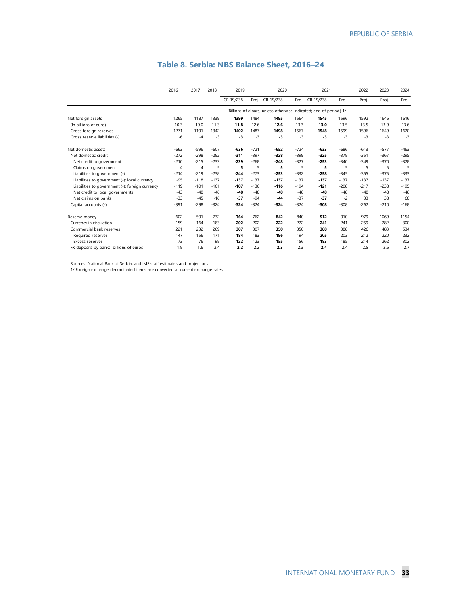### **Table 8. Serbia: NBS Balance Sheet, 2016–24**

|                                                 | 2016           | 2017           | 2018   | 2019      |        | 2020                                                               |        | 2021      |        | 2022   | 2023   | 2024   |
|-------------------------------------------------|----------------|----------------|--------|-----------|--------|--------------------------------------------------------------------|--------|-----------|--------|--------|--------|--------|
|                                                 |                |                |        | CR 19/238 | Proj.  | CR 19/238                                                          | Proj.  | CR 19/238 | Proj.  | Proj.  | Proj.  | Proj.  |
|                                                 |                |                |        |           |        | (Billions of dinars, unless otherwise indicated; end of period) 1/ |        |           |        |        |        |        |
| Net foreign assets                              | 1265           | 1187           | 1339   | 1399      | 1484   | 1495                                                               | 1564   | 1545      | 1596   | 1592   | 1646   | 1616   |
| (In billions of euro)                           | 10.3           | 10.0           | 11.3   | 11.8      | 12.6   | 12.6                                                               | 13.3   | 13.0      | 13.5   | 13.5   | 13.9   | 13.6   |
| Gross foreign reserves                          | 1271           | 1191           | 1342   | 1402      | 1487   | 1498                                                               | 1567   | 1548      | 1599   | 1596   | 1649   | 1620   |
| Gross reserve liabilities (-)                   | -6             | $-4$           | $-3$   | $-3$      | $-3$   | -3                                                                 | $-3$   | $-3$      | $-3$   | $-3$   | $-3$   | $-3$   |
| Net domestic assets                             | $-663$         | $-596$         | $-607$ | $-636$    | $-721$ | $-652$                                                             | $-724$ | $-633$    | $-686$ | $-613$ | $-577$ | $-463$ |
| Net domestic credit                             | $-272$         | $-298$         | $-282$ | $-311$    | $-397$ | $-328$                                                             | $-399$ | $-325$    | $-378$ | $-351$ | $-367$ | $-295$ |
| Net credit to government                        | $-210$         | $-215$         | $-233$ | $-239$    | $-268$ | $-248$                                                             | $-327$ | $-253$    | $-340$ | $-349$ | $-370$ | $-328$ |
| Claims on government                            | $\overline{4}$ | $\overline{4}$ | 5      | 5         | 5      | 5                                                                  | 5      | 5         | 5      | 5      | 5      | 5      |
| Liabilities to government (-)                   | $-214$         | $-219$         | $-238$ | $-244$    | $-273$ | $-253$                                                             | $-332$ | $-258$    | $-345$ | $-355$ | $-375$ | $-333$ |
| Liabilities to government (-): local currency   | $-95$          | $-118$         | $-137$ | $-137$    | $-137$ | $-137$                                                             | $-137$ | $-137$    | $-137$ | $-137$ | $-137$ | $-137$ |
| Liabilities to government (-): foreign currency | $-119$         | $-101$         | $-101$ | $-107$    | $-136$ | $-116$                                                             | $-194$ | $-121$    | $-208$ | $-217$ | $-238$ | $-195$ |
| Net credit to local governments                 | $-43$          | $-48$          | $-46$  | $-48$     | $-48$  | $-48$                                                              | $-48$  | $-48$     | $-48$  | $-48$  | $-48$  | $-48$  |
| Net claims on banks                             | $-33$          | $-45$          | $-16$  | $-37$     | $-94$  | $-44$                                                              | $-37$  | $-37$     | $-2$   | 33     | 38     | 68     |
| Capital accounts (-)                            | $-391$         | $-298$         | $-324$ | $-324$    | $-324$ | $-324$                                                             | $-324$ | $-308$    | $-308$ | $-262$ | $-210$ | $-168$ |
| Reserve money                                   | 602            | 591            | 732    | 764       | 762    | 842                                                                | 840    | 912       | 910    | 979    | 1069   | 1154   |
| Currency in circulation                         | 159            | 164            | 183    | 202       | 202    | 222                                                                | 222    | 241       | 241    | 259    | 282    | 300    |
| Commercial bank reserves                        | 221            | 232            | 269    | 307       | 307    | 350                                                                | 350    | 388       | 388    | 426    | 483    | 534    |
| Required reserves                               | 147            | 156            | 171    | 184       | 183    | 196                                                                | 194    | 205       | 203    | 212    | 220    | 232    |
| Excess reserves                                 | 73             | 76             | 98     | 122       | 123    | 155                                                                | 156    | 183       | 185    | 214    | 262    | 302    |
| FX deposits by banks, billions of euros         | 1.8            | 1.6            | 2.4    | 2.2       | 2.2    | 2.3                                                                | 2.3    | 2.4       | 2.4    | 2.5    | 2.6    | 2.7    |

Sources: National Bank of Serbia; and IMF staff estimates and projections.

1/ Foreign exchange denominated items are converted at current exchange rates.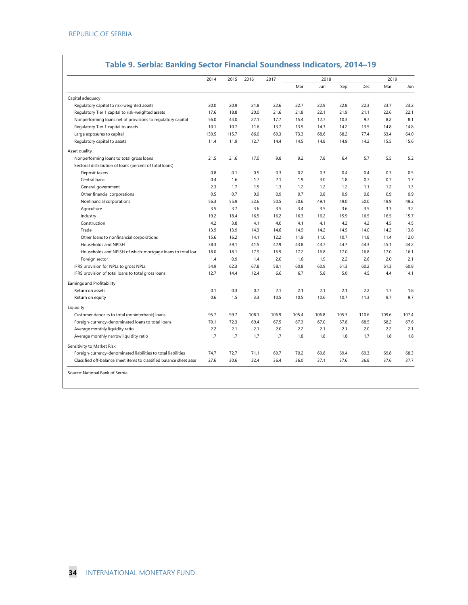|                                                                     | 2014  | 2015  | 2016  | 2017  |       | 2018  |       |       | 2019  |       |
|---------------------------------------------------------------------|-------|-------|-------|-------|-------|-------|-------|-------|-------|-------|
|                                                                     |       |       |       |       | Mar   | Jun   | Sep   | Dec   | Mar   | Jun   |
| Capital adequacy                                                    |       |       |       |       |       |       |       |       |       |       |
| Regulatory capital to risk-weighted assets                          | 20.0  | 20.9  | 21.8  | 22.6  | 22.7  | 22.9  | 22.8  | 22.3  | 23.7  | 23.2  |
| Regulatory Tier 1 capital to risk-weighted assets                   | 17.6  | 18.8  | 20.0  | 21.6  | 21.8  | 22.1  | 21.9  | 21.1  | 22.6  | 22.1  |
| Nonperforming loans net of provisions to regulatory capital         | 56.0  | 44.0  | 27.1  | 17.7  | 15.4  | 12.7  | 10.3  | 9.7   | 8.2   | 8.1   |
| Regulatory Tier 1 capital to assets                                 | 10.1  | 10.7  | 11.6  | 13.7  | 13.9  | 14.3  | 14.2  | 13.5  | 14.8  | 14.8  |
| Large exposures to capital                                          | 130.5 | 115.7 | 86.0  | 69.3  | 73.3  | 68.6  | 68.2  | 77.4  | 63.4  | 64.0  |
| Regulatory capital to assets                                        | 11.4  | 11.9  | 12.7  | 14.4  | 14.5  | 14.8  | 14.9  | 14.2  | 15.5  | 15.6  |
| Asset quality                                                       |       |       |       |       |       |       |       |       |       |       |
| Nonperforming loans to total gross loans                            | 21.5  | 21.6  | 17.0  | 9.8   | 9.2   | 7.8   | 6.4   | 5.7   | 5.5   | 5.2   |
| Sectoral distribution of loans (percent of total loans)             |       |       |       |       |       |       |       |       |       |       |
| Deposit takers                                                      | 0.8   | 0.1   | 0.5   | 0.3   | 0.2   | 0.3   | 0.4   | 0.4   | 0.3   | 0.5   |
| Central bank                                                        | 0.4   | 1.6   | 1.7   | 2.1   | 1.9   | 3.0   | 1.8   | 0.7   | 0.7   | 1.7   |
| General government                                                  | 2.3   | 1.7   | 1.5   | 1.3   | 1.2   | 1.2   | 1.2   | 1.1   | 1.2   | 1.3   |
| Other financial corporations                                        | 0.5   | 0.7   | 0.9   | 0.9   | 0.7   | 0.8   | 0.9   | 0.8   | 0.9   | 0.9   |
| Nonfinancial corporations                                           | 56.3  | 55.9  | 52.6  | 50.5  | 50.6  | 49.1  | 49.0  | 50.0  | 49.9  | 49.2  |
| Agriculture                                                         | 3.5   | 3.7   | 3.6   | 3.5   | 3.4   | 3.5   | 3.6   | 3.5   | 3.3   | 3.2   |
| Industry                                                            | 19.2  | 18.4  | 16.5  | 16.2  | 16.3  | 16.2  | 15.9  | 16.5  | 16.5  | 15.7  |
| Construction                                                        | 4.2   | 3.8   | 4.1   | 4.0   | 4.1   | 4.1   | 4.2   | 4.2   | 4.5   | 4.5   |
| Trade                                                               | 13.9  | 13.9  | 14.3  | 14.6  | 14.9  | 14.2  | 14.5  | 14.0  | 14.2  | 13.8  |
| Other loans to nonfinancial corporations                            | 15.6  | 16.2  | 14.1  | 12.2  | 11.9  | 11.0  | 10.7  | 11.8  | 11.4  | 12.0  |
| Households and NPISH                                                | 38.3  | 39.1  | 41.5  | 42.9  | 43.8  | 43.7  | 44.7  | 44.3  | 45.1  | 44.2  |
| Households and NPISH of which: mortgage loans to total loa          | 18.0  | 18.1  | 17.9  | 16.9  | 17.2  | 16.8  | 17.0  | 16.8  | 17.0  | 16.1  |
| Foreign sector                                                      | 1.4   | 0.9   | 1.4   | 2.0   | 1.6   | 1.9   | 2.2   | 2.6   | 2.0   | 2.1   |
| IFRS provision for NPLs to gross NPLs                               | 54.9  | 62.3  | 67.8  | 58.1  | 60.8  | 60.9  | 61.3  | 60.2  | 61.3  | 60.8  |
| IFRS provision of total loans to total gross loans                  | 12.7  | 14.4  | 12.4  | 6.6   | 6.7   | 5.8   | 5.0   | 4.5   | 4.4   | 4.1   |
| <b>Earnings and Profitability</b>                                   |       |       |       |       |       |       |       |       |       |       |
| Return on assets                                                    | 0.1   | 0.3   | 0.7   | 2.1   | 2.1   | 2.1   | 2.1   | 2.2   | 1.7   | 1.8   |
| Return on equity                                                    | 0.6   | 1.5   | 3.3   | 10.5  | 10.5  | 10.6  | 10.7  | 11.3  | 9.7   | 9.7   |
| Liquidity                                                           |       |       |       |       |       |       |       |       |       |       |
| Customer deposits to total (noninterbank) loans                     | 95.7  | 99.7  | 108.1 | 106.9 | 105.4 | 106.8 | 105.3 | 110.6 | 109.6 | 107.4 |
| Foreign-currency-denominated loans to total loans                   | 70.1  | 72.3  | 69.4  | 67.5  | 67.3  | 67.0  | 67.8  | 68.5  | 68.2  | 67.6  |
| Average monthly liquidity ratio                                     | 2.2   | 2.1   | 2.1   | 2.0   | 2.2   | 2.1   | 2.1   | 2.0   | 2.2   | 2.1   |
| Average monthly narrow liquidity ratio                              | 1.7   | 1.7   | 1.7   | 1.7   | 1.8   | 1.8   | 1.8   | 1.7   | 1.8   | 1.8   |
| Sensitivity to Market Risk                                          |       |       |       |       |       |       |       |       |       |       |
| Foreign-currency-denominated liabilities to total liabilities       | 74.7  | 72.7  | 71.1  | 69.7  | 70.2  | 69.8  | 69.4  | 69.3  | 69.8  | 68.3  |
| Classified off-balance sheet items to classified balance sheet asse | 27.6  | 30.6  | 32.4  | 36.4  | 36.0  | 37.1  | 37.6  | 36.8  | 37.6  | 37.7  |

### **Table 9. Serbia: Banking Sector Financial Soundness Indicators, 2014–19**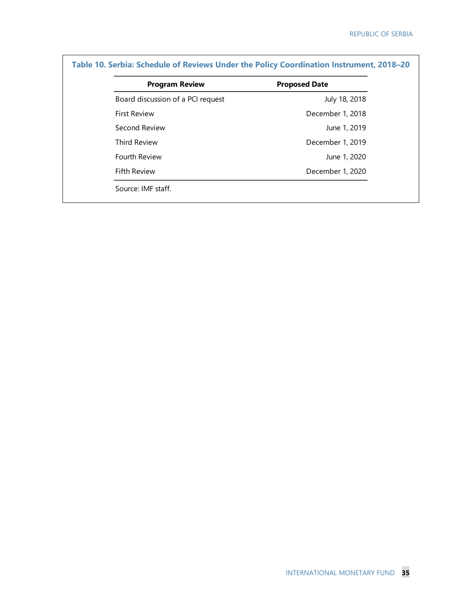| <b>Program Review</b>             | <b>Proposed Date</b> |
|-----------------------------------|----------------------|
| Board discussion of a PCI request | July 18, 2018        |
| <b>First Review</b>               | December 1, 2018     |
| Second Review                     | June 1, 2019         |
| <b>Third Review</b>               | December 1, 2019     |
| <b>Fourth Review</b>              | June 1, 2020         |
| <b>Fifth Review</b>               | December 1, 2020     |

### **Table 10. Serbia: Schedule of Reviews Under the Policy Coordination Instrument, 2018–20**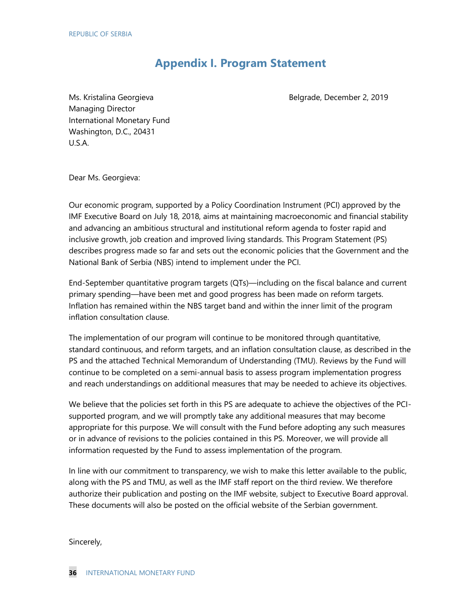### **Appendix I. Program Statement**

Ms. Kristalina Georgieva Belgrade, December 2, 2019

Managing Director International Monetary Fund Washington, D.C., 20431 U.S.A.

Dear Ms. Georgieva:

Our economic program, supported by a Policy Coordination Instrument (PCI) approved by the IMF Executive Board on July 18, 2018, aims at maintaining macroeconomic and financial stability and advancing an ambitious structural and institutional reform agenda to foster rapid and inclusive growth, job creation and improved living standards. This Program Statement (PS) describes progress made so far and sets out the economic policies that the Government and the National Bank of Serbia (NBS) intend to implement under the PCI.

End-September quantitative program targets (QTs)—including on the fiscal balance and current primary spending—have been met and good progress has been made on reform targets. Inflation has remained within the NBS target band and within the inner limit of the program inflation consultation clause.

The implementation of our program will continue to be monitored through quantitative, standard continuous, and reform targets, and an inflation consultation clause, as described in the PS and the attached Technical Memorandum of Understanding (TMU). Reviews by the Fund will continue to be completed on a semi-annual basis to assess program implementation progress and reach understandings on additional measures that may be needed to achieve its objectives.

We believe that the policies set forth in this PS are adequate to achieve the objectives of the PCIsupported program, and we will promptly take any additional measures that may become appropriate for this purpose. We will consult with the Fund before adopting any such measures or in advance of revisions to the policies contained in this PS. Moreover, we will provide all information requested by the Fund to assess implementation of the program.

In line with our commitment to transparency, we wish to make this letter available to the public, along with the PS and TMU, as well as the IMF staff report on the third review. We therefore authorize their publication and posting on the IMF website, subject to Executive Board approval. These documents will also be posted on the official website of the Serbian government.

Sincerely,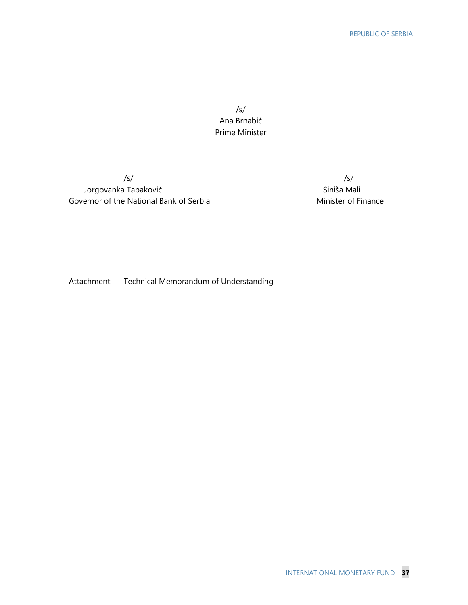/s/ Ana Brnabić Prime Minister

/s/ /s/ Jorgovanka Tabaković Narodni i Siniša Mali Governor of the National Bank of Serbia Minister of Finance

Attachment: Technical Memorandum of Understanding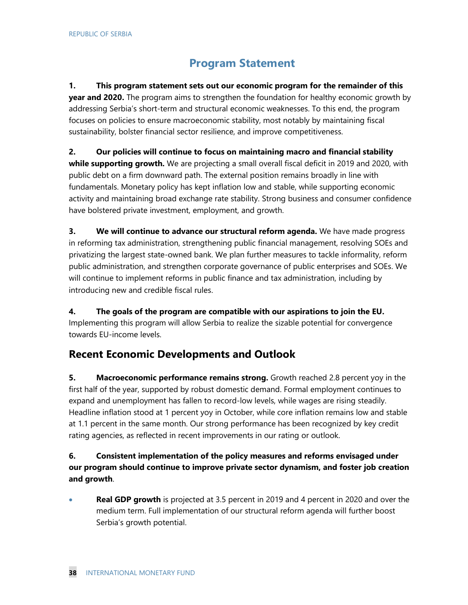### **Program Statement**

**1. This program statement sets out our economic program for the remainder of this year and 2020.** The program aims to strengthen the foundation for healthy economic growth by addressing Serbia's short-term and structural economic weaknesses. To this end, the program focuses on policies to ensure macroeconomic stability, most notably by maintaining fiscal sustainability, bolster financial sector resilience, and improve competitiveness.

**2. Our policies will continue to focus on maintaining macro and financial stability**  while supporting growth. We are projecting a small overall fiscal deficit in 2019 and 2020, with public debt on a firm downward path. The external position remains broadly in line with fundamentals. Monetary policy has kept inflation low and stable, while supporting economic activity and maintaining broad exchange rate stability. Strong business and consumer confidence have bolstered private investment, employment, and growth.

**3. We will continue to advance our structural reform agenda.** We have made progress in reforming tax administration, strengthening public financial management, resolving SOEs and privatizing the largest state-owned bank. We plan further measures to tackle informality, reform public administration, and strengthen corporate governance of public enterprises and SOEs. We will continue to implement reforms in public finance and tax administration, including by introducing new and credible fiscal rules.

**4. The goals of the program are compatible with our aspirations to join the EU.** Implementing this program will allow Serbia to realize the sizable potential for convergence towards EU-income levels.

### **Recent Economic Developments and Outlook**

**5.** Macroeconomic performance remains strong. Growth reached 2.8 percent yoy in the first half of the year, supported by robust domestic demand. Formal employment continues to expand and unemployment has fallen to record-low levels, while wages are rising steadily. Headline inflation stood at 1 percent yoy in October, while core inflation remains low and stable at 1.1 percent in the same month. Our strong performance has been recognized by key credit rating agencies, as reflected in recent improvements in our rating or outlook.

### **6. Consistent implementation of the policy measures and reforms envisaged under our program should continue to improve private sector dynamism, and foster job creation and growth**.

**Real GDP growth** is projected at 3.5 percent in 2019 and 4 percent in 2020 and over the medium term. Full implementation of our structural reform agenda will further boost Serbia's growth potential.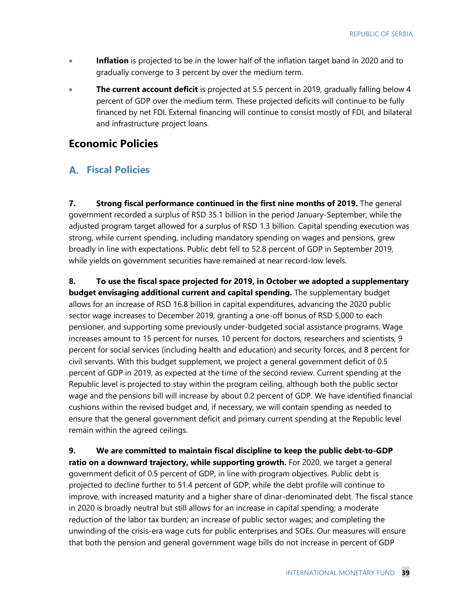- **Inflation** is projected to be in the lower half of the inflation target band in 2020 and to gradually converge to 3 percent by over the medium term.
- **The current account deficit** is projected at 5.5 percent in 2019, gradually falling below 4 percent of GDP over the medium term. These projected deficits will continue to be fully financed by net FDI. External financing will continue to consist mostly of FDI, and bilateral and infrastructure project loans.

### **Economic Policies**

### **Fiscal Policies**

**7. Strong fiscal performance continued in the first nine months of 2019.** The general government recorded a surplus of RSD 35.1 billion in the period January-September, while the adjusted program target allowed for a surplus of RSD 1.3 billion. Capital spending execution was strong, while current spending, including mandatory spending on wages and pensions, grew broadly in line with expectations. Public debt fell to 52.8 percent of GDP in September 2019, while yields on government securities have remained at near record-low levels.

**8. To use the fiscal space projected for 2019, in October we adopted a supplementary budget envisaging additional current and capital spending.** The supplementary budget allows for an increase of RSD 16.8 billion in capital expenditures, advancing the 2020 public sector wage increases to December 2019, granting a one-off bonus of RSD 5,000 to each pensioner, and supporting some previously under-budgeted social assistance programs. Wage increases amount to 15 percent for nurses, 10 percent for doctors, researchers and scientists, 9 percent for social services (including health and education) and security forces, and 8 percent for civil servants. With this budget supplement, we project a general government deficit of 0.5 percent of GDP in 2019, as expected at the time of the second review. Current spending at the Republic level is projected to stay within the program ceiling, although both the public sector wage and the pensions bill will increase by about 0.2 percent of GDP. We have identified financial cushions within the revised budget and, if necessary, we will contain spending as needed to ensure that the general government deficit and primary current spending at the Republic level remain within the agreed ceilings.

**9. We are committed to maintain fiscal discipline to keep the public debt-to-GDP**  ratio on a downward trajectory, while supporting growth. For 2020, we target a general government deficit of 0.5 percent of GDP, in line with program objectives. Public debt is projected to decline further to 51.4 percent of GDP, while the debt profile will continue to improve, with increased maturity and a higher share of dinar-denominated debt. The fiscal stance in 2020 is broadly neutral but still allows for an increase in capital spending; a moderate reduction of the labor tax burden; an increase of public sector wages; and completing the unwinding of the crisis-era wage cuts for public enterprises and SOEs. Our measures will ensure that both the pension and general government wage bills do not increase in percent of GDP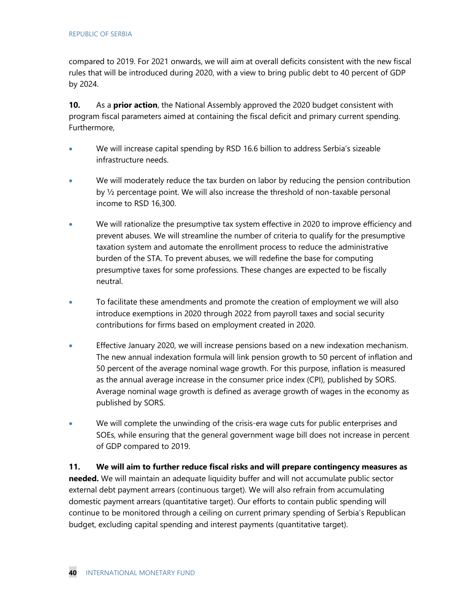compared to 2019. For 2021 onwards, we will aim at overall deficits consistent with the new fiscal rules that will be introduced during 2020, with a view to bring public debt to 40 percent of GDP by 2024.

**10.** As a **prior action**, the National Assembly approved the 2020 budget consistent with program fiscal parameters aimed at containing the fiscal deficit and primary current spending. Furthermore,

- We will increase capital spending by RSD 16.6 billion to address Serbia's sizeable infrastructure needs.
- We will moderately reduce the tax burden on labor by reducing the pension contribution by ½ percentage point. We will also increase the threshold of non-taxable personal income to RSD 16,300.
- We will rationalize the presumptive tax system effective in 2020 to improve efficiency and prevent abuses. We will streamline the number of criteria to qualify for the presumptive taxation system and automate the enrollment process to reduce the administrative burden of the STA. To prevent abuses, we will redefine the base for computing presumptive taxes for some professions. These changes are expected to be fiscally neutral.
- To facilitate these amendments and promote the creation of employment we will also introduce exemptions in 2020 through 2022 from payroll taxes and social security contributions for firms based on employment created in 2020.
- Effective January 2020, we will increase pensions based on a new indexation mechanism. The new annual indexation formula will link pension growth to 50 percent of inflation and 50 percent of the average nominal wage growth. For this purpose, inflation is measured as the annual average increase in the consumer price index (CPI), published by SORS. Average nominal wage growth is defined as average growth of wages in the economy as published by SORS.
- We will complete the unwinding of the crisis-era wage cuts for public enterprises and SOEs, while ensuring that the general government wage bill does not increase in percent of GDP compared to 2019.

**11. We will aim to further reduce fiscal risks and will prepare contingency measures as needed.** We will maintain an adequate liquidity buffer and will not accumulate public sector external debt payment arrears (continuous target). We will also refrain from accumulating domestic payment arrears (quantitative target). Our efforts to contain public spending will continue to be monitored through a ceiling on current primary spending of Serbia's Republican budget, excluding capital spending and interest payments (quantitative target).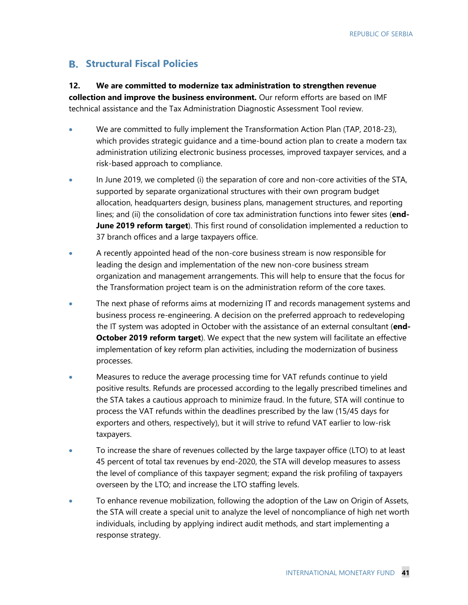### **Structural Fiscal Policies**

#### **12. We are committed to modernize tax administration to strengthen revenue**

**collection and improve the business environment.** Our reform efforts are based on IMF technical assistance and the Tax Administration Diagnostic Assessment Tool review.

- We are committed to fully implement the Transformation Action Plan (TAP, 2018-23), which provides strategic guidance and a time-bound action plan to create a modern tax administration utilizing electronic business processes, improved taxpayer services, and a risk-based approach to compliance.
- In June 2019, we completed (i) the separation of core and non-core activities of the STA, supported by separate organizational structures with their own program budget allocation, headquarters design, business plans, management structures, and reporting lines; and (ii) the consolidation of core tax administration functions into fewer sites (**end-June 2019 reform target**). This first round of consolidation implemented a reduction to 37 branch offices and a large taxpayers office.
- A recently appointed head of the non-core business stream is now responsible for leading the design and implementation of the new non-core business stream organization and management arrangements. This will help to ensure that the focus for the Transformation project team is on the administration reform of the core taxes.
- The next phase of reforms aims at modernizing IT and records management systems and business process re-engineering. A decision on the preferred approach to redeveloping the IT system was adopted in October with the assistance of an external consultant (**end-October 2019 reform target**). We expect that the new system will facilitate an effective implementation of key reform plan activities, including the modernization of business processes.
- Measures to reduce the average processing time for VAT refunds continue to yield positive results. Refunds are processed according to the legally prescribed timelines and the STA takes a cautious approach to minimize fraud. In the future, STA will continue to process the VAT refunds within the deadlines prescribed by the law (15/45 days for exporters and others, respectively), but it will strive to refund VAT earlier to low-risk taxpayers.
- To increase the share of revenues collected by the large taxpayer office (LTO) to at least 45 percent of total tax revenues by end-2020, the STA will develop measures to assess the level of compliance of this taxpayer segment; expand the risk profiling of taxpayers overseen by the LTO; and increase the LTO staffing levels.
- To enhance revenue mobilization, following the adoption of the Law on Origin of Assets, the STA will create a special unit to analyze the level of noncompliance of high net worth individuals, including by applying indirect audit methods, and start implementing a response strategy.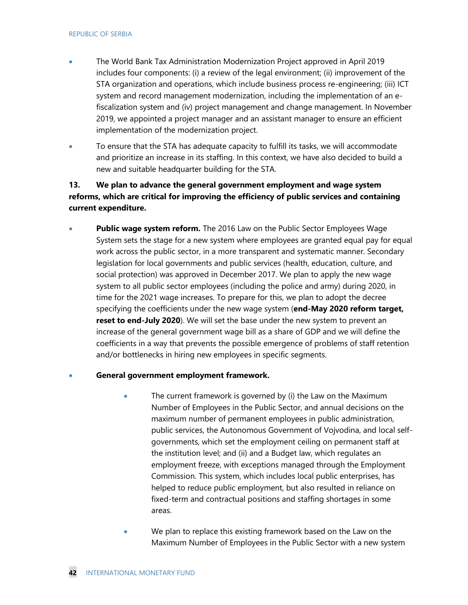- The World Bank Tax Administration Modernization Project approved in April 2019 includes four components: (i) a review of the legal environment; (ii) improvement of the STA organization and operations, which include business process re-engineering; (iii) ICT system and record management modernization, including the implementation of an efiscalization system and (iv) project management and change management. In November 2019, we appointed a project manager and an assistant manager to ensure an efficient implementation of the modernization project.
- To ensure that the STA has adequate capacity to fulfill its tasks, we will accommodate and prioritize an increase in its staffing. In this context, we have also decided to build a new and suitable headquarter building for the STA.

### **13. We plan to advance the general government employment and wage system reforms, which are critical for improving the efficiency of public services and containing current expenditure.**

• **Public wage system reform.** The 2016 Law on the Public Sector Employees Wage System sets the stage for a new system where employees are granted equal pay for equal work across the public sector, in a more transparent and systematic manner. Secondary legislation for local governments and public services (health, education, culture, and social protection) was approved in December 2017. We plan to apply the new wage system to all public sector employees (including the police and army) during 2020, in time for the 2021 wage increases. To prepare for this, we plan to adopt the decree specifying the coefficients under the new wage system (**end-May 2020 reform target, reset to end-July 2020**). We will set the base under the new system to prevent an increase of the general government wage bill as a share of GDP and we will define the coefficients in a way that prevents the possible emergence of problems of staff retention and/or bottlenecks in hiring new employees in specific segments.

### • **General government employment framework.**

- The current framework is governed by (i) the Law on the Maximum Number of Employees in the Public Sector, and annual decisions on the maximum number of permanent employees in public administration, public services, the Autonomous Government of Vojvodina, and local selfgovernments, which set the employment ceiling on permanent staff at the institution level; and (ii) and a Budget law, which regulates an employment freeze, with exceptions managed through the Employment Commission. This system, which includes local public enterprises, has helped to reduce public employment, but also resulted in reliance on fixed-term and contractual positions and staffing shortages in some areas.
- We plan to replace this existing framework based on the Law on the Maximum Number of Employees in the Public Sector with a new system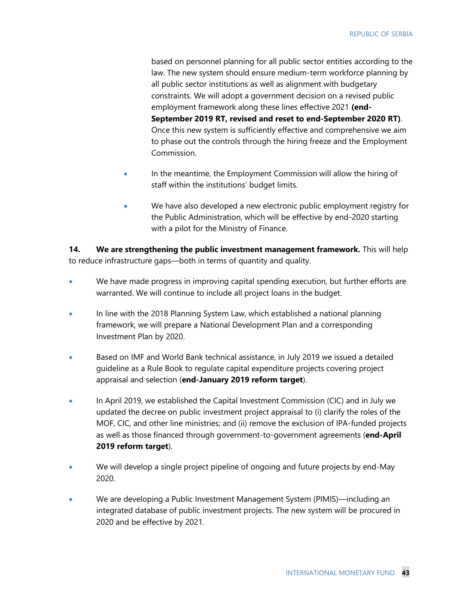based on personnel planning for all public sector entities according to the law. The new system should ensure medium-term workforce planning by all public sector institutions as well as alignment with budgetary constraints. We will adopt a government decision on a revised public employment framework along these lines effective 2021 **(end-September 2019 RT, revised and reset to end-September 2020 RT)**. Once this new system is sufficiently effective and comprehensive we aim to phase out the controls through the hiring freeze and the Employment Commission.

- In the meantime, the Employment Commission will allow the hiring of staff within the institutions' budget limits.
- We have also developed a new electronic public employment registry for the Public Administration, which will be effective by end-2020 starting with a pilot for the Ministry of Finance.

**14. We are strengthening the public investment management framework.** This will help to reduce infrastructure gaps—both in terms of quantity and quality.

- We have made progress in improving capital spending execution, but further efforts are warranted. We will continue to include all project loans in the budget.
- In line with the 2018 Planning System Law, which established a national planning framework, we will prepare a National Development Plan and a corresponding Investment Plan by 2020.
- Based on IMF and World Bank technical assistance, in July 2019 we issued a detailed guideline as a Rule Book to regulate capital expenditure projects covering project appraisal and selection (**end-January 2019 reform target**).
- In April 2019, we established the Capital Investment Commission (CIC) and in July we updated the decree on public investment project appraisal to (i) clarify the roles of the MOF, CIC, and other line ministries; and (ii) remove the exclusion of IPA-funded projects as well as those financed through government-to-government agreements (**end-April 2019 reform target**).
- We will develop a single project pipeline of ongoing and future projects by end-May 2020.
- We are developing a Public Investment Management System (PIMIS)—including an integrated database of public investment projects. The new system will be procured in 2020 and be effective by 2021.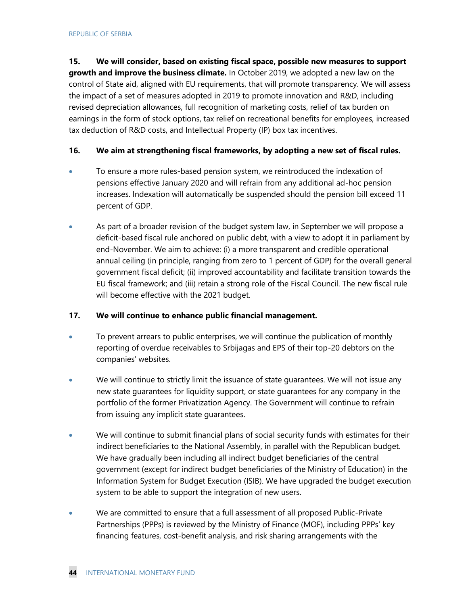### **15. We will consider, based on existing fiscal space, possible new measures to support**

**growth and improve the business climate.** In October 2019, we adopted a new law on the control of State aid, aligned with EU requirements, that will promote transparency. We will assess the impact of a set of measures adopted in 2019 to promote innovation and R&D, including revised depreciation allowances, full recognition of marketing costs, relief of tax burden on earnings in the form of stock options, tax relief on recreational benefits for employees, increased tax deduction of R&D costs, and Intellectual Property (IP) box tax incentives.

### **16. We aim at strengthening fiscal frameworks, by adopting a new set of fiscal rules.**

- To ensure a more rules-based pension system, we reintroduced the indexation of pensions effective January 2020 and will refrain from any additional ad-hoc pension increases. Indexation will automatically be suspended should the pension bill exceed 11 percent of GDP.
- As part of a broader revision of the budget system law, in September we will propose a deficit-based fiscal rule anchored on public debt, with a view to adopt it in parliament by end-November. We aim to achieve: (i) a more transparent and credible operational annual ceiling (in principle, ranging from zero to 1 percent of GDP) for the overall general government fiscal deficit; (ii) improved accountability and facilitate transition towards the EU fiscal framework; and (iii) retain a strong role of the Fiscal Council. The new fiscal rule will become effective with the 2021 budget.

### **17. We will continue to enhance public financial management.**

- To prevent arrears to public enterprises, we will continue the publication of monthly reporting of overdue receivables to Srbijagas and EPS of their top-20 debtors on the companies' websites.
- We will continue to strictly limit the issuance of state quarantees. We will not issue any new state guarantees for liquidity support, or state guarantees for any company in the portfolio of the former Privatization Agency. The Government will continue to refrain from issuing any implicit state guarantees.
- We will continue to submit financial plans of social security funds with estimates for their indirect beneficiaries to the National Assembly, in parallel with the Republican budget. We have gradually been including all indirect budget beneficiaries of the central government (except for indirect budget beneficiaries of the Ministry of Education) in the Information System for Budget Execution (ISIB). We have upgraded the budget execution system to be able to support the integration of new users.
- We are committed to ensure that a full assessment of all proposed Public-Private Partnerships (PPPs) is reviewed by the Ministry of Finance (MOF), including PPPs' key financing features, cost-benefit analysis, and risk sharing arrangements with the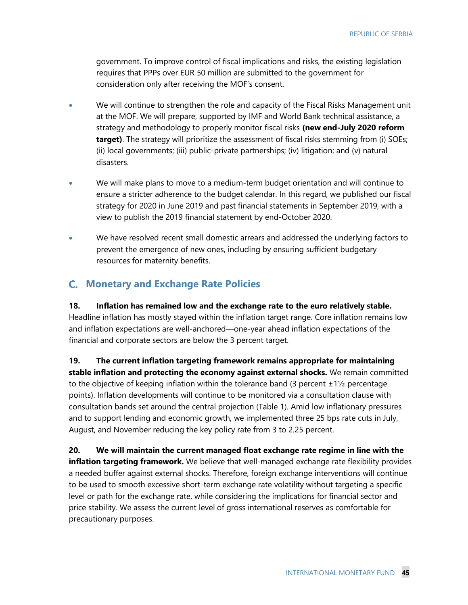government. To improve control of fiscal implications and risks, the existing legislation requires that PPPs over EUR 50 million are submitted to the government for consideration only after receiving the MOF's consent.

- We will continue to strengthen the role and capacity of the Fiscal Risks Management unit at the MOF. We will prepare, supported by IMF and World Bank technical assistance, a strategy and methodology to properly monitor fiscal risks **(new end-July 2020 reform target)**. The strategy will prioritize the assessment of fiscal risks stemming from (i) SOEs; (ii) local governments; (iii) public-private partnerships; (iv) litigation; and (v) natural disasters.
- We will make plans to move to a medium-term budget orientation and will continue to ensure a stricter adherence to the budget calendar. In this regard, we published our fiscal strategy for 2020 in June 2019 and past financial statements in September 2019, with a view to publish the 2019 financial statement by end-October 2020.
- We have resolved recent small domestic arrears and addressed the underlying factors to prevent the emergence of new ones, including by ensuring sufficient budgetary resources for maternity benefits.

### **Monetary and Exchange Rate Policies**

**18. Inflation has remained low and the exchange rate to the euro relatively stable.**  Headline inflation has mostly stayed within the inflation target range. Core inflation remains low and inflation expectations are well-anchored—one-year ahead inflation expectations of the financial and corporate sectors are below the 3 percent target.

**19. The current inflation targeting framework remains appropriate for maintaining stable inflation and protecting the economy against external shocks.** We remain committed to the objective of keeping inflation within the tolerance band (3 percent  $\pm 1\frac{1}{2}$  percentage points). Inflation developments will continue to be monitored via a consultation clause with consultation bands set around the central projection (Table 1). Amid low inflationary pressures and to support lending and economic growth, we implemented three 25 bps rate cuts in July, August, and November reducing the key policy rate from 3 to 2.25 percent.

**20. We will maintain the current managed float exchange rate regime in line with the inflation targeting framework.** We believe that well-managed exchange rate flexibility provides a needed buffer against external shocks. Therefore, foreign exchange interventions will continue to be used to smooth excessive short-term exchange rate volatility without targeting a specific level or path for the exchange rate, while considering the implications for financial sector and price stability. We assess the current level of gross international reserves as comfortable for precautionary purposes.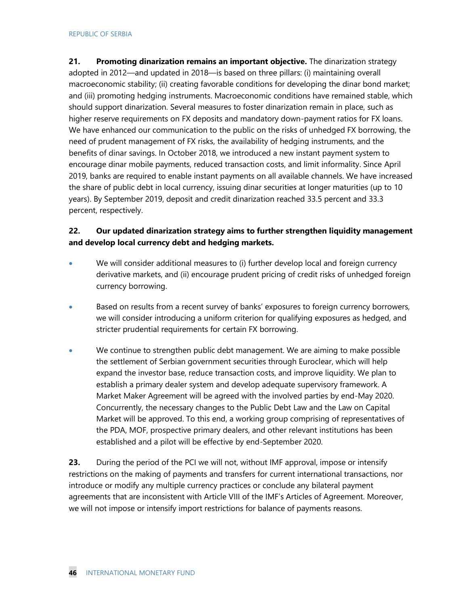**21. Promoting dinarization remains an important objective.** The dinarization strategy adopted in 2012—and updated in 2018—is based on three pillars: (i) maintaining overall macroeconomic stability; (ii) creating favorable conditions for developing the dinar bond market; and (iii) promoting hedging instruments. Macroeconomic conditions have remained stable, which should support dinarization. Several measures to foster dinarization remain in place, such as higher reserve requirements on FX deposits and mandatory down-payment ratios for FX loans. We have enhanced our communication to the public on the risks of unhedged FX borrowing, the need of prudent management of FX risks, the availability of hedging instruments, and the benefits of dinar savings. In October 2018, we introduced a new instant payment system to encourage dinar mobile payments, reduced transaction costs, and limit informality. Since April 2019, banks are required to enable instant payments on all available channels. We have increased the share of public debt in local currency, issuing dinar securities at longer maturities (up to 10 years). By September 2019, deposit and credit dinarization reached 33.5 percent and 33.3 percent, respectively.

### **22. Our updated dinarization strategy aims to further strengthen liquidity management and develop local currency debt and hedging markets.**

- We will consider additional measures to (i) further develop local and foreign currency derivative markets, and (ii) encourage prudent pricing of credit risks of unhedged foreign currency borrowing.
- Based on results from a recent survey of banks' exposures to foreign currency borrowers, we will consider introducing a uniform criterion for qualifying exposures as hedged, and stricter prudential requirements for certain FX borrowing.
- We continue to strengthen public debt management. We are aiming to make possible the settlement of Serbian government securities through Euroclear, which will help expand the investor base, reduce transaction costs, and improve liquidity. We plan to establish a primary dealer system and develop adequate supervisory framework. A Market Maker Agreement will be agreed with the involved parties by end-May 2020. Concurrently, the necessary changes to the Public Debt Law and the Law on Capital Market will be approved. To this end, a working group comprising of representatives of the PDA, MOF, prospective primary dealers, and other relevant institutions has been established and a pilot will be effective by end-September 2020.

**23.** During the period of the PCI we will not, without IMF approval, impose or intensify restrictions on the making of payments and transfers for current international transactions, nor introduce or modify any multiple currency practices or conclude any bilateral payment agreements that are inconsistent with Article VIII of the IMF's Articles of Agreement. Moreover, we will not impose or intensify import restrictions for balance of payments reasons.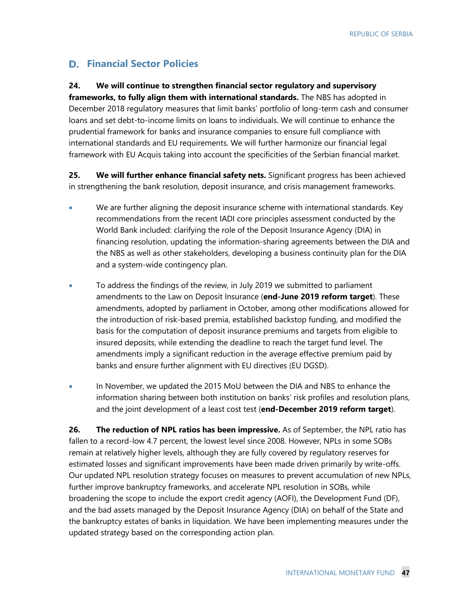### **Financial Sector Policies**

### **24. We will continue to strengthen financial sector regulatory and supervisory**

**frameworks, to fully align them with international standards.** The NBS has adopted in December 2018 regulatory measures that limit banks' portfolio of long-term cash and consumer loans and set debt-to-income limits on loans to individuals. We will continue to enhance the prudential framework for banks and insurance companies to ensure full compliance with international standards and EU requirements. We will further harmonize our financial legal framework with EU Acquis taking into account the specificities of the Serbian financial market.

**25. We will further enhance financial safety nets.** Significant progress has been achieved in strengthening the bank resolution, deposit insurance, and crisis management frameworks.

- We are further aligning the deposit insurance scheme with international standards. Key recommendations from the recent IADI core principles assessment conducted by the World Bank included: clarifying the role of the Deposit Insurance Agency (DIA) in financing resolution, updating the information-sharing agreements between the DIA and the NBS as well as other stakeholders, developing a business continuity plan for the DIA and a system-wide contingency plan.
- To address the findings of the review, in July 2019 we submitted to parliament amendments to the Law on Deposit Insurance (**end-June 2019 reform target**). These amendments, adopted by parliament in October, among other modifications allowed for the introduction of risk-based premia, established backstop funding, and modified the basis for the computation of deposit insurance premiums and targets from eligible to insured deposits, while extending the deadline to reach the target fund level. The amendments imply a significant reduction in the average effective premium paid by banks and ensure further alignment with EU directives (EU DGSD).
- In November, we updated the 2015 MoU between the DIA and NBS to enhance the information sharing between both institution on banks' risk profiles and resolution plans, and the joint development of a least cost test (**end-December 2019 reform target**).

**26. The reduction of NPL ratios has been impressive.** As of September, the NPL ratio has fallen to a record-low 4.7 percent, the lowest level since 2008. However, NPLs in some SOBs remain at relatively higher levels, although they are fully covered by regulatory reserves for estimated losses and significant improvements have been made driven primarily by write-offs. Our updated NPL resolution strategy focuses on measures to prevent accumulation of new NPLs, further improve bankruptcy frameworks, and accelerate NPL resolution in SOBs, while broadening the scope to include the export credit agency (AOFI), the Development Fund (DF), and the bad assets managed by the Deposit Insurance Agency (DIA) on behalf of the State and the bankruptcy estates of banks in liquidation. We have been implementing measures under the updated strategy based on the corresponding action plan.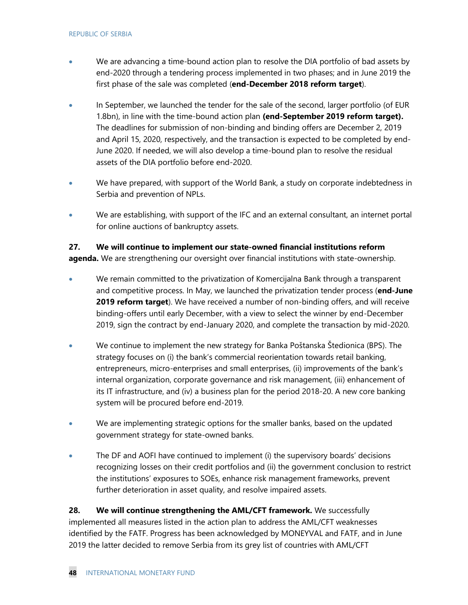- We are advancing a time-bound action plan to resolve the DIA portfolio of bad assets by end-2020 through a tendering process implemented in two phases; and in June 2019 the first phase of the sale was completed (**end-December 2018 reform target**).
- In September, we launched the tender for the sale of the second, larger portfolio (of EUR 1.8bn), in line with the time-bound action plan **(end-September 2019 reform target).**  The deadlines for submission of non-binding and binding offers are December 2, 2019 and April 15, 2020, respectively, and the transaction is expected to be completed by end-June 2020. If needed, we will also develop a time-bound plan to resolve the residual assets of the DIA portfolio before end-2020.
- We have prepared, with support of the World Bank, a study on corporate indebtedness in Serbia and prevention of NPLs.
- We are establishing, with support of the IFC and an external consultant, an internet portal for online auctions of bankruptcy assets.

### **27. We will continue to implement our state-owned financial institutions reform**

**agenda.** We are strengthening our oversight over financial institutions with state-ownership.

- We remain committed to the privatization of Komercijalna Bank through a transparent and competitive process. In May, we launched the privatization tender process (**end-June 2019 reform target**). We have received a number of non-binding offers, and will receive binding-offers until early December, with a view to select the winner by end-December 2019, sign the contract by end-January 2020, and complete the transaction by mid-2020.
- We continue to implement the new strategy for Banka Poštanska Štedionica (BPS). The strategy focuses on (i) the bank's commercial reorientation towards retail banking, entrepreneurs, micro-enterprises and small enterprises, (ii) improvements of the bank's internal organization, corporate governance and risk management, (iii) enhancement of its IT infrastructure, and (iv) a business plan for the period 2018-20. A new core banking system will be procured before end-2019.
- We are implementing strategic options for the smaller banks, based on the updated government strategy for state-owned banks.
- The DF and AOFI have continued to implement (i) the supervisory boards' decisions recognizing losses on their credit portfolios and (ii) the government conclusion to restrict the institutions' exposures to SOEs, enhance risk management frameworks, prevent further deterioration in asset quality, and resolve impaired assets.

**28. We will continue strengthening the AML/CFT framework.** We successfully implemented all measures listed in the action plan to address the AML/CFT weaknesses identified by the FATF. Progress has been acknowledged by MONEYVAL and FATF, and in June 2019 the latter decided to remove Serbia from its grey list of countries with AML/CFT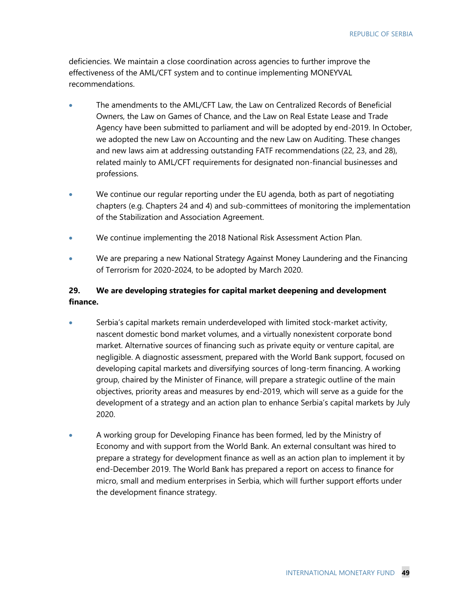deficiencies. We maintain a close coordination across agencies to further improve the effectiveness of the AML/CFT system and to continue implementing MONEYVAL recommendations.

- The amendments to the AML/CFT Law, the Law on Centralized Records of Beneficial Owners, the Law on Games of Chance, and the Law on Real Estate Lease and Trade Agency have been submitted to parliament and will be adopted by end-2019. In October, we adopted the new Law on Accounting and the new Law on Auditing. These changes and new laws aim at addressing outstanding FATF recommendations (22, 23, and 28), related mainly to AML/CFT requirements for designated non-financial businesses and professions.
- We continue our regular reporting under the EU agenda, both as part of negotiating chapters (e.g. Chapters 24 and 4) and sub-committees of monitoring the implementation of the Stabilization and Association Agreement.
- We continue implementing the 2018 National Risk Assessment Action Plan.
- We are preparing a new National Strategy Against Money Laundering and the Financing of Terrorism for 2020-2024, to be adopted by March 2020.

### **29. We are developing strategies for capital market deepening and development finance.**

- Serbia's capital markets remain underdeveloped with limited stock-market activity, nascent domestic bond market volumes, and a virtually nonexistent corporate bond market. Alternative sources of financing such as private equity or venture capital, are negligible. A diagnostic assessment, prepared with the World Bank support, focused on developing capital markets and diversifying sources of long-term financing. A working group, chaired by the Minister of Finance, will prepare a strategic outline of the main objectives, priority areas and measures by end-2019, which will serve as a guide for the development of a strategy and an action plan to enhance Serbia's capital markets by July 2020.
- A working group for Developing Finance has been formed, led by the Ministry of Economy and with support from the World Bank. An external consultant was hired to prepare a strategy for development finance as well as an action plan to implement it by end-December 2019. The World Bank has prepared a report on access to finance for micro, small and medium enterprises in Serbia, which will further support efforts under the development finance strategy.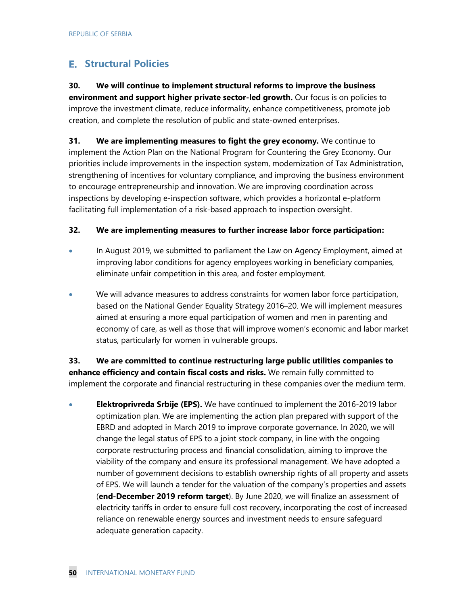### **Structural Policies**

### **30. We will continue to implement structural reforms to improve the business**

**environment and support higher private sector-led growth.** Our focus is on policies to improve the investment climate, reduce informality, enhance competitiveness, promote job creation, and complete the resolution of public and state-owned enterprises.

**31. We are implementing measures to fight the grey economy.** We continue to implement the Action Plan on the National Program for Countering the Grey Economy. Our priorities include improvements in the inspection system, modernization of Tax Administration, strengthening of incentives for voluntary compliance, and improving the business environment to encourage entrepreneurship and innovation. We are improving coordination across inspections by developing e-inspection software, which provides a horizontal e-platform facilitating full implementation of a risk-based approach to inspection oversight.

#### **32. We are implementing measures to further increase labor force participation:**

- In August 2019, we submitted to parliament the Law on Agency Employment, aimed at improving labor conditions for agency employees working in beneficiary companies, eliminate unfair competition in this area, and foster employment.
- We will advance measures to address constraints for women labor force participation, based on the National Gender Equality Strategy 2016–20. We will implement measures aimed at ensuring a more equal participation of women and men in parenting and economy of care, as well as those that will improve women's economic and labor market status, particularly for women in vulnerable groups.

**33. We are committed to continue restructuring large public utilities companies to enhance efficiency and contain fiscal costs and risks.** We remain fully committed to implement the corporate and financial restructuring in these companies over the medium term.

• **Elektroprivreda Srbije (EPS).** We have continued to implement the 2016-2019 labor optimization plan. We are implementing the action plan prepared with support of the EBRD and adopted in March 2019 to improve corporate governance. In 2020, we will change the legal status of EPS to a joint stock company, in line with the ongoing corporate restructuring process and financial consolidation, aiming to improve the viability of the company and ensure its professional management. We have adopted a number of government decisions to establish ownership rights of all property and assets of EPS. We will launch a tender for the valuation of the company's properties and assets (**end-December 2019 reform target**). By June 2020, we will finalize an assessment of electricity tariffs in order to ensure full cost recovery, incorporating the cost of increased reliance on renewable energy sources and investment needs to ensure safeguard adequate generation capacity.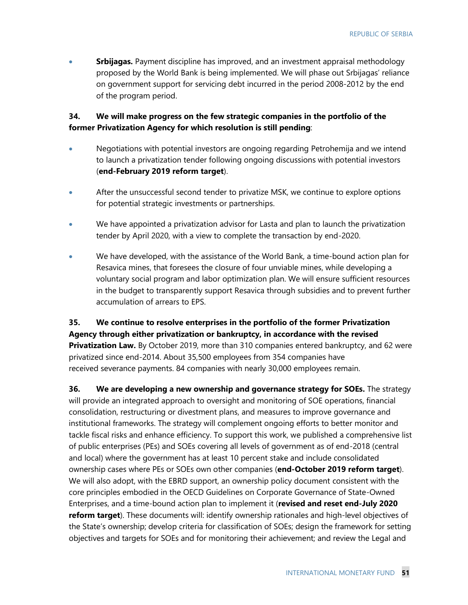• **Srbijagas.** Payment discipline has improved, and an investment appraisal methodology proposed by the World Bank is being implemented. We will phase out Srbijagas' reliance on government support for servicing debt incurred in the period 2008-2012 by the end of the program period.

### **34. We will make progress on the few strategic companies in the portfolio of the former Privatization Agency for which resolution is still pending**:

- Negotiations with potential investors are ongoing regarding Petrohemija and we intend to launch a privatization tender following ongoing discussions with potential investors (**end-February 2019 reform target**).
- After the unsuccessful second tender to privatize MSK, we continue to explore options for potential strategic investments or partnerships.
- We have appointed a privatization advisor for Lasta and plan to launch the privatization tender by April 2020, with a view to complete the transaction by end-2020.
- We have developed, with the assistance of the World Bank, a time-bound action plan for Resavica mines, that foresees the closure of four unviable mines, while developing a voluntary social program and labor optimization plan. We will ensure sufficient resources in the budget to transparently support Resavica through subsidies and to prevent further accumulation of arrears to EPS.

**35. We continue to resolve enterprises in the portfolio of the former Privatization Agency through either privatization or bankruptcy, in accordance with the revised Privatization Law.** By October 2019, more than 310 companies entered bankruptcy, and 62 were privatized since end-2014. About 35,500 employees from 354 companies have received severance payments. 84 companies with nearly 30,000 employees remain.

**36. We are developing a new ownership and governance strategy for SOEs.** The strategy will provide an integrated approach to oversight and monitoring of SOE operations, financial consolidation, restructuring or divestment plans, and measures to improve governance and institutional frameworks. The strategy will complement ongoing efforts to better monitor and tackle fiscal risks and enhance efficiency. To support this work, we published a comprehensive list of public enterprises (PEs) and SOEs covering all levels of government as of end-2018 (central and local) where the government has at least 10 percent stake and include consolidated ownership cases where PEs or SOEs own other companies (**end-October 2019 reform target**). We will also adopt, with the EBRD support, an ownership policy document consistent with the core principles embodied in the OECD Guidelines on Corporate Governance of State-Owned Enterprises, and a time-bound action plan to implement it (**revised and reset end-July 2020 reform target**). These documents will: identify ownership rationales and high-level objectives of the State's ownership; develop criteria for classification of SOEs; design the framework for setting objectives and targets for SOEs and for monitoring their achievement; and review the Legal and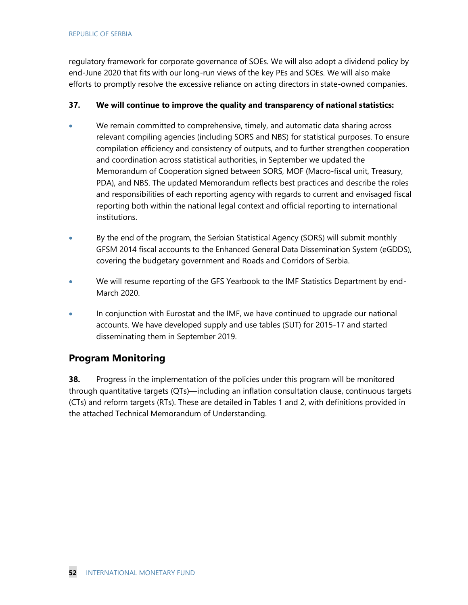regulatory framework for corporate governance of SOEs. We will also adopt a dividend policy by end-June 2020 that fits with our long-run views of the key PEs and SOEs. We will also make efforts to promptly resolve the excessive reliance on acting directors in state-owned companies.

### **37. We will continue to improve the quality and transparency of national statistics:**

- We remain committed to comprehensive, timely, and automatic data sharing across relevant compiling agencies (including SORS and NBS) for statistical purposes. To ensure compilation efficiency and consistency of outputs, and to further strengthen cooperation and coordination across statistical authorities, in September we updated the Memorandum of Cooperation signed between SORS, MOF (Macro-fiscal unit, Treasury, PDA), and NBS. The updated Memorandum reflects best practices and describe the roles and responsibilities of each reporting agency with regards to current and envisaged fiscal reporting both within the national legal context and official reporting to international institutions.
- By the end of the program, the Serbian Statistical Agency (SORS) will submit monthly GFSM 2014 fiscal accounts to the Enhanced General Data Dissemination System (eGDDS), covering the budgetary government and Roads and Corridors of Serbia.
- We will resume reporting of the GFS Yearbook to the IMF Statistics Department by end-March 2020.
- In conjunction with Eurostat and the IMF, we have continued to upgrade our national accounts. We have developed supply and use tables (SUT) for 2015-17 and started disseminating them in September 2019.

### **Program Monitoring**

**38.** Progress in the implementation of the policies under this program will be monitored through quantitative targets (QTs)—including an inflation consultation clause, continuous targets (CTs) and reform targets (RTs). These are detailed in Tables 1 and 2, with definitions provided in the attached Technical Memorandum of Understanding.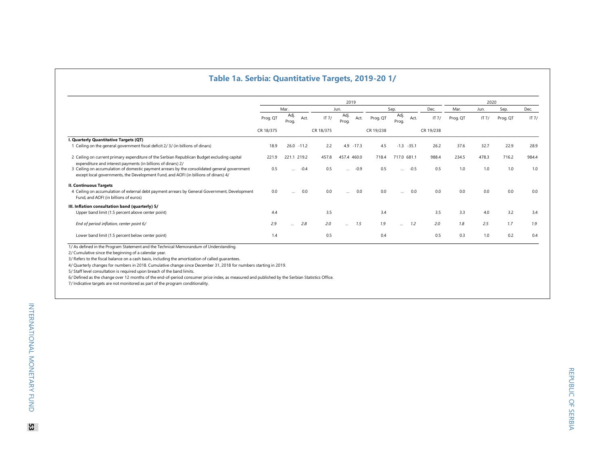#### **Table 1 a. Serbia: Quantitative Targets, 201 9 -20 1/**

|                                                                                                                                                                                     |           |               |               |           |               |              |           | 2019          |        |           |          |         | 2020     |         |  |  |
|-------------------------------------------------------------------------------------------------------------------------------------------------------------------------------------|-----------|---------------|---------------|-----------|---------------|--------------|-----------|---------------|--------|-----------|----------|---------|----------|---------|--|--|
|                                                                                                                                                                                     | Mar.      |               |               | Jun.      |               |              | Sep.      |               | Dec.   | Mar.      | Jun.     | Sep.    | Dec.     |         |  |  |
|                                                                                                                                                                                     | Prog. QT  | Adj.<br>Prog. | Act.          | IT $7/$   | Adj.<br>Prog. | Act.         | Prog. QT  | Adj.<br>Prog. | Act.   | IT $7/$   | Prog. QT | IT $7/$ | Prog. QT | IT $7/$ |  |  |
|                                                                                                                                                                                     | CR 18/375 |               |               | CR 18/375 |               |              | CR 19/238 |               |        | CR 19/238 |          |         |          |         |  |  |
| I. Quarterly Quantitative Targets (QT)                                                                                                                                              |           |               |               |           |               |              |           |               |        |           |          |         |          |         |  |  |
| 1 Ceiling on the general government fiscal deficit 2/ 3/ (in billions of dinars)                                                                                                    | 18.9      |               | $26.0 - 11.2$ | 2.2       |               | $4.9 - 17.3$ | 4.5       | $-1.3 - 35.1$ |        | 26.2      | 37.6     | 32.7    | 22.9     | 28.9    |  |  |
| 2 Ceiling on current primary expenditure of the Serbian Republican Budget excluding capital<br>expenditure and interest payments (in billions of dinars) 2/                         | 221.9     |               | 221.1 219.2   | 457.8     | 457.4 460.0   |              | 718.4     | 717.0 681.1   |        | 988.4     | 234.5    | 478.3   | 716.2    | 984.4   |  |  |
| 3 Ceiling on accumulation of domestic payment arrears by the consolidated general government<br>except local governments, the Development Fund, and AOFI (in billions of dinars) 4/ | 0.5       | $\cdots$      | $-0.4$        | 0.5       | $\cdots$      | $-0.9$       | 0.5       | $\cdots$      | $-0.5$ | 0.5       | 1.0      | 1.0     | 1.0      | 1.0     |  |  |
| <b>II. Continuous Targets</b>                                                                                                                                                       |           |               |               |           |               |              |           |               |        |           |          |         |          |         |  |  |
| 4 Ceiling on accumulation of external debt payment arrears by General Government, Development<br>Fund, and AOFI (in billions of euros)                                              | 0.0       | $\cdots$      | 0.0           | 0.0       | $\cdots$      | 0.0          | 0.0       | $\cdots$      | 0.0    | 0.0       | 0.0      | 0.0     | 0.0      | 0.0     |  |  |
| III. Inflation consultation band (quarterly) 5/                                                                                                                                     |           |               |               |           |               |              |           |               |        |           |          |         |          |         |  |  |
| Upper band limit (1.5 percent above center point)                                                                                                                                   | 4.4       |               |               | 3.5       |               |              | 3.4       |               |        | 3.5       | 3.3      | 4.0     | 3.2      | 3.4     |  |  |
| End of period inflation, center point 6/                                                                                                                                            | 2.9       | $\cdots$      | 2.8           | 2.0       | $\cdots$      | 7.5          | 1.9       |               | 1.2    | 2.0       | 7.8      | 2.5     | 1.7      | 1.9     |  |  |
| Lower band limit (1.5 percent below center point)                                                                                                                                   | 1.4       |               |               | 0.5       |               |              | 0.4       |               |        | 0.5       | 0.3      | 1.0     | 0.2      | 0.4     |  |  |

4/ Quarterly changes for numbers in 2018. Cumulative change since December 31, 2018 for numbers starting in 2019.

5/ Staff level consultation is required upon breach of the band limits.

6/ Defined as the change over 12 months of the end-of-period consumer price index, as measured and published by the Serbian Statistics Office.

7/ Indicative targets are not monitored as part of the program conditionality.

**53**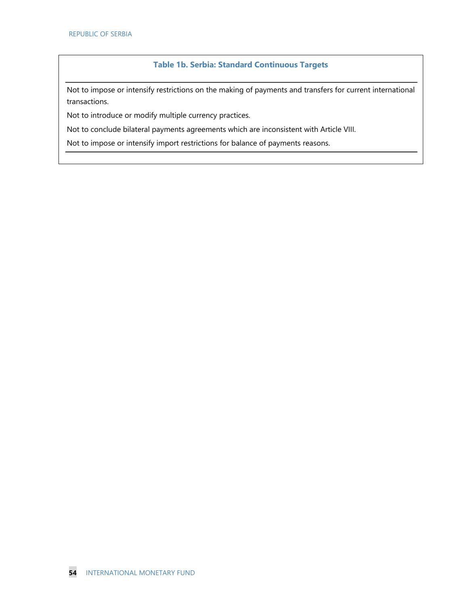### **Table 1b. Serbia: Standard Continuous Targets**

Not to impose or intensify restrictions on the making of payments and transfers for current international transactions.

Not to introduce or modify multiple currency practices.

Not to conclude bilateral payments agreements which are inconsistent with Article VIII.

Not to impose or intensify import restrictions for balance of payments reasons.

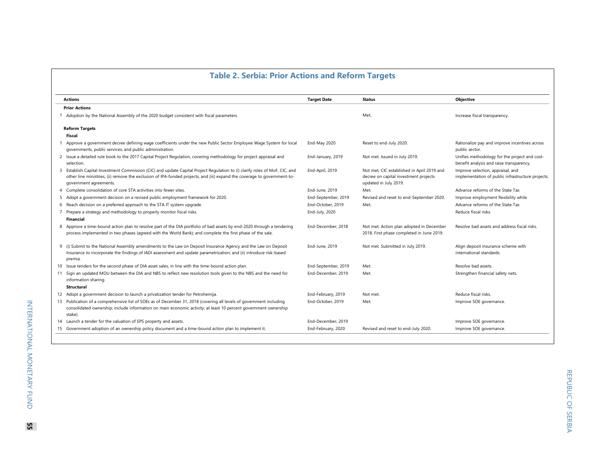### **Table 2. Serbia: Prior Actions and Reform Targets**

| <b>Actions</b>                                                                                                                                                                                                                                                                    | <b>Target Date</b>  | <b>Status</b>                                                                                                | <b>Objective</b>                                                                          |
|-----------------------------------------------------------------------------------------------------------------------------------------------------------------------------------------------------------------------------------------------------------------------------------|---------------------|--------------------------------------------------------------------------------------------------------------|-------------------------------------------------------------------------------------------|
| <b>Prior Actions</b>                                                                                                                                                                                                                                                              |                     |                                                                                                              |                                                                                           |
| Adoption by the National Assembly of the 2020 budget consistent with fiscal parameters.                                                                                                                                                                                           |                     | Met.                                                                                                         | Increase fiscal transparency.                                                             |
| <b>Reform Targets</b>                                                                                                                                                                                                                                                             |                     |                                                                                                              |                                                                                           |
| <b>Fiscal</b>                                                                                                                                                                                                                                                                     |                     |                                                                                                              |                                                                                           |
| Approve a government decree defining wage coefficients under the new Public Sector Employee Wage System for local<br>governments, public services, and public administration.                                                                                                     | End-May 2020        | Reset to end-July 2020.                                                                                      | Rationalize pay and improve incentives across<br>public sector.                           |
| 2 Issue a detailed rule book to the 2017 Capital Project Regulation, covering methodology for project appraisal and<br>selection.                                                                                                                                                 | End-January, 2019   | Not met. Issued in July 2019.                                                                                | Unifies methodology for the project and cost-<br>benefit analysis and raise transparency. |
| 3 Establish Capital Investment Commission (CIC) and update Capital Project Regulation to (i) clarify roles of MoF, CIC, and<br>other line ministries, (ii) remove the exclusion of IPA-funded projects, and (iii) expand the coverage to government-to-<br>government agreements. | End-April, 2019     | Not met. CIC established in April 2019 and<br>decree on capital investment projects<br>updated in July 2019. | Improve selection, appraisal, and<br>implementation of public infrastructure projects.    |
| 4 Complete consolidation of core STA activities into fewer sites.                                                                                                                                                                                                                 | End-June, 2019      | Met.                                                                                                         | Advance reforms of the State Tax                                                          |
| 5 Adopt a government decision on a revised public employment framework for 2020.                                                                                                                                                                                                  | End-September, 2019 | Revised and reset to end-September 2020.                                                                     | Improve employment flexibility while                                                      |
| 6 Reach decision on a preferred approach to the STA IT system upgrade.                                                                                                                                                                                                            | End-October, 2019   | Met.                                                                                                         | Advance reforms of the State Tax                                                          |
| Prepare a strategy and methodology to properly monitor fiscal risks.                                                                                                                                                                                                              | End-July, 2020      |                                                                                                              | Reduce fiscal risks.                                                                      |
| Financial                                                                                                                                                                                                                                                                         |                     |                                                                                                              |                                                                                           |
| 8 Approve a time-bound action plan to resolve part of the DIA portfolio of bad assets by end-2020 through a tendering<br>process implemented in two phases (agreed with the World Bank); and complete the first phase of the sale.                                                | End-December, 2018  | Not met. Action plan adopted in December<br>2018. First phase completed in June 2019.                        | Resolve bad assets and address fiscal risks.                                              |
| 9 (i) Submit to the National Assembly amendments to the Law on Deposit Insurance Agency and the Law on Deposit<br>Insurance to incorporate the findings of IADI assessment and update parametrization; and (ii) introduce risk-based<br>premia.                                   | End-June, 2019      | Not met. Submitted in July 2019.                                                                             | Align deposit insurance scheme with<br>international standards.                           |
| 10 Issue tenders for the second phase of DIA asset sales, in line with the time-bound action plan.                                                                                                                                                                                | End-September, 2019 | Met.                                                                                                         | Resolve bad assets.                                                                       |
| 11 Sign an updated MOU between the DIA and NBS to reflect new resolution tools given to the NBS and the need for<br>information sharing.                                                                                                                                          | End-December, 2019  | Met.                                                                                                         | Strengthen financial safety nets.                                                         |
| <b>Structural</b>                                                                                                                                                                                                                                                                 |                     |                                                                                                              |                                                                                           |
| 12 Adopt a government decision to launch a privatization tender for Petrohemija.                                                                                                                                                                                                  | End-February, 2019  | Not met.                                                                                                     | Reduce fiscal risks.                                                                      |
| 13 Publication of a comprehensive list of SOEs as of December 31, 2018 (covering all levels of government including<br>consolidated ownership; include information on main economic activity; at least 10 percent government ownership<br>stake).                                 | End-October, 2019   | Met.                                                                                                         | Improve SOE governance.                                                                   |
| 14 Launch a tender for the valuation of EPS property and assets.                                                                                                                                                                                                                  | End-December, 2019  |                                                                                                              | Improve SOE governance.                                                                   |
| 15 Government adoption of an ownership policy document and a time-bound action plan to implement it.                                                                                                                                                                              | End-February, 2020  | Revised and reset to end-July 2020.                                                                          | Improve SOE governance.                                                                   |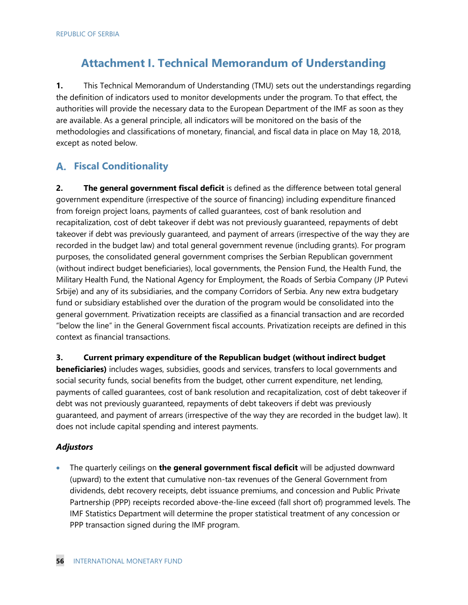### **Attachment I. Technical Memorandum of Understanding**

**1.** This Technical Memorandum of Understanding (TMU) sets out the understandings regarding the definition of indicators used to monitor developments under the program. To that effect, the authorities will provide the necessary data to the European Department of the IMF as soon as they are available. As a general principle, all indicators will be monitored on the basis of the methodologies and classifications of monetary, financial, and fiscal data in place on May 18, 2018, except as noted below.

### **Fiscal Conditionality**

**2. The general government fiscal deficit** is defined as the difference between total general government expenditure (irrespective of the source of financing) including expenditure financed from foreign project loans, payments of called guarantees, cost of bank resolution and recapitalization, cost of debt takeover if debt was not previously guaranteed, repayments of debt takeover if debt was previously guaranteed, and payment of arrears (irrespective of the way they are recorded in the budget law) and total general government revenue (including grants). For program purposes, the consolidated general government comprises the Serbian Republican government (without indirect budget beneficiaries), local governments, the Pension Fund, the Health Fund, the Military Health Fund, the National Agency for Employment, the Roads of Serbia Company (JP Putevi Srbije) and any of its subsidiaries, and the company Corridors of Serbia. Any new extra budgetary fund or subsidiary established over the duration of the program would be consolidated into the general government. Privatization receipts are classified as a financial transaction and are recorded "below the line" in the General Government fiscal accounts. Privatization receipts are defined in this context as financial transactions.

### **3. Current primary expenditure of the Republican budget (without indirect budget**

**beneficiaries)** includes wages, subsidies, goods and services, transfers to local governments and social security funds, social benefits from the budget, other current expenditure, net lending, payments of called guarantees, cost of bank resolution and recapitalization, cost of debt takeover if debt was not previously guaranteed, repayments of debt takeovers if debt was previously guaranteed, and payment of arrears (irrespective of the way they are recorded in the budget law). It does not include capital spending and interest payments.

### *Adjustors*

• The quarterly ceilings on **the general government fiscal deficit** will be adjusted downward (upward) to the extent that cumulative non-tax revenues of the General Government from dividends, debt recovery receipts, debt issuance premiums, and concession and Public Private Partnership (PPP) receipts recorded above-the-line exceed (fall short of) programmed levels. The IMF Statistics Department will determine the proper statistical treatment of any concession or PPP transaction signed during the IMF program.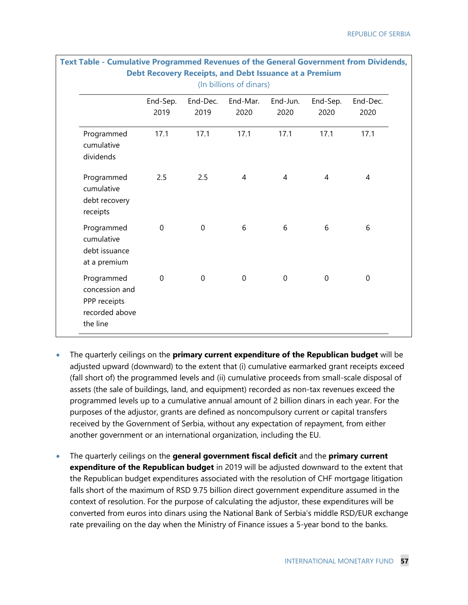|                                                                | End-Sep.<br>2019 | End-Dec.<br>2019 | End-Mar.<br>2020 | End-Jun.<br>2020 | End-Sep.<br>2020 | End-Dec.<br>2020 |
|----------------------------------------------------------------|------------------|------------------|------------------|------------------|------------------|------------------|
|                                                                |                  |                  |                  |                  |                  |                  |
| Programmed<br>cumulative<br>dividends                          | 17.1             | 17.1             | 17.1             | 17.1             | 17.1             | 17.1             |
| Programmed<br>cumulative<br>debt recovery<br>receipts          | 2.5              | 2.5              | $\overline{4}$   | $\overline{4}$   | $\overline{4}$   | 4                |
| Programmed<br>cumulative<br>debt issuance<br>at a premium      | $\mathbf 0$      | $\mathbf 0$      | 6                | $\sqrt{6}$       | 6                | 6                |
| Programmed<br>concession and<br>PPP receipts<br>recorded above | $\mathbf 0$      | $\mathbf 0$      | $\mathbf 0$      | $\mathbf 0$      | $\mathbf 0$      | 0                |

**Text Table - Cumulative Programmed Revenues of the General Government from Dividends,** 

- The quarterly ceilings on the **primary current expenditure of the Republican budget** will be adjusted upward (downward) to the extent that (i) cumulative earmarked grant receipts exceed (fall short of) the programmed levels and (ii) cumulative proceeds from small-scale disposal of assets (the sale of buildings, land, and equipment) recorded as non-tax revenues exceed the programmed levels up to a cumulative annual amount of 2 billion dinars in each year. For the purposes of the adjustor, grants are defined as noncompulsory current or capital transfers received by the Government of Serbia, without any expectation of repayment, from either another government or an international organization, including the EU.
- The quarterly ceilings on the **general government fiscal deficit** and the **primary current expenditure of the Republican budget** in 2019 will be adjusted downward to the extent that the Republican budget expenditures associated with the resolution of CHF mortgage litigation falls short of the maximum of RSD 9.75 billion direct government expenditure assumed in the context of resolution. For the purpose of calculating the adjustor, these expenditures will be converted from euros into dinars using the National Bank of Serbia's middle RSD/EUR exchange rate prevailing on the day when the Ministry of Finance issues a 5-year bond to the banks.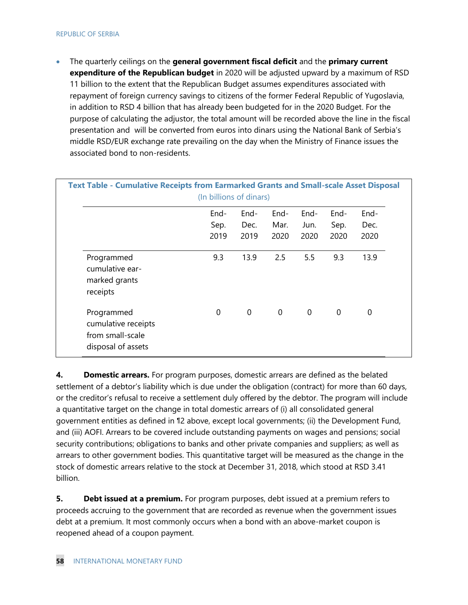• The quarterly ceilings on the **general government fiscal deficit** and the **primary current expenditure of the Republican budget** in 2020 will be adjusted upward by a maximum of RSD 11 billion to the extent that the Republican Budget assumes expenditures associated with repayment of foreign currency savings to citizens of the former Federal Republic of Yugoslavia, in addition to RSD 4 billion that has already been budgeted for in the 2020 Budget. For the purpose of calculating the adjustor, the total amount will be recorded above the line in the fiscal presentation and will be converted from euros into dinars using the National Bank of Serbia's middle RSD/EUR exchange rate prevailing on the day when the Ministry of Finance issues the associated bond to non-residents.

|                               | End- | End-        |             |             |             |      |
|-------------------------------|------|-------------|-------------|-------------|-------------|------|
|                               |      |             | End-        | End-        | End-        | End- |
|                               | Sep. | Dec.        | Mar.        | Jun.        | Sep.        | Dec. |
|                               | 2019 | 2019        | 2020        | 2020        | 2020        | 2020 |
| Programmed<br>cumulative ear- | 9.3  | 13.9        | 2.5         | 5.5         | 9.3         | 13.9 |
| marked grants<br>receipts     |      |             |             |             |             |      |
| Programmed                    | 0    | $\mathbf 0$ | $\mathbf 0$ | $\mathbf 0$ | $\mathbf 0$ | 0    |
| cumulative receipts           |      |             |             |             |             |      |

**4. Domestic arrears.** For program purposes, domestic arrears are defined as the belated settlement of a debtor's liability which is due under the obligation (contract) for more than 60 days, or the creditor's refusal to receive a settlement duly offered by the debtor. The program will include a quantitative target on the change in total domestic arrears of (i) all consolidated general government entities as defined in ¶2 above, except local governments; (ii) the Development Fund, and (iii) AOFI. Arrears to be covered include outstanding payments on wages and pensions; social security contributions; obligations to banks and other private companies and suppliers; as well as arrears to other government bodies. This quantitative target will be measured as the change in the stock of domestic arrears relative to the stock at December 31, 2018, which stood at RSD 3.41 billion.

**5. Debt issued at a premium.** For program purposes, debt issued at a premium refers to proceeds accruing to the government that are recorded as revenue when the government issues debt at a premium. It most commonly occurs when a bond with an above-market coupon is reopened ahead of a coupon payment.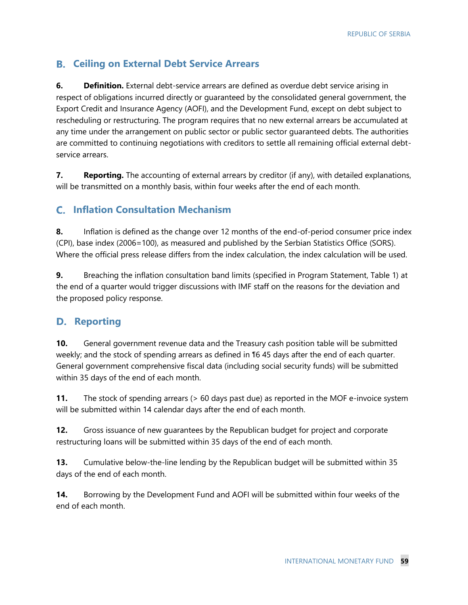### **Ceiling on External Debt Service Arrears**

**6. Definition.** External debt-service arrears are defined as overdue debt service arising in respect of obligations incurred directly or guaranteed by the consolidated general government, the Export Credit and Insurance Agency (AOFI), and the Development Fund, except on debt subject to rescheduling or restructuring. The program requires that no new external arrears be accumulated at any time under the arrangement on public sector or public sector guaranteed debts. The authorities are committed to continuing negotiations with creditors to settle all remaining official external debtservice arrears.

**7. Reporting.** The accounting of external arrears by creditor (if any), with detailed explanations, will be transmitted on a monthly basis, within four weeks after the end of each month.

### **Inflation Consultation Mechanism**

**8.** Inflation is defined as the change over 12 months of the end-of-period consumer price index (CPI), base index (2006=100), as measured and published by the Serbian Statistics Office (SORS). Where the official press release differs from the index calculation, the index calculation will be used.

**9.** Breaching the inflation consultation band limits (specified in Program Statement, Table 1) at the end of a quarter would trigger discussions with IMF staff on the reasons for the deviation and the proposed policy response.

### **D.** Reporting

**10.** General government revenue data and the Treasury cash position table will be submitted weekly; and the stock of spending arrears as defined in ¶6 45 days after the end of each quarter. General government comprehensive fiscal data (including social security funds) will be submitted within 35 days of the end of each month.

**11.** The stock of spending arrears (> 60 days past due) as reported in the MOF e-invoice system will be submitted within 14 calendar days after the end of each month.

**12.** Gross issuance of new guarantees by the Republican budget for project and corporate restructuring loans will be submitted within 35 days of the end of each month.

**13.** Cumulative below-the-line lending by the Republican budget will be submitted within 35 days of the end of each month.

**14.** Borrowing by the Development Fund and AOFI will be submitted within four weeks of the end of each month.